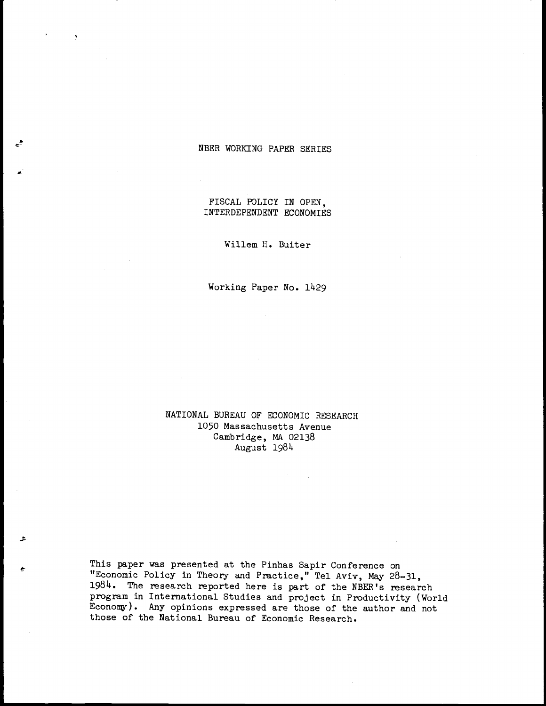## NBER WORKING PAPER SERIES

FISCAL POLICY IN OPEN, INTERDEPENDENT ECONOMIES

Willem H. Buiter

 $\bar{1}$ 

Working Paper No. 1429

## NATIONAL BUREAU OF ECONOMIC RESEARCH 1050 Massachusetts Avenue Cambridge, MA 02138 August 19814

This paper was presented at the Pinhas Sapir Conference on "Economic Policy in Theory and Practice," Tel Aviv, May 28—31, 1984. The research reported here is part of the NBER's research program in International Studies and project in Productivity (World Economy). Any opinions expressed are those of the author and not those of the National Bureau of Economic Research.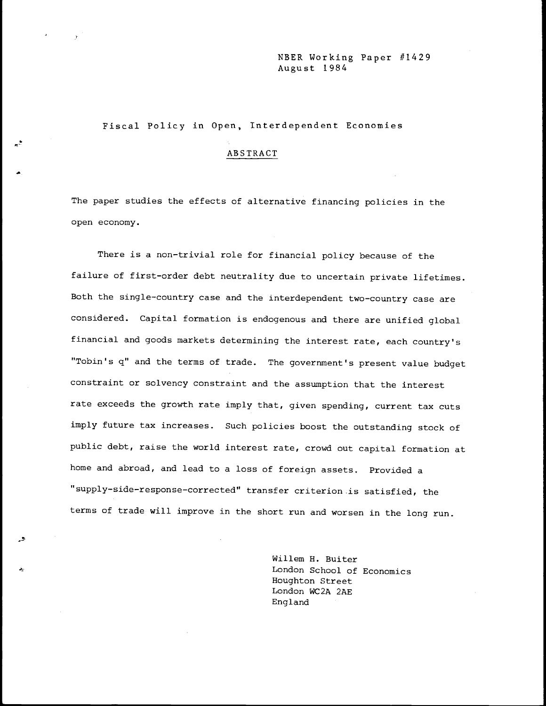## NBER Working Paper #1429 August 1984

## Fiscal Policy in Open, Interdependent Economies

### ABSTRACT

The paper studies the effects of alternative financing policies in the open economy.

There is a non-trivial role for financial policy because of the failure of first-order debt neutrality due to uncertain private lifetimes. Both the single—country case and the interdependent two-country case are considered. Capital formation is endogenous and there are unified global financial and goods markets determining the interest rate, each country's "Tobin's q" and the terms of trade. The government's present value budget constraint or solvency constraint and the assumption that the interest rate exceeds the growth rate imply that, given spending, current tax cuts imply future tax increases. Such policies boost the outstanding stock of public debt, raise the world interest rate, crowd out capital formation at home and abroad, and lead to a loss of foreign assets. Provided a "supply—side—response—corrected" transfer criterion -is satisfied, the terms of trade will improve in the short run and worsen in the long run.

> Willem H. Buiter London School of Economics Houghton Street London WC2A 2AE England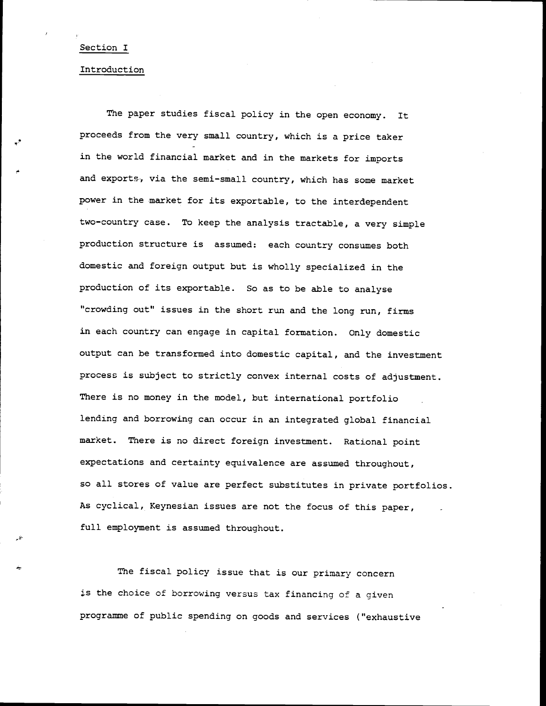### Section I

#### Introduction

The paper studies fiscal policy in the open economy. It proceeds from the very small country, which is a price taker in the world financial market and in the markets for imports and exports, via the semi-small country, which has some market power in the market for its exportable, to the interdependent two-country case. To keep the analysis tractable, a very simple production structure is assumed: each country consumes both domestic and foreign output but is wholly specialized in the production of its exportable. So as to be able to analyse "crowding out" issues in the short run and the long run, firms in each country can engage in capital formation. Only domestic output can be transformed into domestic capital, and the investment process is subject to strictly convex internal costs of adjustment. There is no money in the model, but international portfolio lending and borrowing can occur in an integrated global financial market. There is no direct foreign investment. Rational point expectations and certainty equivalence are assumed throughout, so all stores of value are perfect substitutes in private portfolios. As cyclical, Keynesian issues are not the focus of this paper, full employment is assumed throughout.

The fiscal policy issue that is our primary concern is the choice of borrowing versus tax financing of a given programme of public spending on goods and services ("exhaustive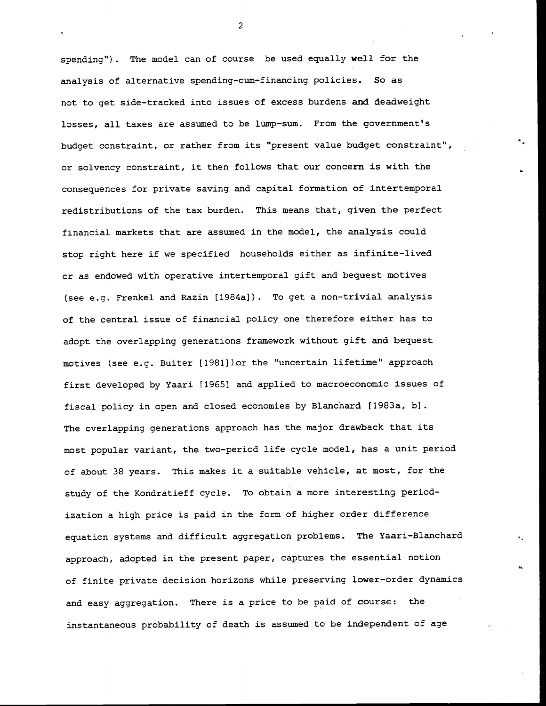spending"). The model can of course be used equally well for the analysis of alternative spending-cum—financing policies. So as not to get side-tracked into issues of excess burdens and deadweight losses, all taxes are assumed to be lump—sum. From the government's budget constraint, or rather from its "present value budget constraint", or solvency constraint, it then follows that our concern is with the consequences for private saving and capital formation of intertemporal redistributions of the tax burden. This means that, given the perfect financial markets that are assumed in the model, the analysis could stop right here if we specified households either as infinite-lived or as endowed with operative intertemporal gift and bequest motives (see e.g. Frenkel and Razin [1984a]). To get a non-trivial analysis of the central issue of financial policy one therefore either has to adopt the overlapping generations framework without gift and bequest motives (see e.g. Buiter [1981])or the "uncertain lifetime" approach first developed by Yaari [1965] and applied to macroeconomic issues of fiscal policy in open and closed economies by Blanchard [1983a, b). The overlapping generations approach has the major drawback that its most popular variant, the two—period life cycle model, has a unit period of about 38 years. This makes it a suitable vehicle, at most, for the study of the Kondratieff cycle. To obtain a more interesting periodization a high price is paid in the form of higher order difference equation systems and difficult aggregation problems. The Yaari—Blanchard approach, adopted in the present paper, captures the essential notion of finite private decision horizons while preserving lower—order dynamics and easy aggregation. There is a price to be paid of course: the instantaneous probability of death is assumed to be independent of age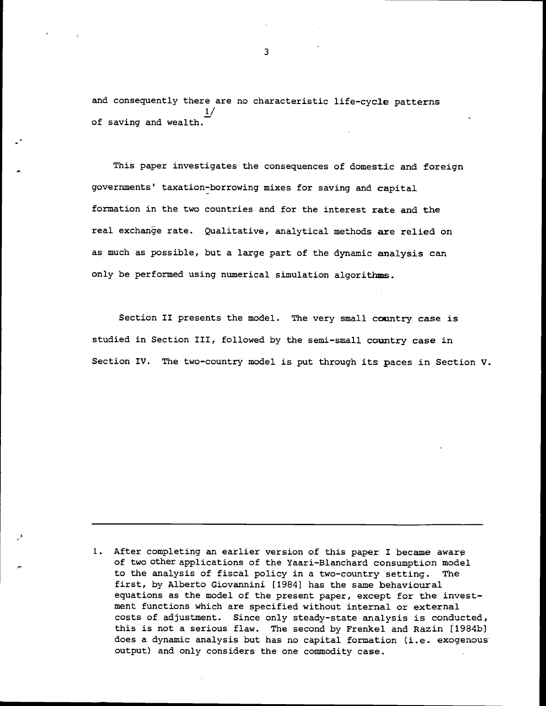and consequently there are no characteristic life-cycle patterns  $\frac{1}{2}$ of saving and wealth.

This paper investigates the consequences of domestic and foreign governments' taxation—borrowing mixes for saving and capital formation in the two countries and for the interest rate and the real exchange rate. Qualitative, analytical methods are relied on as much as possible, but a large part of the dynamic analysis can only be performed using numerical simulation algorithms.

Section II presents the model. The very small country case is studied in Section III, followed by the semi-small country case in Section IV. The two-country model is put through its paces in Section V.

1. After completing an earlier version of this paper I became aware of two other applications of the Yaari—Blanchard consumption model to the analysis of fiscal policy in a two-country setting. The first, by Alberto Giovannini [1984] has the same behavioural equations as the model of the present paper, except for the investment functions which are specified without internal or external costs of adjustment. Since only steady-state analysis is conducted, this is not a serious flaw. The second by Frenkel and Razin [1984b] does a dynamic analysis but has no capital formation (i.e. exogenous output) and only considers the one commodity case.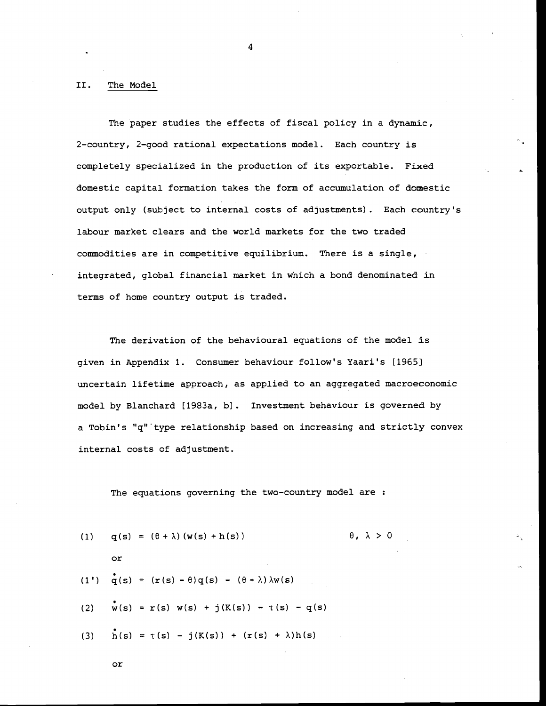#### II. The Model

The paper studies the effects of fiscal policy in a dynamic, 2—country, 2—good rational expectations model. Each country is completely specialized in the production of its exportable. Fixed domestic capital formation takes the form of accumulation of domestic output only (subject to internal costs of adjustments). Each country's labour market clears and the world markets for the two traded commodities are in competitive equilibrium. There is a single, integrated, global financial market in which a bond denominated in terms of home country output is traded.

4

The derivation of the behavioural equations of the model is given in Appendix 1. Consumer behaviour follow's Yaari's [19651 uncertain lifetime approach, as applied to an aggregated macroeconomic model by Blanchard [1983a, b). Investment behaviour is governed by a Tobin's "q" type relationship based on increasing and strictly convex internal costs of adjustment.

The equations governing the two-country model are :

(1) 
$$
q(s) = (\theta + \lambda) (w(s) + h(s))
$$
  
\nor  
\n(1')  $q(s) = (r(s) - \theta)q(s) - (\theta + \lambda) \lambda w(s)$   
\n(2)  $w(s) = r(s) w(s) + j(K(s)) - \tau(s) - q(s)$   
\n(3)  $h(s) = \tau(s) - j(K(s)) + (r(s) + \lambda)h(s)$ 

$$
\circ
$$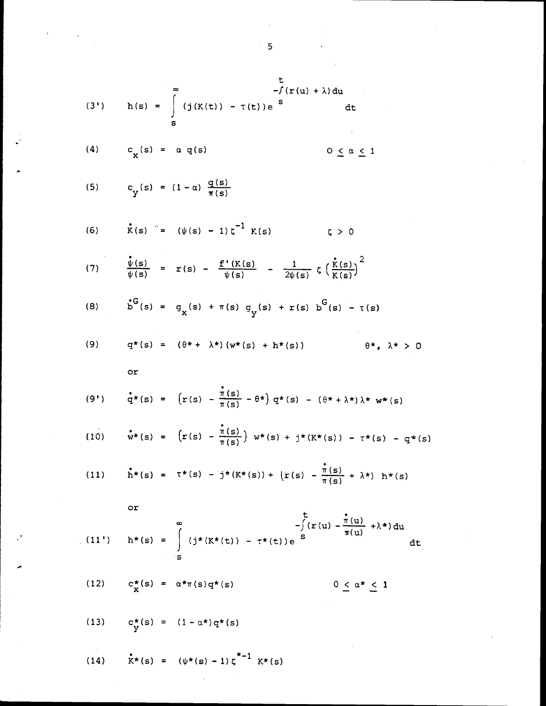(3') 
$$
h(s) = \int_{s}^{m} (j(K(t)) - \tau(t)) e^{-s} dt
$$
  
\n(4)  $c_{\chi}(s) = \alpha q(s)$   $0 \le \alpha \le 1$   
\n(4)  $c_{\chi}(s) = \alpha q(s)$   $0 \le \alpha \le 1$   
\n(5)  $c_{\gamma}(s) = (1 - \alpha) \frac{q(s)}{\pi(s)}$   
\n(6)  $\dot{x}(s) = (\psi(s) - 1) \zeta^{-1} K(s)$   $\zeta > 0$   
\n(7)  $\frac{\dot{v}(s)}{\psi(s)} = x(s) - \frac{f'(K(s)}{\psi(s)} - \frac{1}{2\psi(s)} \zeta(\frac{\dot{x}(s)}{K(s)})^2$   
\n(8)  $b^G(s) = q_x(s) + \pi(s) q_y(s) + r(s) b^G(s) - \tau(s)$   
\n(9)  $q^*(s) = (\theta^* + \lambda^*)(w^*(s) + h^*(s))$   $\theta^*, \lambda^* > 0$   
\nor  
\n(9')  $\frac{\dot{q}}{q^*(s)} = (r(s) - \frac{\dot{\pi}(s)}{\pi(s)} - \theta^*) q^*(s) - (\theta^* + \lambda^*) \lambda^* w^*(s)$   
\n(10)  $\dot{w}^*(s) = (r(s) - \frac{\dot{\pi}(s)}{\pi(s)}) w^*(s) + j^*(K^*(s)) - \tau^*(s) - q^*(s)$   
\n(11)  $\dot{h}^*(s) = \tau^*(s) - j^*(K^*(s)) + \{r(s) - \frac{\dot{\pi}(s)}{\pi(s)} + \lambda^*) h^*(s\}$   
\nor  
\n(11')  $h^*(s) = \int_{s}^{m} (j^*(K^*(t)) - \tau^*(t)) e^{-s} ds$   $0 \le \alpha^* \le 1$   
\n(12)  $c_{\chi}^*(s) = \alpha^*\pi(s) q^*(s)$   $0 \le \alpha^* \le 1$ 

(14)  $\mathbf{k}^*(s) = (\psi^*(s) - 1) \zeta^{*-1} \mathbf{k}^*(s)$ 

5

 $\mathcal{A}^{\mathcal{A}}$ 

 $\label{eq:tau} \frac{d\tau}{dt} = \frac{1}{\tau} \left( \frac{d\tau}{dt} \right)$ 

 $\cdot$   $^*$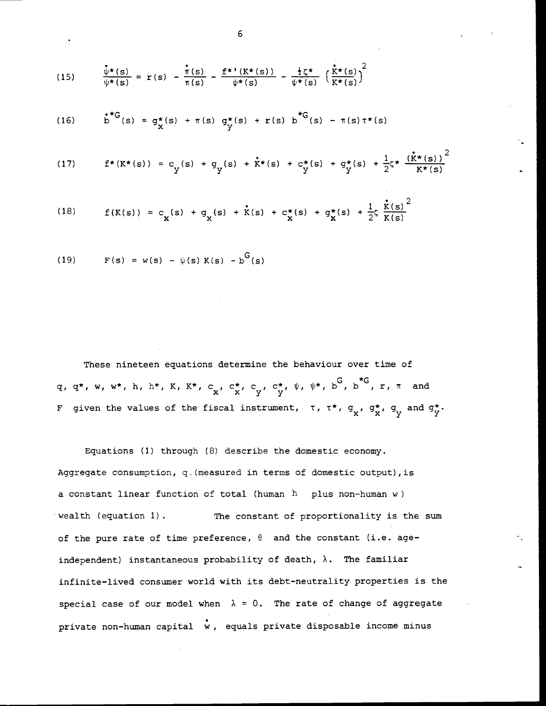(15) 
$$
\frac{\hat{\psi}^{\star}(s)}{\psi^{\star}(s)} = r(s) - \frac{\hat{\pi}(s)}{\pi(s)} - \frac{f^{\star \star}(K^{\star}(s))}{\psi^{\star}(s)} - \frac{\frac{1}{2}\zeta^{\star}}{\psi^{\star}(s)} \left(\frac{\hat{k}^{\star}(s)}{K^{\star}(s)}\right)^{2}
$$

(16) 
$$
b^{**G}(s) = g^*(s) + \pi(s) g^*(s) + r(s) b^{*G}(s) - \pi(s) \tau^*(s)
$$

(17) 
$$
f^*(K^*(s)) = c_y(s) + g_y(s) + \dot{K}^*(s) + c_y^*(s) + g_y^*(s) + \frac{1}{2}\zeta^* \frac{(\dot{K}^*(s))^2}{K^*(s)}
$$

(18) 
$$
f(K(s)) = c_{x}(s) + g_{x}(s) + \dot{K}(s) + c_{x}^{\star}(s) + g_{x}^{\star}(s) + \frac{1}{2}\zeta \frac{\dot{K}(s)}{K(s)}^{2}
$$

(19) 
$$
F(s) = w(s) - \psi(s) K(s) - b^{G}(s)
$$

These nineteen equations determine the behaviour over time of q, q\*, w, w\*, h, h\*, K, K\*, c<sub>x</sub>, c<sup>\*</sup>, c<sub>y</sub>, c<sup>\*</sup>,  $\psi$ ,  $\psi^*$ ,  $b^G$ ,  $b^G$ , r,  $\pi$  and F given the values of the fiscal instrument,  $\tau$ ,  $\tau^*$ ,  $g_x$ ,  $g_x^*$ ,  $g_y$  and  $g_y^*$ .

Equations (1) through (8) describe the domestic economy. Aggregate consumption,  $q$  (measured in terms of domestic output), is a constant linear function of total (human  $h$  plus non-human w) wealth (equation 1). The constant of proportionality is the sum of the pure rate of time preference,  $\theta$  and the constant (i.e. ageindependent) instantaneous probability of death,  $\lambda$ . The familiar infinite—lived consumer world with its debt-neutrality properties is the special case of our model when  $\lambda = 0$ . The rate of change of aggregate private non-human capital  $\dot{w}$ , equals private disposable income minus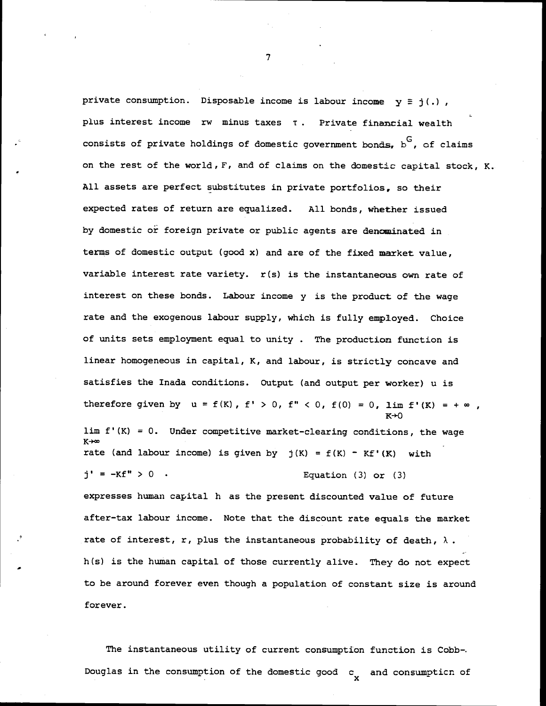private consumption. Disposable income is labour income  $y \equiv j(.)$ , plus interest income rw minus taxes  $\tau$ . Private financial wealth consists of private holdings of domestic government bonds,  $b^G$ , of claims on the rest of the world,  $F$ , and of claims on the domestic capital stock, K. All assets are perfect substitutes in private portfolios, so their expected rates of return are equalized. All bonds, whether issued by domestic or foreign private or public agents are denominated in terms of domestic output (good x) and are of the fixed market value, variable interest rate variety. r(s) is the instantaneous own rate of interest on these bonds. Labour income y is the product of the wage rate and the exogenous labour supply, which is fully employed. Choice of units sets employment equal to unity . The production function is linear homogeneous in capital, K, and labour, is strictly concave and satisfies the Inada conditions. Output (and output per worker) u is therefore given by  $u = f(K)$ ,  $f' > 0$ ,  $f'' < 0$ ,  $f(0) = 0$ ,  $\lim f'(K) = +\infty$ , lim  $f'(K) = 0$ . Under competitive market-clearing conditions, the wage  $K \rightarrow \infty$ rate (and labour income) is given by  $j(K) = f(K) - Kf'(K)$  with  $j' = -Kf'' > 0$  . Equation (3) or (3) expresses human capital h as the present discounted value of future after—tax labour income. Note that the discount rate equals the market rate of interest, r, plus the instantaneous probability of death,  $\lambda$ . h(s) is the human capital of those currently alive. They do not expect to be around forever even though a population of constant size is around forever.

The instantaneous utility of current consumption function is Cobb-. Douglas in the consumption of the domestic good  $c_{\mathbf{y}}$  and consumpticn of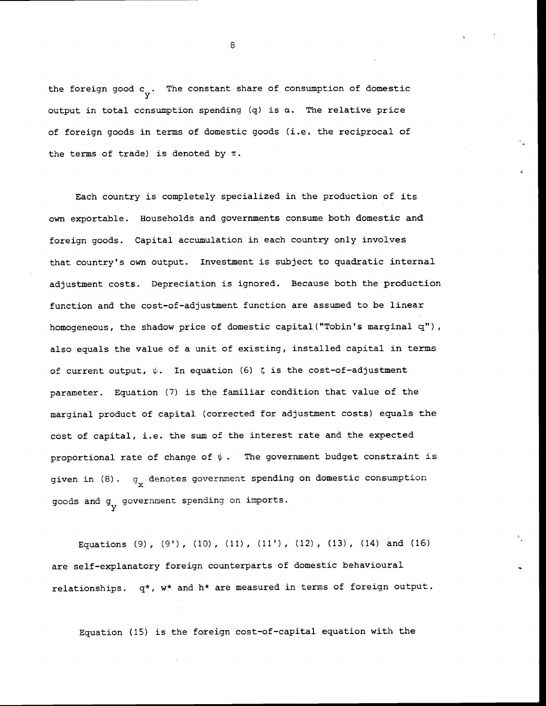the foreign good  $c_{ij}$ . The constant share of consumption of domestic output in total consumption spending  $(q)$  is  $\alpha$ . The relative price of foreign goods in terms of domestic goods (i.e. the reciprocal of the terms of trade) is denoted by  $\pi$ .

Each country is completely specialized in the production of its own exportable. Households and governments consume both domestic and foreign goods. Capital accumulation in each country only involves that country's own output. Investment is subject to quadratic internal adjustment costs. Depreciation is ignored. Because both the production function and the cost-of-adjustment function are assumed to be linear homogeneous, the shadow price of domestic capital ("Tobin's marginal q"), also equals the value of a unit of existing, installed capital in terms of current output,  $\psi$ . In equation (6)  $\zeta$  is the cost-of-adjustment parameter. Equation (7) is the familiar condition that value of the marginal product of capital (corrected for adjustment costs) equals the cost of capital, i.e. the sum of the interest rate and the expected proportional rate of change of  $\psi$ . The government budget constraint is given in  $(8)$ .  $g_{\mathbf{y}}$  denotes government spending on domestic consumption goods and g<sub>v</sub> government spending on imports.

Equations (9), (9'), (10), (11), (11'), (12), (13), (14) and (16) are self-explanatory foreign counterparts of domestic behavioural relationships.  $q^*$ , w\* and h\* are measured in terms of foreign output.

Equation (15) is the foreign cost—of—capital equation with the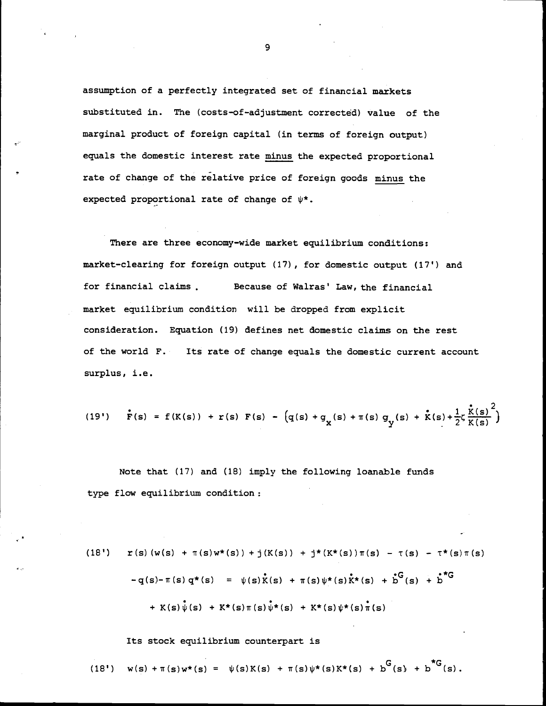assumption of a perfectly integrated set of financial markets substituted in. The (costs-of-adjustment corrected) value of the marginal product of foreign capital (in terms of foreign output) equals the domestic interest rate minus the expected proportional rate of change of the relative price of foreign goods minus the expected proportional rate of change of  $\psi^*$ .

There are three economy-wide market equilibrium conditions: market-clearing for foreign output (17), for domestic output (17') and for financial claims . Because of Walras' Law, the financial market equilibrium condition will be dropped from explicit consideration. Equation (19) defines net domestic claims on the rest of the world F. Its rate of change equals the domestic current account surplus, i.e.

(19') 
$$
\mathbf{\dot{F}}(s) = f(K(s)) + r(s) F(s) - (q(s) + q_x(s) + \pi(s) g_y(s) + \mathbf{\dot{K}}(s) + \frac{1}{2} \zeta \frac{\mathbf{\dot{K}}(s)}{K(s)}^2
$$

Note that  $(17)$  and  $(18)$  imply the following loanable funds type flow equilibrium condition:

(18') 
$$
\mathbf{r}(s) (w(s) + \pi(s)w*(s)) + j(K(s)) + j*(K*(s))\pi(s) - \tau(s) - \tau^*(s)\pi(s)
$$
  
\n
$$
-q(s) - \pi(s) q*(s) = \psi(s) \dot{K}(s) + \pi(s) \psi*(s) \dot{K}^*(s) + b^c(s) + b^c(s) + b^c(s) \psi*(s) + K*(s) \psi*(s) + K*(s) \psi*(s) + K*(s) \psi*(s) \pi(s)
$$

Its stock equilibrium counterpart is

(18') 
$$
w(s) + \pi(s)w^*(s) = \psi(s)K(s) + \pi(s)\psi^*(s)K^*(s) + b^G(s) + b^{\dagger G}(s)
$$
.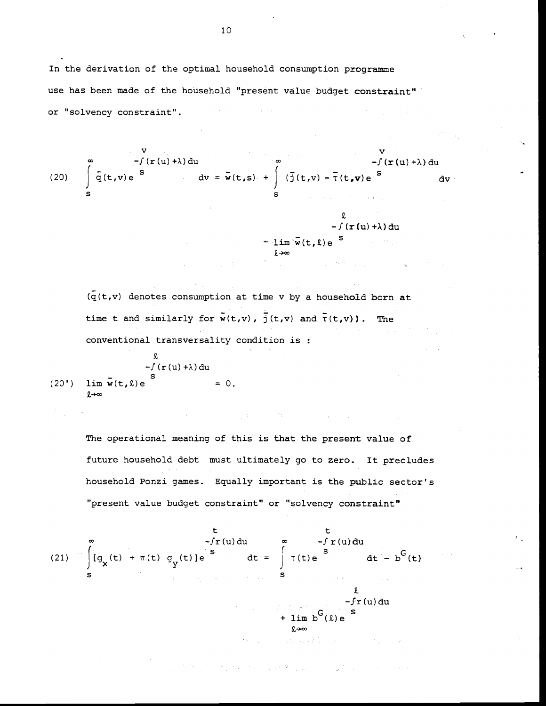In the derivation of the optimal household consumption programme use has been made of the household "present value budget constraint" or "solvency constraint".  $\mathcal{L}^{\mathcal{L}}$  and the following properties of the set of  $\mathcal{L}^{\mathcal{L}}$ 

(20) 
$$
\int_{S}^{\infty} \overline{q}(t,v) e^{-\int (r(u)+\lambda) du} dv = \overline{w}(t,s) + \int_{S}^{\infty} (\overline{j}(t,v) - \overline{r}(t,v)) e^{-\int (r(u)+\lambda) du} dv
$$
  
\n
$$
-\int (r(u)+\lambda) du - \lim_{\lambda \to \infty} \overline{w}(t,\lambda) e^{-\int (r(u)+\lambda) du}
$$

 $\mathcal{L}^{\text{max}}_{\text{max}}$  and the second contract of the second contract of the second contract of the second contract of the second contract of the second contract of the second contract of the second contract of the second c

 $(\bar{q}(t,v))$  denotes consumption at time v by a household born at time t and similarly for  $\tilde{w}(t,v)$ ,  $\tilde{j}(t,v)$  and  $\tilde{\tau}(t,v)$ ). The conventional transversality condition is

$$
-f(r(u)+\lambda) du
$$
  
(20')  $\lim_{\ell \to \infty} \overline{w}(t,\ell) e$ <sup>S</sup> = 0.

 $\mathbf{L}$ 

The operational meaning of this is that the present value of future household debt must ultimately go to zero. It precludes household Ponzi games. Equally important is the public sector's "present value budget constraint" or "solvency constraint"

**这个人的人,我们也不能在这个人的人,我们也不能在这个人的人。** 

$$
t
$$
  
\n
$$
-f r(u) du
$$
  
\n
$$
dt = \int_{S}^{\infty} \tau(t) e^{S} dt - b^{G}(t)
$$
  
\n
$$
= \int_{S}^{\infty} \tau(t) e^{S} dt - b^{G}(t)
$$
  
\n
$$
+ \lim_{\lambda \to \infty} b^{G}(\lambda) e^{S}
$$

 $\mathcal{L}^{\mathcal{A}}(\mathcal{A}_{\mathcal{A}}) = \mathcal{L}^{\mathcal{A}}(\mathcal{A}_{\mathcal{A}}) = \mathcal{L}^{\mathcal{A}}(\mathcal{A}_{\mathcal{A}}) = \mathcal{L}^{\mathcal{A}}(\mathcal{A}_{\mathcal{A}}) = \mathcal{L}^{\mathcal{A}}(\mathcal{A}_{\mathcal{A}}) = \mathcal{L}^{\mathcal{A}}(\mathcal{A}_{\mathcal{A}}) = \mathcal{L}^{\mathcal{A}}(\mathcal{A}_{\mathcal{A}}) = \mathcal{L}^{\mathcal{A}}(\mathcal{A}_{\mathcal{A}}) = \mathcal{$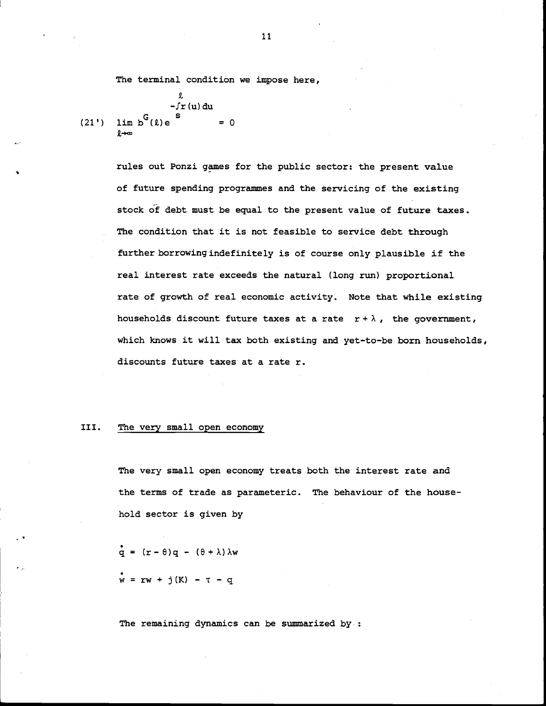The terminal condition we impose here,

$$
\begin{array}{rcl}\n & & & \text{if } \\
 & & -f r(u) \, \text{d}u \\
(21') & \text{lim } b^G(\ell) e & & = 0\n\end{array}
$$

rules out Ponzi games for the public sector: the present value of future spending programmes and the servicing of the existing stock of debt must be equal to the present value of future taxes. The condition that it is not feasible to service debt through further borrowing indefinitely is of course only plausible if the real interest rate exceeds the natural (long run) proportional rate of growth of real economic activity. Note that while existing households discount future taxes at a rate  $r + \lambda$ , the government, which knows it will tax both existing and yet-to-be born households, discounts future taxes at a rate r.

### III. The very small open economy

The very small open economy treats both the interest rate and the terms of trade as parameteric. The behaviour of the household sector is given by

 $\dot{q} = (r - \theta)q - (\theta + \lambda)\lambda w$  $w = rw + j(K) - T - q$ 

The remaining dynamics can be summarized by: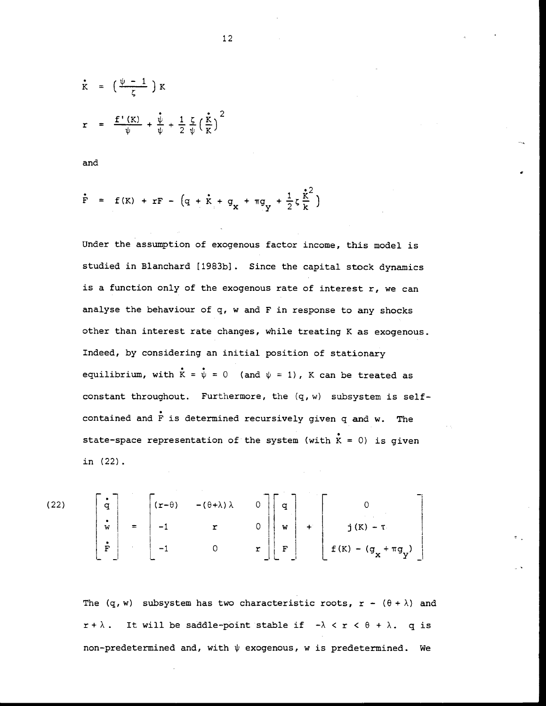$$
\dot{\mathbf{r}} = \left(\frac{\psi - 1}{\zeta}\right) \mathbf{K}
$$
\n
$$
\mathbf{r} = \frac{\mathbf{f}'(\mathbf{K})}{\psi} + \frac{\mathbf{v}}{\psi} + \frac{1}{2} \frac{\zeta}{\psi} \left(\frac{\mathbf{\dot{x}}}{\mathbf{K}}\right)^2
$$

and

$$
\dot{\mathbf{F}} = \mathbf{f}(\mathbf{K}) + \mathbf{r}\mathbf{F} - (\mathbf{q} + \dot{\mathbf{K}} + \mathbf{g}_{\mathbf{X}} + \pi \mathbf{g}_{\mathbf{Y}} + \frac{1}{2}\zeta \frac{\dot{\mathbf{K}}^2}{\mathbf{k}})
$$

Under the assumption of exogenous factor income, this model is studied in Blanchard [1983b]. Since the capital stock dynamics is a function only of the exogenous rate of interest  $r$ , we can analyse the behaviour of q, w and F in response to any shocks other than interest rate changes, while treating K as exogenous. Indeed, by considering an initial position of stationary equilibrium, with  $\bar{K} = \bar{\psi} = 0$  (and  $\psi = 1$ ), K can be treated as constant throughout. Furthermore, the  $(q, w)$  subsystem is selfcontained and F is determined recursively given q and w. The state-space representation of the system (with  $\hat{K} = 0$ ) is given in (22)

(22) | q | (r–θ) –(θ+λ)λ 0 || q | | 0  $+$  j(  $f(K) - (g<sub>x</sub> + \pi g<sub>y</sub>)$ 

The  $(q, w)$  subsystem has two characteristic roots,  $r - (\theta + \lambda)$  and  $x + \lambda$ . It will be saddle-point stable if  $-\lambda < x < \theta + \lambda$ . q is non-predetermined and, with  $\psi$  exogenous, w is predetermined. We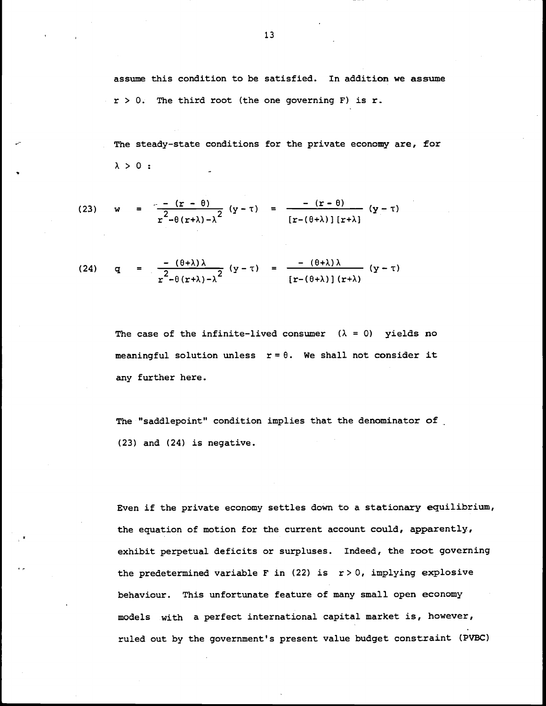assume this condition to be satisfied. In addition we assume  $r > 0$ . The third root (the one governing F) is r.

The steady-state conditions for the private economy are, for  $\lambda > 0$ :

(23) 
$$
w = \frac{-(r - \theta)}{r^2 - \theta(r + \lambda) - \lambda^2} (y - \tau) = \frac{-(r - \theta)}{[r - (\theta + \lambda)] [r + \lambda]} (y - \tau)
$$

(24) 
$$
q = \frac{-(\theta+\lambda)\lambda}{r^2 - \theta(r+\lambda)-\lambda^2} (y-\tau) = \frac{-(\theta+\lambda)\lambda}{[r-(\theta+\lambda)] (r+\lambda)} (y-\tau)
$$

The case of the infinite-lived consumer  $(\lambda = 0)$  yields no meaningful solution unless  $r = \theta$ . We shall not consider it any further here.

The "saddlepoint" condition implies that the denominator of (23) and (24) is negative.

Even if the private economy settles down to a stationary equilibrium, the equation of motion for the current account could, apparently, exhibit perpetual deficits or surpluses. Indeed, the root governing the predetermined variable F in (22) is  $r > 0$ , implying explosive behaviour. This unfortunate feature of many small open economy models with a perfect international capital market is, however, ruled out by the government's present value budget constraint (PVBC)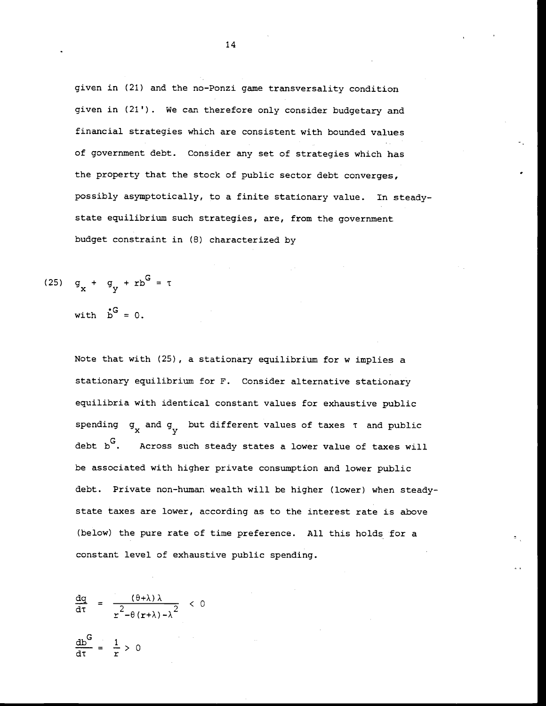given in (21) and the no-Ponzi game transversality condition given in (21'). We can therefore only consider budgetary and financial strategies which are consistent with bounded values of government debt. Consider any set of strategies which has the property that the stock of public sector debt converges, possibly asymptotically, to a finite stationary value. In steadystate equilibrium such strategies, are, from the government budget constraint in (8) characterized by

$$
(25) \quad g_x + g_y + rb^G = \tau
$$

with  $b^G = 0$ .

Note that with (25), a stationary equilibrium for w implies a stationary equilibrium for F. Consider alternative stationary equilibria with identical constant values for exhaustive public spending  $g_{\mathbf{x}}$  and  $g_{\mathbf{y}}$  but different values of taxes  $\tau$  and public debt  $b^G$ . Across such steady states a lower value of taxes will be associated with higher private consumption and lower public debt. Private non-human wealth will be higher (lower) when steady state taxes are lower, according as to the interest rate is above (below) the pure rate of time preference. All this holds for a constant level of exhaustive public spending.

$$
\frac{dq}{d\tau} = \frac{(\theta + \lambda)\lambda}{r^2 - \theta(r + \lambda) - \lambda^2} < 0
$$

 $= \frac{1}{r} > 0$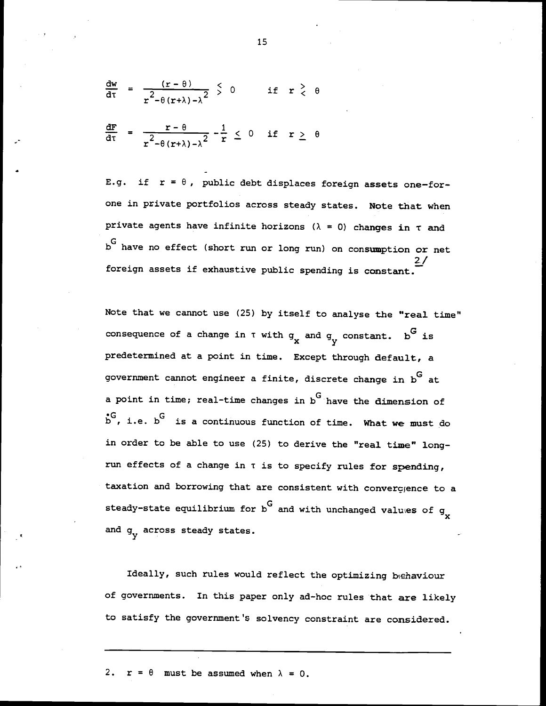$$
\frac{dw}{dt} = \frac{(r - \theta)}{r^2 - \theta(r + \lambda) - \lambda^2} \leq 0 \quad \text{if} \quad r \geq \theta
$$

$$
\frac{dF}{d\tau} = \frac{r - \theta}{r^2 - \theta (r + \lambda) - \lambda^2} - \frac{1}{r} \leq 0 \quad \text{if} \quad r \geq \theta
$$

E.g. if  $r = \theta$ , public debt displaces foreign assets one-forone in private portfolios across steady states. Note that when private agents have infinite horizons ( $\lambda = 0$ ) changes in  $\tau$  and bG have no effect (short run or long run) on consumption or net 2/ foreign assets if exhaustive public spending is constant.

Note that we cannot use (25) by itself to analyse the "real time" consequence of a change in  $\tau$  with  $g_{\mathbf{y}}$  and  $g_{\mathbf{y}}$  constant. b<sup>G</sup> is predetermined at a point in time. Except through default, a government cannot engineer a finite, discrete change in  $b^G$  at a point in time; real-time changes in  $b^G$  have the dimension of \*G, i.e. b<sup>G</sup> is a continuous function of time. What we must do in order to be able to use (25) to derive the "real time" long run effects of a change in  $\tau$  is to specify rules for spending, taxation and borrowing that are consistent with convergence to a steady-state equilibrium for  $b^G$  and with unchanged values of  $g_{\downarrow}$ and  $g_v$  across steady states.

Ideally, such rules would reflect the optimizing behaviour of governments. In this paper only ad-hoc rules that are likely to satisfy the government's solvency constraint are considered.

2.  $r = \theta$  must be assumed when  $\lambda = 0$ .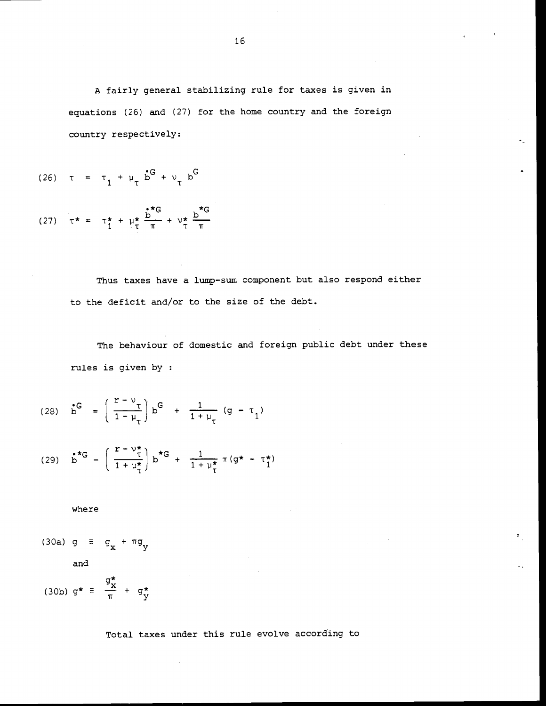A fairly general stabilizing rule for taxes is given in equations (26) and (27) for the home country and the foreign country respectively:

(26) 
$$
\tau = \tau_1 + \mu_\tau \dot{b}^G + \nu_\tau b^G
$$

(27) 
$$
\tau^* = \tau_1^* + \mu_1^* \frac{b^*c}{\pi} + \nu_1^* \frac{b^*c}{\pi}
$$

Thus taxes have a lump—sum component but also respond either to the deficit and/or to the size of the debt.

The behaviour of domestic and foreign public debt under these rules is given by

(28) 
$$
b^G = \left(\frac{r - v_\tau}{1 + \mu_\tau}\right) b^G + \frac{1}{1 + \mu_\tau} (g - \tau_1)
$$

(29) 
$$
b^{*G} = \left(\frac{r - v_{\tau}^{*}}{1 + \mu_{\tau}^{*}}\right) b^{*G} + \frac{1}{1 + \mu_{\tau}^{*}} \pi (g^{*} - \tau_{1}^{*})
$$

where

(30a) 
$$
g \equiv g_x + \pi g_y
$$
  
and

$$
(30b) \quad g^* \equiv \frac{\pi}{g_x^*} + g_y^*
$$

Total taxes under this rule evolve according to

 $\mathcal{L}_{\mathcal{A}}$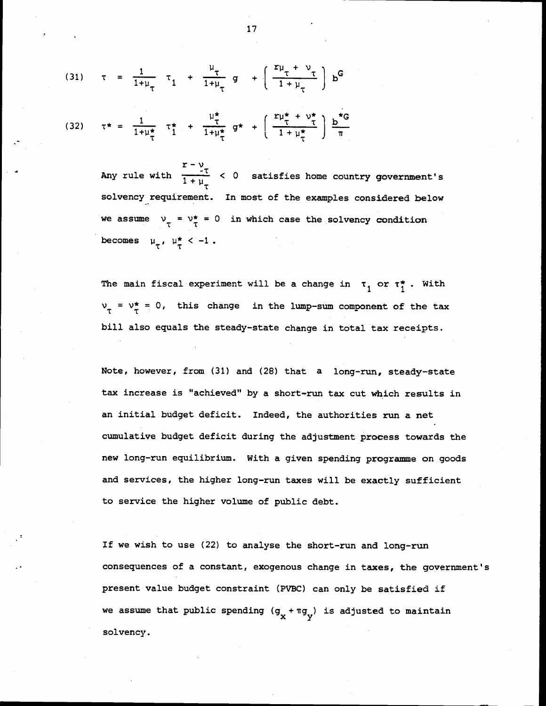(31) 
$$
\tau = \frac{1}{1+\mu_{\tau}} \tau_1 + \frac{\mu_{\tau}}{1+\mu_{\tau}} g + \left(\frac{r\mu_{\tau} + \nu_{\tau}}{1+\mu_{\tau}}\right) b^{G}
$$
  
\n(32)  $\tau^* = \frac{1}{1+\mu_{\tau}^*} \tau_1^* + \frac{\mu_{\tau}^*}{1+\mu_{\tau}^*} g^* + \left(\frac{r\mu_{\tau}^* + \nu_{\tau}^*}{1+\mu_{\tau}^*}\right) \frac{b^{*}G}{\pi}$ 

Any rule with  $\frac{r-v}{1+\mu}$  < 0 satisfies home country government's solvency requirement. In most of the examples considered below we assume  $v_{\tau} = v_{\tau}^{*} = 0$  in which case the solvency condition becomes  $\mu_{\tau}$ ,  $\mu_{\tau}^{\star}$  < -1.

The main fiscal experiment will be a change in  $\tau_1$  or  $\tau_1^*$ . With  $v_{\tau} = v_{\tau}^* = 0$ , this change in the lump-sum component of the tax bill also equals the steady-state change in total tax receipts.

Note, however, from (31) and (28) that a long-run, steady—state tax increase is "achieved" by a short-run tax cut which results in an initial budget deficit. Indeed, the authorities run a net cumulative budget deficit during the adjustment process towards the new long-run equilibrium. With a given spending programme on goods and services, the higher long-run taxes will be exactly sufficient to service the higher volume of public debt.

If we wish to use (22) to analyse the short-run and long—run consequences of a constant, exogenous change in taxes, the government's present value budget constraint (PVBC) can only be satisfied if we assume that public spending  $(g_x + \pi g_y)$  is adjusted to maintain solvency.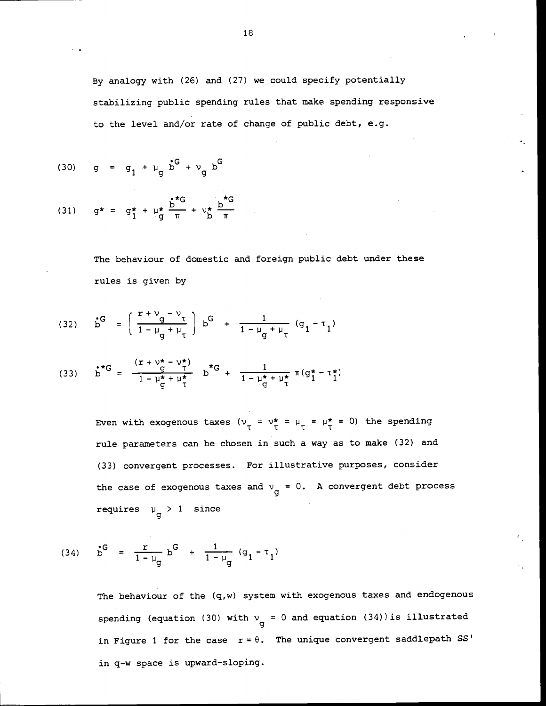By analogy with (26) and (27) we could specify potentially stabilizing public spending rules that make spending responsive to the level and/or rate of change of public debt, e.g.

(30) 
$$
g = g_1 + \mu_g \dot{b}^G + \nu_g b^G
$$

(31) 
$$
g^* = g_1^* + \mu_g^* \frac{b^*G}{\pi} + \nu_b^* \frac{b^*G}{\pi}
$$

The behaviour of domestic and foreign public debt under these rules is given by

(32) 
$$
b^G = \left(\frac{r + v_g - v_\tau}{1 - \mu_g + \mu_\tau}\right) b^G + \frac{1}{1 - \mu_g + \mu_\tau} (g_1 - \tau_1)
$$

(33) 
$$
b^{*G} = \frac{(r + v^* - v^*)}{1 - \mu^* + \mu^*} b^{*G} + \frac{1}{1 - \mu^* + \mu^*} \pi (g^* - \tau^*)
$$

Even with exogenous taxes  $(v_{\tau} = v_{\tau}^* = \mu_{\tau}^* = \mu_{\tau}^* = 0)$  the spending rule parameters can be chosen in such a way as to make (32) and (33) convergent processes. For illustrative purposes, consider the case of exogenous taxes and  $v_g = 0$ . A convergent debt process requires  $\mu_{\mathbf{q}} > 1$  since

(34) 
$$
b^G = \frac{r}{1-\mu_g} b^G + \frac{1}{1-\mu_g} (g_1 - \tau_1)
$$

The behaviour of the (q,w) system with exogenous taxes and endogenous spending (equation (30) with  $v_{\text{g}} = 0$  and equation (34))is illustrated in Figure 1 for the case  $r = \theta$ . The unique convergent saddlepath SS' in q-w space is upward-sloping.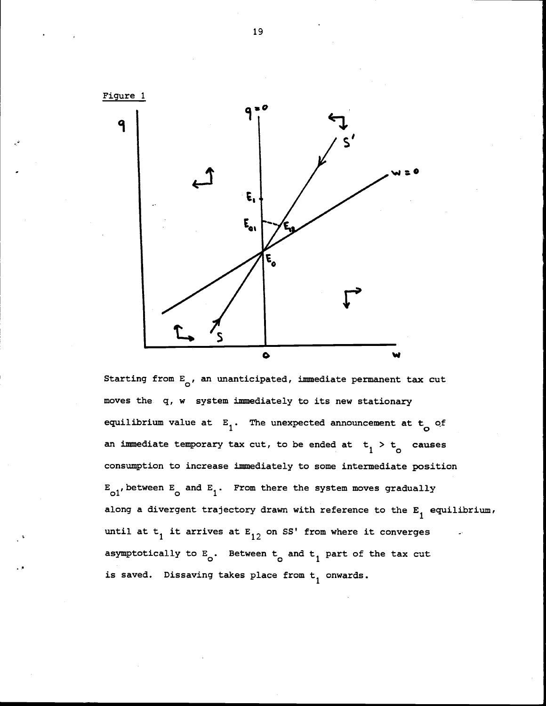

Starting from  $E_{\text{o}}$ , an unanticipated, immediate permanent tax cut moves the q, w system immediately to its new stationary equilibrium value at  $E_1$ . The unexpected announcement at  $t_0$  of an immediate temporary tax cut, to be ended at  $t_1 > t_0$  causes consumption to increase immediately to some intermediate position  $E_{01}$ , between  $E_{0}$  and  $E_{1}$ . From there the system moves gradually along a divergent trajectory drawn with reference to the  $E_1$  equilibrium, until at  $t_1$  it arrives at  $E_{12}$  on SS' from where it converges asymptotically to  $E_0$ . Between  $t_0$  and  $t_1$  part of the tax cut is saved. Dissaving takes place from  $t_1$  onwards.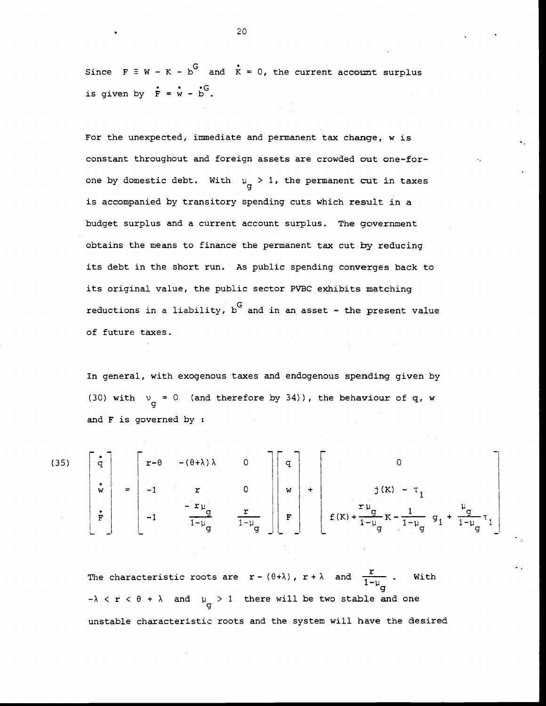Since  $F \equiv W - K - b^G$  and  $\dot{K} = 0$ , the current account surplus is given by  $\dot{F} = \dot{w} - \dot{b}$ .

For the unexpected, immediate and permanent tax change, w is constant throughout and foreign assets are crowded out one-forone by domestic debt. With  $\mu_{\sigma} > 1$ , the permanent cut in taxes is accompanied by transitory spending cuts which result in a budget surplus and a current account surplus. The government obtains the means to finance the permanent tax cut by reducing its debt in the short run. As public spending converges back to its original value, the public sector PVBC exhibits matching reductions in a liability,  $b<sup>G</sup>$  and in an asset - the present value of future taxes.

In general, with exogenous taxes and endogenous spending given by (30) with  $v_{\text{g}} = 0$  (and therefore by 34)), the behaviour of q, w and F is governed by :

(35)  $\begin{vmatrix} q & q & q \end{vmatrix}$   $\begin{vmatrix} r-\theta & -(\theta+\lambda) \lambda & 0 \end{vmatrix}$   $\begin{vmatrix} q & q \end{vmatrix}$  (  $\mathbf{w}$  = -1 r 0 ||  $\mathbf{w}$  + j(K) -  $\tau_1$  $\mathbf{F}$  -1  $-\mathbf{r}$   $\mathbf{y}$   $\mathbf{r}$   $\mathbf{r}$   $\mathbf{r}$   $\mathbf{r}$   $\mathbf{r}$   $\mathbf{r}$   $\mathbf{r}$   $\mathbf{r}$   $\mathbf{r}$   $\mathbf{r}$   $\mathbf{r}$   $\mathbf{r}$   $\mathbf{r}$   $\mathbf{r}$   $\mathbf{r}$   $\mathbf{r}$   $\mathbf{r}$   $\mathbf{r}$   $\mathbf{r}$   $\mathbf{r}$   $\mathbf{r}$   $\$  $\begin{bmatrix} 1 & 1 & 1 \\ 1 & 1 & 1 \\ 1 & 1 & 1 \end{bmatrix}$   $\begin{bmatrix} 1-p_q \\ q \end{bmatrix}$   $\begin{bmatrix} 1 & 1 \\ 1 & 1 \end{bmatrix}$   $\begin{bmatrix} 1 & 1 & 1 \\ 1 & 1 & 1 \end{bmatrix}$   $\begin{bmatrix} 1 & 1 & 1 \\ q & 1 & 1 \end{bmatrix}$ 

The characteristic roots are  $\mathbf{r} = (\theta + \lambda)$ ,  $\mathbf{r} + \lambda$  and  $\frac{\mathbf{r}}{1 + \lambda}$ . With  $\mathbf{q}$  $-\lambda < r < \theta + \lambda$  and  $\mu_{\sigma} > 1$  there will be two stable and one unstable characteristic roots and the system will have the desired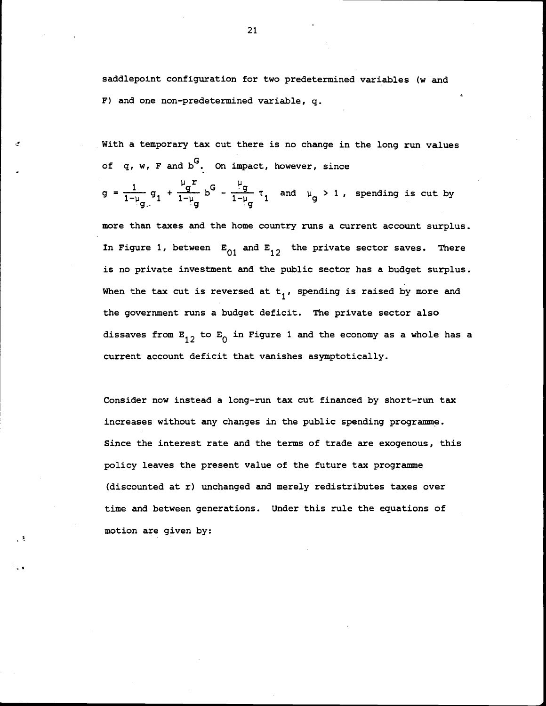saddlepoint configuration for two predetermined variables (w and F) and one non-predetermined variable, q.

With a temporary tax cut there is no change in the long run values of q, w, F and b<sup>G</sup>. On impact, however, since

$$
g = \frac{1}{1-\mu_g} g_1 + \frac{\mu_g r}{1-\mu_g} b^G - \frac{\mu_g}{1-\mu_g} \tau_1 \text{ and } \mu_g > 1, \text{ spending is cut by}
$$

more than taxes and the home country runs a current account surplus. In Figure 1, between  $E_{01}$  and  $E_{12}$  the private sector saves. There is no private investment and the public sector has a budget surplus. When the tax cut is reversed at  $t_1$ , spending is raised by more and the government runs a budget deficit. The private sector also dissaves from  $E_{12}$  to  $E_0$  in Figure 1 and the economy as a whole has a current account deficit that vanishes asymptotically.

Consider now instead a long-run tax cut financed by short-run tax increases without any changes in the public spending programme. Since the interest rate and the terms of trade are exogenous, this policy leaves the present value of the future tax programme (discounted at r) unchanged and merely redistributes taxes over time and between generations. Under this rule the equations of motion are given by: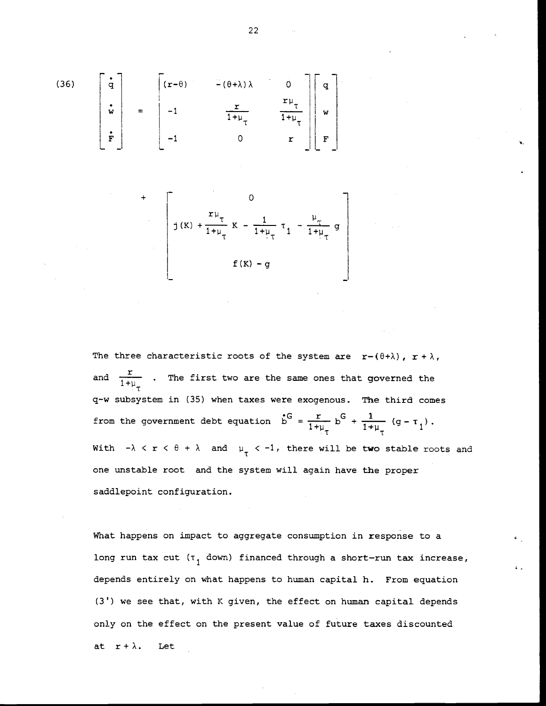(36) 
$$
\begin{bmatrix} \dot{\mathbf{q}} \\ \dot{\mathbf{w}} \\ \dot{\mathbf{r}} \end{bmatrix} = \begin{bmatrix} (\mathbf{r} - \theta) & -(\theta + \lambda) \lambda & 0 \\ -1 & \frac{\mathbf{r}}{1 + \mu_{\tau}} & \frac{\mathbf{r} \mu_{\tau}}{1 + \mu_{\tau}} \end{bmatrix} \begin{bmatrix} \mathbf{q} \\ \mathbf{w} \\ \mathbf{r} \end{bmatrix}
$$

+ 0  $\frac{1}{1+\mu_{\tau}} K - \frac{1}{1+\mu_{\tau}} \tau_1 - \frac{\mu_{\tau}}{1+\mu_{\tau}} g$  $f(K) - g$ 

The three characteristic roots of the system are  $r-(\theta+\lambda)$ ,  $r+\lambda$ , and  $\frac{r}{1+\mu_r}$  . The first two are the same ones that governed the q—w subsystem in (35) when taxes were exogenous. The third comes from the government debt equation  $\dot{b}^G = \frac{r}{1+\mu_{\tau}} b^G + \frac{1}{1+\mu_{\tau}} (g - \tau_1)$ . With  $-\lambda < r < \theta + \lambda$  and  $\mu_{\tau} < -1$ , there will be two stable roots and one unstable root and the system will again have the proper saddlepoint configuration.

what happens on impact to aggregate consumption in response to a long run tax cut  $(\tau_1$  down) financed through a short-run tax increase, depends entirely on what happens to human capital h. From equation (3') we see that, with K given, the effect on human capital depends only on the effect on the present value of future taxes discounted at  $r + \lambda$ . Let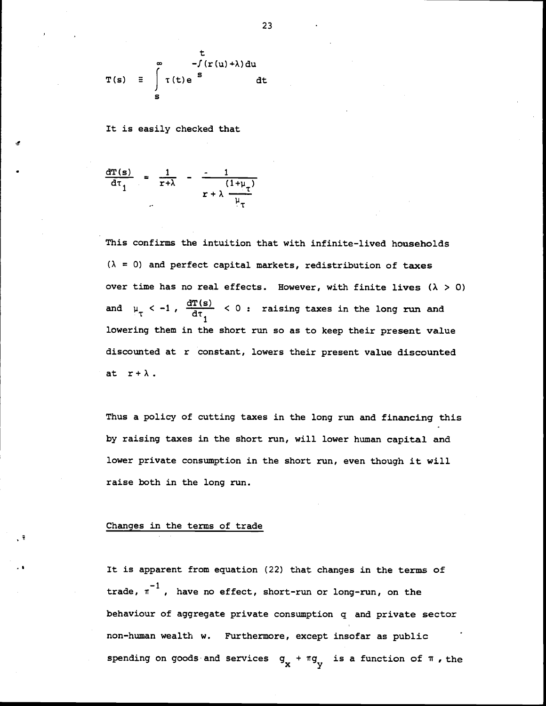$$
T(s) = \int_{s}^{\infty} T(t)e^{st} dt
$$

It is easily checked that

$$
\frac{d\mathbf{T(s)}}{d\tau_1} = \frac{1}{r+\lambda} - \frac{1}{r+\lambda} \frac{(1+\mu_{\tau})}{\mu_{\tau}}
$$

This confirms the intuition that with infinite-lived households  $(\lambda = 0)$  and perfect capital markets, redistribution of taxes over time has no real effects. However, with finite lives  $(\lambda > 0)$ and  $\mu_{\tau}$  < -1,  $\frac{d T(s)}{dt}$  < 0 : raising taxes in the long run and 1 lowering them in the short run so as to keep their present value discounted at r constant, lowers their present value discounted at  $r+\lambda$ .

Thus a policy of cutting taxes in the long run and financing this by raising taxes in the short run, will lower human capital and lower private consumption in the short run, even though it will raise both in the long run.

# Changes in the terms of trade

It is apparent from equation (22) that changes in the terms of trade,  $\pi^{-1}$ , have no effect, short-run or long-run, on the behaviour of aggregate private consumption q and private sector non—human wealth w. Furthermore, except insofar as public spending on goods and services  $q_x + \pi q_y$  is a function of  $\pi$ , the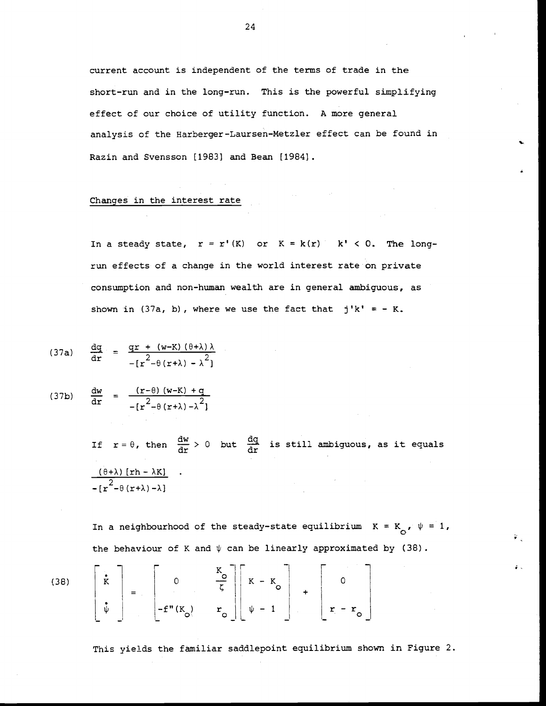current account is independent of the terms of trade in the short-run and in the long-run. This is the powerful simplifying effect of our choice of utility function. A more general analysis of the Harberger-Laursen—MetZler effect can be found in Razin and Svensson [1983] and Bean [1984].

## Changes in the interest rate

In a steady state,  $r = r'(K)$  or  $K = k(r)$   $k' < 0$ . The longrun effects of a change in the world interest rate on private consumption and non-human wealth are in general ambiguous, as shown in (37a, b), where we use the fact that  $j'k' = -K$ .

$$
(37a) \quad \frac{dq}{dr} = \frac{qr + (w-K)(\theta + \lambda)\lambda}{-[r^2 - \theta(r+\lambda) - \lambda^2]}
$$

$$
(37b) \quad \frac{dw}{dr} = \frac{(r-\theta)(w-K) + q}{-[r^2-\theta(r+\lambda)-\lambda^2]}
$$

If  $r = \theta$ , then  $\frac{dw}{dr} > 0$  but  $\frac{dq}{dr}$  is still ambiguous, as it equals  $(\theta + \lambda)$  [rh –  $\lambda$ K] .  $-[r^2-\theta(r+\lambda)-\lambda]$ 

In a neighbourhood of the steady-state equilibrium  $K = K_{0}$ ,  $\psi = 1$ , the behaviour of K and  $\psi$  can be linearly approximated by (38).

(38) 
$$
\begin{bmatrix} \mathbf{\dot{x}} \\ \mathbf{\dot{v}} \end{bmatrix} = \begin{bmatrix} 0 & \frac{K_o}{\zeta} \\ -\mathbf{f}''(K_o) & \mathbf{r}_o \end{bmatrix} \begin{bmatrix} K - K_o \\ \psi - 1 \end{bmatrix} + \begin{bmatrix} 0 \\ \mathbf{r} - \mathbf{r}_o \end{bmatrix}
$$

This yields the familiar saddlepoint equilibrium shown in Figure 2.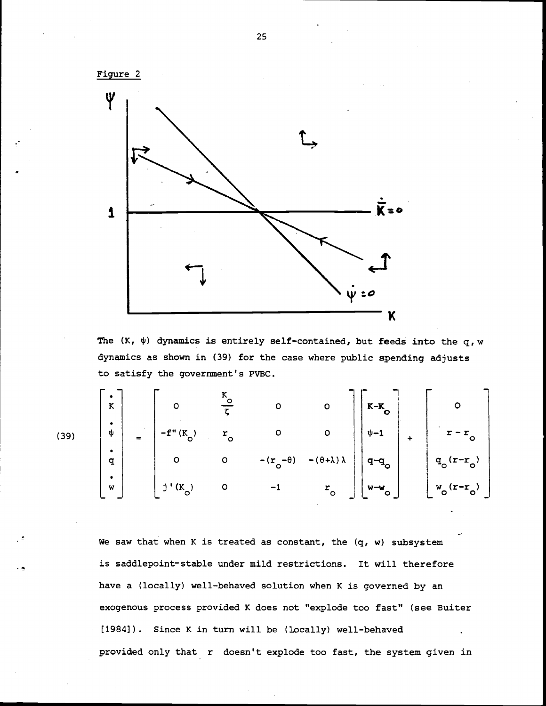

The  $(K, \psi)$  dynamics is entirely self-contained, but feeds into the q, w dynamics as shown in (39) for the case where public spending adjusts to satisfy the government's PVBC.

|      | $\bf K$        |                    | O                                   | A<br>ζ       | $\circ$                          | $\circ$                       | $K-K$<br>Õ                |             | $\circ$                                      |  |
|------|----------------|--------------------|-------------------------------------|--------------|----------------------------------|-------------------------------|---------------------------|-------------|----------------------------------------------|--|
| (39) | $\bullet$<br>ψ | $\sim$<br>$\equiv$ | $-f''$<br>$^{\prime}$ (K $_{\circ}$ | r<br>$\circ$ | O                                | $\circ$                       | $\psi - 1$                | $\ddotmark$ | $\sim$<br>$\circ$                            |  |
|      | ٠<br>q         |                    | o                                   | $\circ$      | $-\theta$ )<br>$-$ (r<br>$\circ$ | $-(\theta + \lambda) \lambda$ | $\mathbf{q}^{\mathbf{O}}$ |             | $-r$<br>$\mathbf{q}_{\mathbf{o}}$<br>$\circ$ |  |
|      | ٠<br>W         |                    | $j'(K_0)$                           | $\circ$      | -1                               | $r_{\rm o}$                   | $W-W$<br>$\circ$<br>–'    |             | $-r$<br>W<br>$\circ$<br>$\circ$              |  |

We saw that when K is treated as constant, the  $(q, w)$  subsystem is saddlepoint-stable under mild restrictions. It will therefore have a (locally) well—behaved solution when K is governed by an exogenous process provided K does not "explode too fast" (see Buiter [1984]). Since K in turn will be (locally) well—behaved provided only that r doesn't explode too fast, the system given in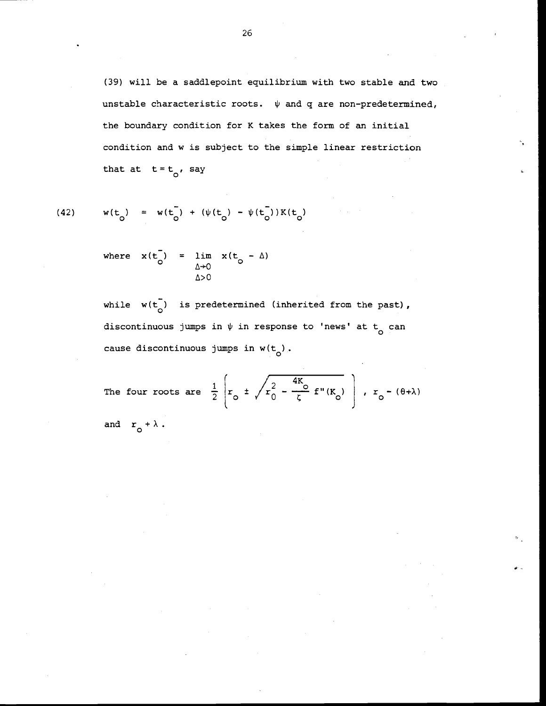(39) will be a saddlepoint equilibrium with two stable and two unstable characteristic roots.  $\psi$  and q are non-predetermined, the boundary condition for K takes the form of an initial condition and w is subject to the simple linear restriction that at  $t=t_o$ , say

(42) 
$$
w(t_0) = w(t_0) + (\psi(t_0) - \psi(t_0))K(t_0)
$$

where  $x(t_0) = \lim_{\Delta \to 0} x(t_0 - \Delta)$  $\Delta > 0$ 

while  $w(t_0)$  is predetermined (inherited from the past), discontinuous jumps in  $\psi$  in response to 'news' at t<sub>o</sub> can cause discontinuous jumps in  $w(t_0)$ .

The four roots are 
$$
\frac{1}{2} \left( r_o \pm \sqrt{r_o^2 - \frac{4K_o}{\zeta}} \pm \sqrt{K_o}
$$
 \right),  $r_o - (\theta + \lambda)$   
and  $r_o + \lambda$ .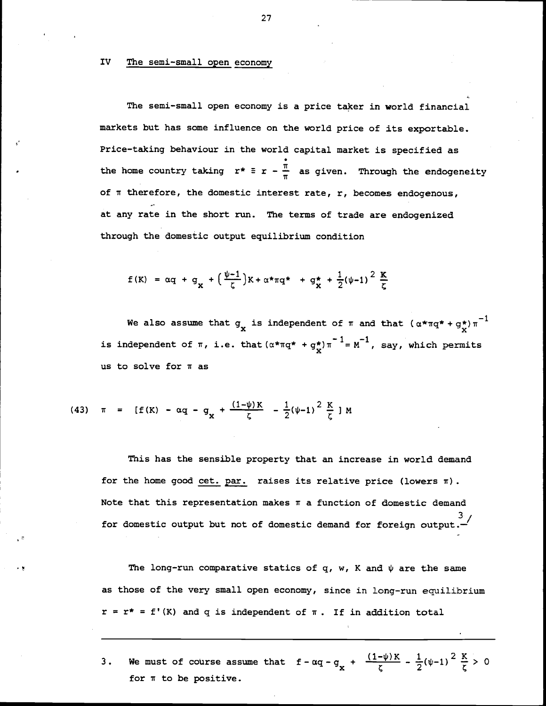IV The semi-small open economy

The semi—small open economy is a price taker in world financial markets but has some influence on the world price of its exportable. Price-taking behaviour in the world capital market is specified as the home country taking  $r^* \equiv r - \frac{\pi}{\pi}$  as given. Through the endogeneity of  $\pi$  therefore, the domestic interest rate, r, becomes endogenous, at any rate in the short run. The terms of trade are endogenized through the domestic output equilibrium condition

$$
f(K) = \alpha q + g_{\mathbf{X}} + \left(\frac{\psi - 1}{\zeta}\right) K + \alpha \star \pi q \star + g_{\mathbf{X}}^{\star} + \frac{1}{2} (\psi - 1)^2 \frac{K}{\zeta}
$$

We also assume that  $g_x$  is independent of  $\pi$  and that  $(\alpha*\pi q^*+g_x^*)\pi^{-1}$ is independent of  $\pi$ , i.e. that  $(\alpha^* \pi q^* + g^*_{\mathbf{x}}) \pi^{-1} = M^{-1}$ , say, which permits us to solve for  $\pi$  as

(43) 
$$
\pi = [f(K) - \alpha q - q_x + \frac{(1-\psi)K}{\zeta} - \frac{1}{2}(\psi-1)^2 \frac{K}{\zeta}]M
$$

This has the sensible property that an increase in world demand for the home good cet. par. raises its relative price (lowers  $\pi$ ). Note that this representation makes  $\pi$  a function of domestic demand for domestic output but not of domestic demand for foreign output.

The long-run comparative statics of q, w, K and  $\psi$  are the same as those of the very small open economy, since in long—run equilibrium  $r = r^* = f'(K)$  and q is independent of  $\pi$ . If in addition total

3. We must of course assume that  $f - \alpha q - g_x + \frac{(1-\psi)K}{\zeta} - \frac{1}{2}(\psi-1)^2 \frac{K}{\zeta} > 0$ for  $\pi$  to be positive.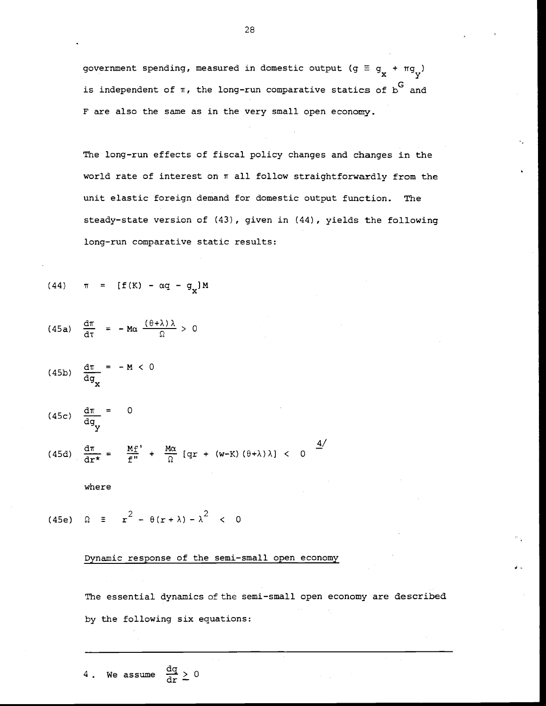government spending, measured in domestic output ( $g \equiv g_{v} + \pi g_{v}$ ) is independent of  $\pi$ , the long-run comparative statics of  $\delta^G$  and F are also the same as in the very small open economy.

The long—run effects of fiscal policy changes and changes in the world rate of interest on  $\pi$  all follow straightforwardly from the unit elastic foreign demand for domestic output function. The steady—state version of (43), given in (44), yields the following long—run comparative static results:

(44) 
$$
\pi = [f(K) - \alpha q - g_x]M
$$

(45a) 
$$
\frac{d\pi}{d\tau} = -M\alpha \frac{(\theta + \lambda)\lambda}{\Omega} > 0
$$

$$
(45b) \quad \frac{d\pi}{dg_x} = -M < 0
$$

$$
(45c) \quad \frac{d\pi}{dg_v} = 0
$$

(45d)  $\frac{d\pi}{dr\star} = \frac{Mf'}{f''} + \frac{M\alpha}{\Omega} [qr + (w-K)(\theta + \lambda)\lambda] < 0$ 

$$
\quad \text{where} \quad
$$

(45e)  $\Omega = r^2 - \theta (r + \lambda) - \lambda^2 < 0$ 

## Dynamic response of the semi—small open economy

The essential dynamics of the semi-small open economy are described by the following six equations:

$$
28 - 1
$$

4. We assume  $\frac{dq}{dr} \geq 0$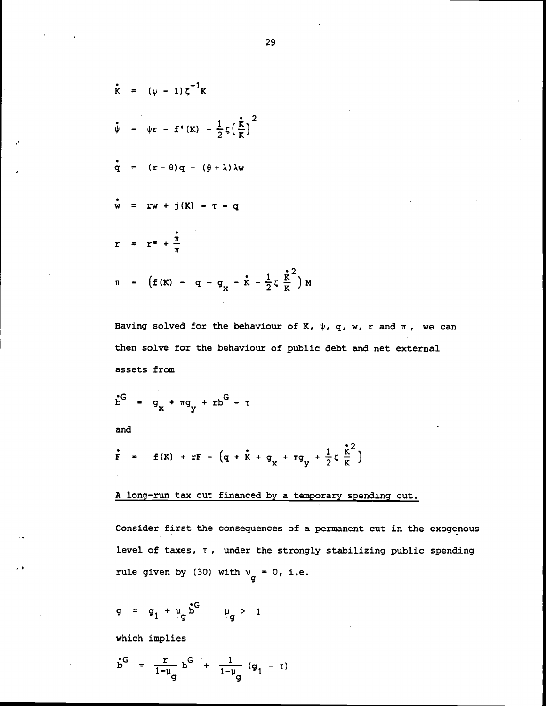$$
\dot{\mathbf{r}} = (\psi - 1) \zeta^{-1} \mathbf{K}
$$
\n
$$
\dot{\psi} = \psi \mathbf{r} - \mathbf{f}^{\top} (\mathbf{K}) - \frac{1}{2} \zeta \left( \frac{\dot{\mathbf{r}}}{\mathbf{K}} \right)^{2}
$$
\n
$$
\dot{\mathbf{q}} = (\mathbf{r} - \theta) \mathbf{q} - (\theta + \lambda) \lambda \mathbf{w}
$$
\n
$$
\dot{\mathbf{w}} = \mathbf{r} \mathbf{w} + \mathbf{j} (\mathbf{K}) - \mathbf{\tau} - \mathbf{q}
$$
\n
$$
\mathbf{r} = \mathbf{r} \mathbf{\dot{*}} + \frac{\dot{\mathbf{r}}}{\pi}
$$
\n
$$
\pi = (\mathbf{f} (\mathbf{K}) - \mathbf{q} - \mathbf{q} - \mathbf{q} - \dot{\mathbf{K}} - \frac{1}{2} \zeta \frac{\dot{\mathbf{r}}^{2}}{\mathbf{K}}) \mathbf{M}
$$

Having solved for the behaviour of K,  $\psi$ , q, w, r and  $\pi$ , we can then solve for the behaviour of public debt and net external assets from

 $\mathbf{M}$ 

$$
b^G = g_x + \pi g_y + r b^G - \tau
$$
  
and

$$
\dot{F}
$$
 = f(K) + rF - (q + \dot{k} + q<sub>x</sub> + \pi q<sub>y</sub> + \frac{1}{2}\zeta \frac{\dot{k}^2}{K})

<sup>A</sup> long-run tax cut financed by a temporary spending cut.

Consider first the consequences of a permanent cut in the exogenous level of taxes, T , under the strongly stabilizing public spending rule given by (30) with  $v_g = 0$ , i.e.

 $g = g_1 + \mu_g b^G$   $\mu_g > 1$ 

which implies

$$
b^G = \frac{r}{1-\mu_g} b^G + \frac{1}{1-\mu_g} (g_1 - \tau)
$$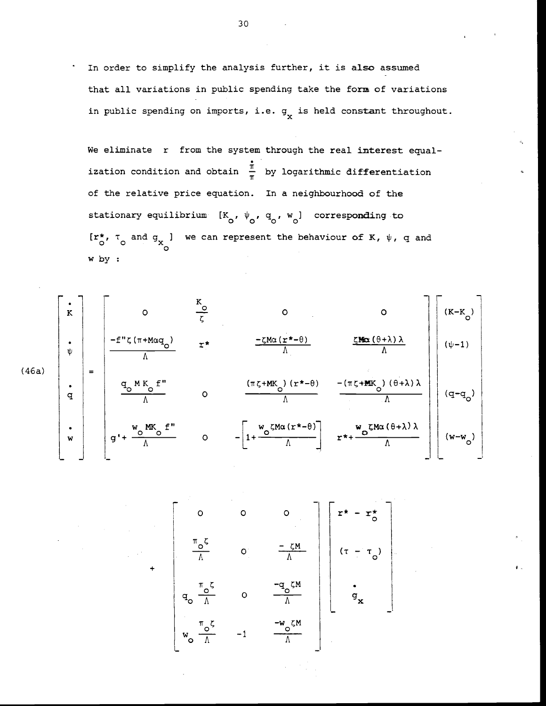In order to simplify the analysis further, it is also assumed that all variations in public spending take the form of variations in public spending on imports, i.e.  $g_{\mathbf{y}}$  is held constant throughout.

We eliminate r from the system through the real interest equalization condition and obtain  $\frac{\pi}{\pi}$  by logarithmic differentiation of the relative price equation. In a neighbourhood of the stationary equilibrium  $[K_{0}, \psi_{0}, q_{0}, w_{0}]$  corresponding to  $[r^*_{\circ}, \tau_{\circ}]$  and  $g_{\chi}$  we can represent the behaviour of K,  $\psi$ , q and w by



$$
+\begin{bmatrix}\n0 & 0 & 0 \\
\frac{\pi_{0}\zeta}{\Lambda} & 0 & \frac{-\zeta M}{\Lambda}\n\end{bmatrix}\n\begin{bmatrix}\nr^* - r^* \\
(\tau - \tau_0)\n\end{bmatrix}
$$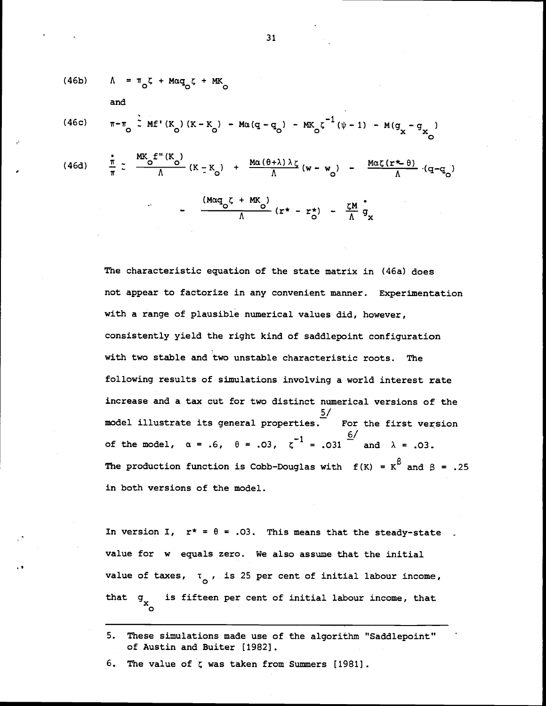(46b) 
$$
\Lambda = \pi_{0}\zeta + M\alpha q_{0}\zeta + MK_{0}
$$
  
and  
(46c) 
$$
\pi - \pi_{0} \stackrel{?}{\sim} MF'(K_{0})(K - K_{0}) - M\alpha (q - q_{0}) - MK_{0}\zeta^{-1}(\psi - 1) - M(q_{x} - q_{x})
$$
  
(46d) 
$$
\frac{\pi}{\pi} \frac{MK_{0}f''(K_{0})}{\Lambda}(K - K_{0}) + \frac{M\alpha(\theta + \lambda)\lambda\zeta}{\Lambda}(w - w_{0}) - \frac{M\alpha\zeta(r + \theta)}{\Lambda} (q - q_{0})
$$

$$
-\frac{(M\alpha q_{\circ} \zeta + MK_{\circ})}{\Lambda}(r^* - r^*) - \frac{\zeta M}{\Lambda} q_x
$$

The characteristic equation of the state matrix in (46a) does not appear to factorize in any convenient manner. Experimentation with a range of plausible numerical values did, however, consistently yield the right kind of saddlepoint configuration with two stable and two unstable characteristic roots. The following results of simulations involving a world interest rate increase and a tax cut for two distinct numerical versions of the For the first version model illustrate its general properties. of the model,  $\alpha = .6$ ,  $\theta = .03$ ,  $\zeta^{-1} = .031$  and  $\lambda = .03$ . The production function is Cobb-Douglas with  $f(K) = K^{\beta}$  and  $\beta = .25$ in both versions of the model.

In version I,  $r^* = \theta = .03$ . This means that the steady-state value for w equals zero. We also assume that the initial value of taxes,  $\tau_{\alpha}$ , is 25 per cent of initial labour income, that  $g_{\mathbf{x}}$  is fifteen per cent of initial labour income, that

5. These simulations made use of the algorithm "Saddlepoint" of Austin and Buiter [1982].

6. The value of  $\zeta$  was taken from Summers [1981].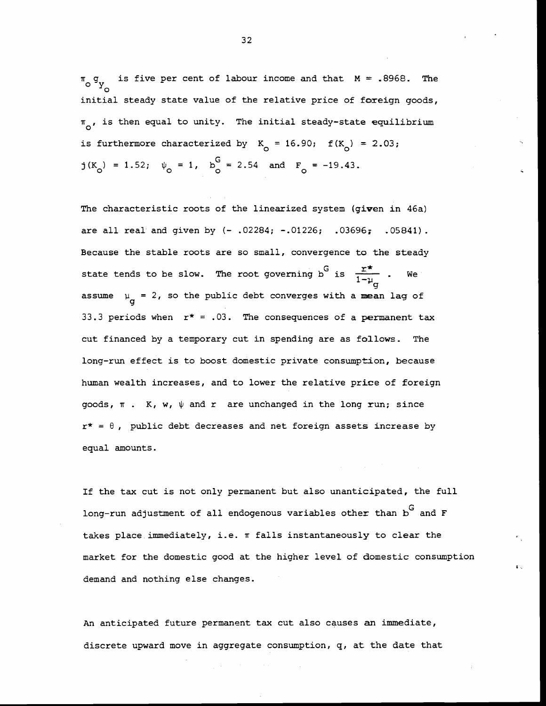$\pi_{\text{o}}$  g<sub>y</sub> is five per cent of labour income and that  $M = .8968$ . The initial steady state value of the relative price of foreign goods,  $\pi_{\alpha}$ , is then equal to unity. The initial steady-state equilibrium is furthermore characterized by  $K_{0} = 16.90; f(K_{0}) = 2.03;$  $j(K_0) = 1.52$ ;  $\psi_0 = 1$ ,  $b_0^G = 2.54$  and  $F_0 = -19.43$ .

The characteristic roots of the linearized system (given in 46a) are all real and given by  $(-.02284; -.01226; .03696; .05841)$ . Because the stable roots are so small, convergence to the steady state tends to be slow. The root governing b<sup>G</sup> is  $\frac{r^*}{1-r_{\mu}}$  . We . We assume  $\mu_{\alpha} = 2$ , so the public debt converges with a mean lag of 33.3 periods when  $r^* = .03$ . The consequences of a permanent tax cut financed by a temporary cut in spending are as follows. The long—run effect is to boost domestic private consumption, because human wealth increases, and to lower the relative price of foreign goods,  $\pi$  . K, w,  $\psi$  and r are unchanged in the long run; since  $r^* = \theta$ , public debt decreases and net foreign assets increase by equal amounts.

If the tax cut is not only permanent but also unanticipated, the full long-run adjustment of all endogenous variables other than  $b^G$  and F takes place immediately, i.e.  $\pi$  falls instantaneously to clear the market for the domestic good at the higher level of domestic consumption demand and nothing else changes.

An anticipated future permanent tax cut also causes an immediate, discrete upward move in aggregate consumption, q, at the date that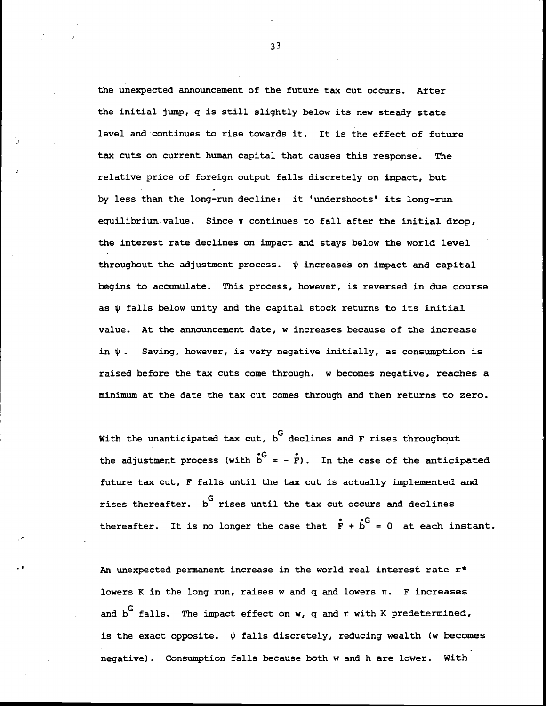the unexpected announcement of the future tax cut occurs. After the initial jump, q is still slightly below its new steady state level and continues to rise towards it. It is the effect of future tax cuts on current human capital that causes this response. The relative price of foreign output falls discretely on impact, but by less than the long-run decline: it 'undershoots' its long-run equilibrium. value. Since  $\pi$  continues to fall after the initial drop, the interest rate declines on impact and stays below the world level throughout the adjustment process.  $\psi$  increases on impact and capital begins to accumulate. This process, however, is reversed in due course as  $\psi$  falls below unity and the capital stock returns to its initial value. At the announcement date, w increases because of the increase in  $\psi$ . Saving, however, is very negative initially, as consumption is raised before the tax cuts come through. w becomes negative, reaches a minimum at the date the tax cut comes through and then returns to zero.

With the unanticipated tax cut,  $\overline{G}$  declines and F rises throughout the adjustment process (with  $\overrightarrow{b}^G = -\overrightarrow{F}$ ). In the case of the anticipated future tax cut, F falls until the tax cut is actually implemented and rises thereafter.  $b^G$  rises until the tax cut occurs and declines thereafter. It is no longer the case that  $\dot{F} + \dot{b}^G = 0$  at each instant.

An unexpected permanent increase in the world real interest rate  $r^*$ lowers K in the long run, raises w and  $q$  and lowers  $\pi$ . F increases and  $b^G$  falls. The impact effect on w, q and  $\pi$  with K predetermined, is the exact opposite.  $\psi$  falls discretely, reducing wealth (w becomes negative). Consumption falls because both w and h are lower. With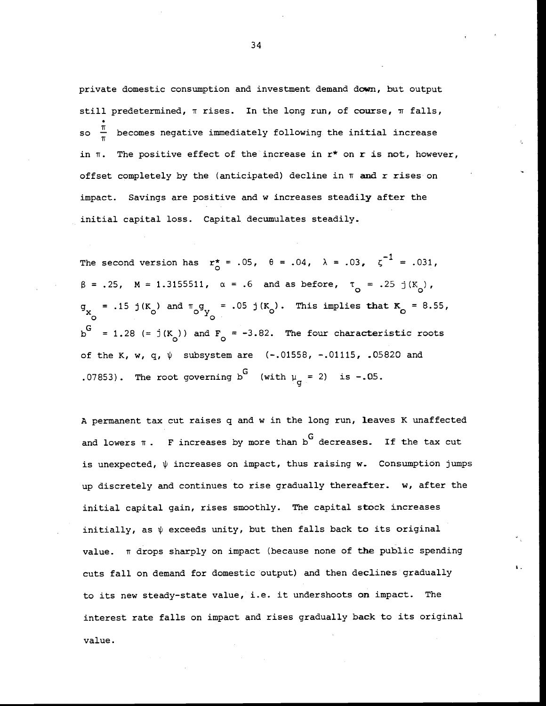private domestic consumption and investment demand down, but output still predetermined,  $\pi$  rises. In the long run, of course,  $\pi$  falls, so  $\frac{\pi}{\pi}$  becomes negative immediately following the initial increase in  $\pi$ . The positive effect of the increase in  $r^*$  on  $r$  is not, however, offset completely by the (anticipated) decline in  $\pi$  and r rises on impact. Savings are positive and w increases steadily after the initial capital loss. Capital decumulates steadily.

The second version has  $r_{\Omega}^* = .05$ ,  $\theta = .04$ ,  $\lambda = .03$ ,  $\zeta^{-1} = .031$ ,  $\beta$  = .25, M = 1.3155511,  $\alpha$  = .6 and as before,  $\tau_{0}$  = .25 j(K<sub>0</sub>),  $g_x = .15$  j(K<sub>o</sub>) and  $\pi_{\text{o}}g_y = .05$  j(K<sub>o</sub>). This implies that K<sub>o</sub> = 8.55, xo  $b^G$  = 1.28 (=  $j(K_o)$ ) and  $F_o$  = -3.82. The four characteristic roots of the K, w, q,  $\psi$  subsystem are  $(-.01558, -.01115, .05820$  and .07853). The root governing b<sup>G</sup> (with  $\mu_{\sigma} = 2$ ) is -.05.

A permanent tax cut raises q and w in the long run, leaves K unaffected and lowers  $\pi$ . F increases by more than b<sup>G</sup> decreases. If the tax cut is unexpected,  $\psi$  increases on impact, thus raising w. Consumption jumps up discretely and continues to rise gradually thereafter. w, after the initial capital gain, rises smoothly. The capital stock increases initially, as  $\psi$  exceeds unity, but then falls back to its original value.  $\pi$  drops sharply on impact (because none of the public spending cuts fall on demand for domestic output) and then declines gradually to its new steady-state value, i.e. it undershoots on impact. The interest rate falls on impact and rises gradually back to its original value.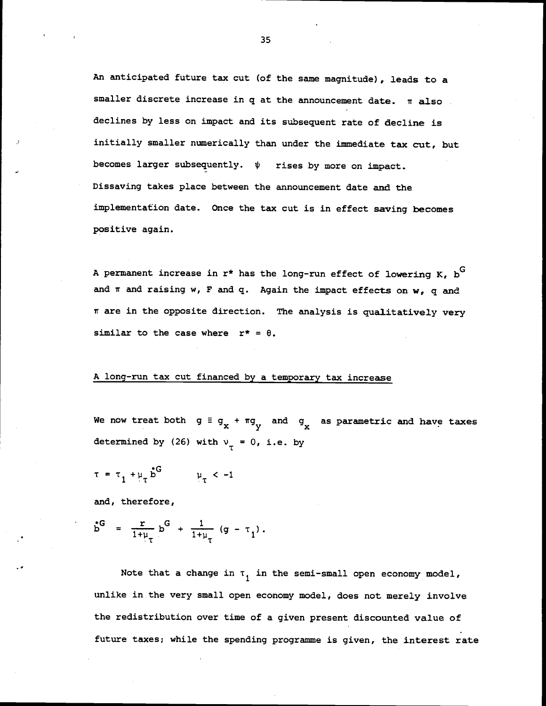An anticipated future tax cut (of the same magnitude), leads to a smaller discrete increase in  $q$  at the announcement date.  $\pi$  also declines by less on impact and its subsequent rate of decline is initially smaller numerically than under the immediate tax cut, but becomes larger subsequently.  $\psi$  rises by more on impact. Dissaving takes place between the announcement date and the implementation date. Once the tax cut is in effect saving becomes positive again.

A permanent increase in  $r^*$  has the long-run effect of lowering K,  $b^G$ and  $\pi$  and raising w, F and q. Again the impact effects on w, q and ir are in the opposite direction. The analysis is qualitatively very similar to the case where  $r^* = \theta$ .

## A long-run tax cut financed by a temporary tax increase

We now treat both  $g \equiv g_x + \pi g_y$  and  $g_x$  as parametric and have taxes determined by (26) with  $v_{\tau} = 0$ , i.e. by

$$
\tau = \tau_1 + \mu_\tau \stackrel{\bullet}{\triangleright}^G \qquad \mu_\tau < -1
$$

and, therefore,

$$
\mathbf{b}^{\mathsf{G}} = \frac{\mathsf{r}}{1 + \mu_{\tau}} \mathsf{b}^{\mathsf{G}} + \frac{1}{1 + \mu_{\tau}} (\mathsf{g} - \tau_{1}).
$$

Note that a change in  $\tau_1$  in the semi-small open economy model, unlike in the very small open economy model, does not merely involve the redistribution over time of a given present discounted value of future taxes; while the spending programme is given, the interest rate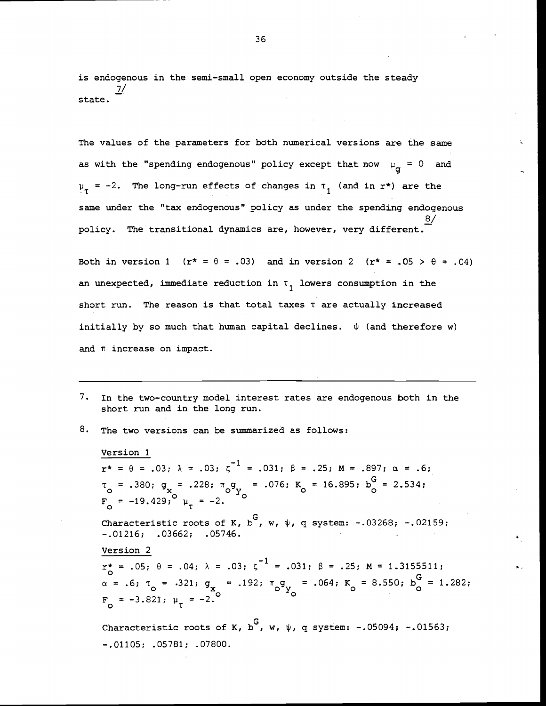is endogenous in the semi-small open economy outside the steady 7/ state.

The values of the parameters for both numerical versions are the same as with the "spending endogenous" policy except that now  $\mu_{\alpha} = 0$  and  $\mu_{\tau}$  = -2. The long-run effects of changes in  $\tau_{1}$  (and in r\*) are the same under the "tax endogenous" policy as under the spending endogenous 8/ policy. The transitional dynamics are, however, very different.

Both in version 1 ( $r^* = \theta = .03$ ) and in version 2 ( $r^* = .05 > \theta = .04$ ) an unexpected, immediate reduction in  $\tau_1$  lowers consumption in the short run. The reason is that total taxes T are actually increased initially by so much that human capital declines.  $\psi$  (and therefore w) and  $\pi$  increase on impact.

- 7. In the two—country model interest rates are endogenous both in the short run and in the long run.
- 8. The two versions can be summarized as follows:

Version 1  $r^* = \theta = .03; \lambda = .03; \zeta^{-1} = .031; \beta = .25; M = .897; \alpha = .6;$  $T_o$  = .380;  $g_x$  = .228;  $\pi_o g_y$  = .076;  $K_o$  = 16.895;  $b_o^G$  = 2.534;  $F_{\odot} = -19.429; ^{\circ} \mu_{\tau} = -2.$ Characteristic roots of K,  $b^G$ , w,  $\psi$ , q system: -.03268; -.02159; —.01216; .03662; .05746. Version 2  $r_{\alpha}^* = .05; \theta = .04; \lambda = .03; \zeta^{-1} = .031; \beta = .25; M = 1.3155511;$  $\alpha$  = .6;  $\tau_o$  = .321;  $g_x$  = .192;  $\pi_o g_y$  = .064;  $K_o$  = 8.550;  $b_o^G$  = 1.282;  $F_{0} = -3.821; \mu_{\tau} = -2.$ 

Characteristic roots of K, b<sup>G</sup>, w,  $\psi$ , q system: -.05094; -.01563; —.01105; .05781; .07800.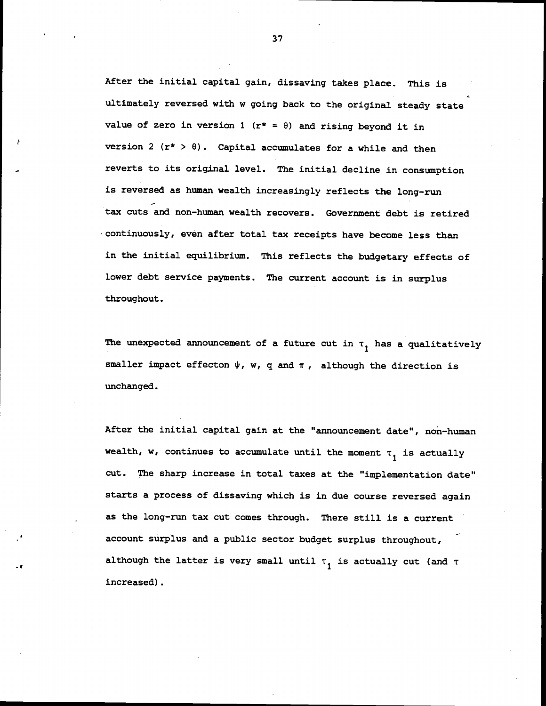After the initial capital gain, dissaving takes place. This is ultimately reversed with w going back to the original steady state value of zero in version 1 ( $r* = \theta$ ) and rising beyond it in version 2 ( $r* > \theta$ ). Capital accumulates for a while and then reverts to its original level. The initial decline in consumption is reversed as human wealth increasingly reflects the long-run tax cuts and non—human wealth recovers. Government debt is retired continuously, even after total tax receipts have become less than in the initial equilibrium. This reflects the budgetary effects of lower debt service payments. The current account is in surplus throughout.

The unexpected announcement of a future cut in  $\tau_1$  has a qualitatively smaller impact effecton  $\psi$ , w, q and  $\pi$ , although the direction is unchanged.

After the initial capital gain at the "announcement date", non-human wealth, w, continues to accumulate until the moment  $\tau_1$  is actually cut. The sharp increase in total taxes at the "implementation date" starts a process of dissaving which is in due course reversed again as the long-run tax cut comes through. There still is a current account surplus and a public sector budget surplus throughout,  $$ although the latter is very small until  $\tau$ , is actually cut (and  $\tau$ increased).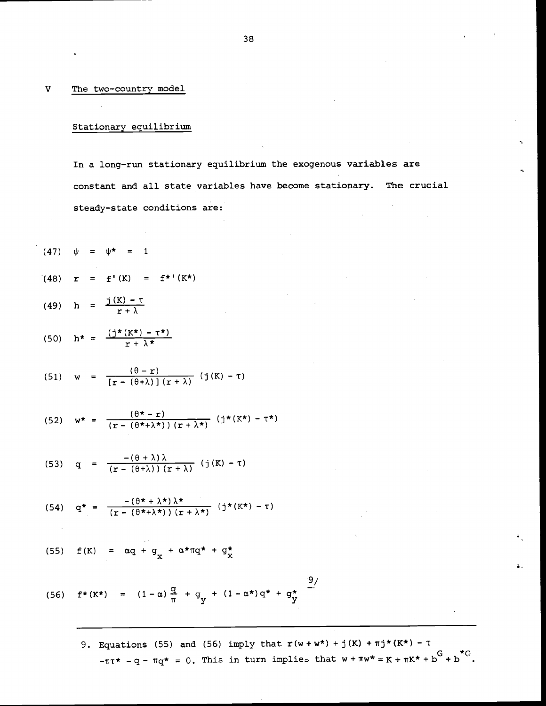#### V The two-country model

# Stationary equilibrium

In a long—run stationary equilibrium the exogenous variables are constant and all state variables have become stationary. The crucial steady—state conditions are:

(47) 
$$
\psi = \psi^* = 1
$$
  
\n(48)  $\mathbf{r} = \mathbf{f}'(K) = \mathbf{f}^{*'}(K^*)$   
\n(49)  $\mathbf{h} = \frac{\mathbf{j}(K) - \mathbf{r}}{\mathbf{r} + \lambda}$ 

$$
(50) \quad h^* = \frac{(j^*(K^*) - \tau^*)}{r + \lambda^*}
$$

(51) 
$$
w = \frac{(\theta - r)}{[r - (\theta + \lambda)] (r + \lambda)} (j(K) - \tau)
$$

(52) 
$$
w^* = \frac{(\theta^* - r)}{(r - (\theta^* + \lambda^*)) (r + \lambda^*)} (j^*(K^*) - \tau^*)
$$

(53) 
$$
q = \frac{-(\theta + \lambda)\lambda}{(r - (\theta + \lambda))(r + \lambda)}
$$
 (j(K) - T)

(54) 
$$
q^* = \frac{-(\theta^* + \lambda^*)\lambda^*}{(r - (\theta^* + \lambda^*)) (r + \lambda^*)}
$$
 (j\*(K\*) - T)

(55) 
$$
f(K) = \alpha q + g_{X} + \alpha \star \pi q \star + g_{X}^{\star}
$$

(56) 
$$
f^*(K^*) = (1-\alpha)\frac{q}{\pi} + q_y + (1-\alpha^*)q^* + q_y^*
$$

9. Equations (55) and (56) imply that  $r(w+w*) + j(K) + \pi j^*(K^*) - \tau$  $-\pi\tau^*$  -q- $\pi q^*$  = 0. This in turn implies that  $w+\pi w^* = K+\pi K^*+b^G+b^*$ .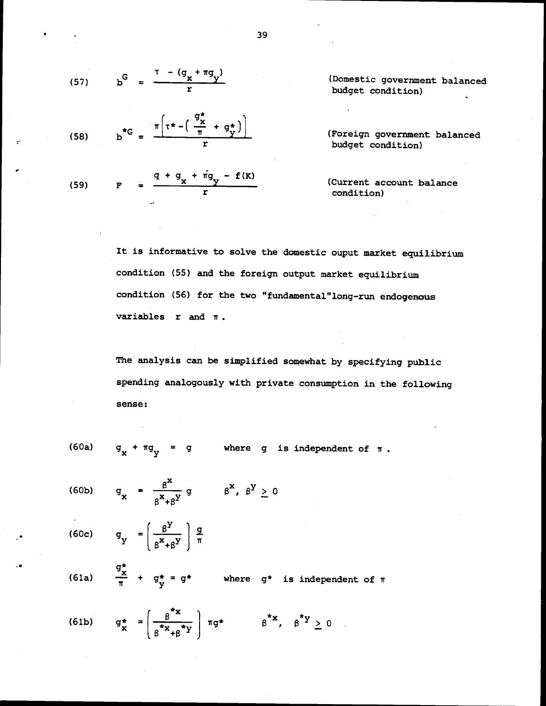(57) 
$$
b^{G} = \frac{\tau - (q_{x} + \pi q_{y})}{r}
$$

(58) 
$$
b^{*G} = \frac{\pi \left( \tau^* - \left( \frac{9\chi}{\pi} + g\frac{\chi}{\chi} \right) \right)}{r}
$$
 (Foreign government balanced budget condition)

(Domestic government balanced budget condition)

budget condition)

(Current account balance condition)

It is informative to solve the domestic ouput market equilibrium condition (55) and the foreign output market equilibrium condition (56) for the two "fundamental"long-run endogenous variables  $r$  and  $\pi$ .

The analysis can be simplified somewhat by specifying public spending analogously with private consumption in the following sense:

 $\beta^{Y} \geq 0$ 

(60a)  $g_y + \pi g_y = g$  where g is independent of  $\pi$ .

$$
(60b) \qquad g_x = \frac{\beta^x}{\beta^x + \beta^y} g \qquad \beta^x,
$$

 $R^{\chi}$  a (60c)  $g_y = \left(\frac{\beta^Y}{Y} \right) \frac{g}{\pi}$  $\mathbf{y} = \left(\frac{\mathbf{x} + \mathbf{y}}{\mathbf{x} + \mathbf{y}}\right) = \overline{\mathbf{x}}$ 

 $\mathsf{G}_{\mathbf{x}}^{\star}$ (61a)  $\frac{4}{\pi}$  + g\* = g\* where g\* is independent of  $\pi$ 

(61b) 
$$
g_x^* = \left(\frac{\beta^{*x}}{\beta^{*x} + \beta^{*y}}\right) \pi g^*
$$
  $\beta^{*x}, \beta^{*y} \ge 0$ 

39

 $- f(K)$ 

(59) F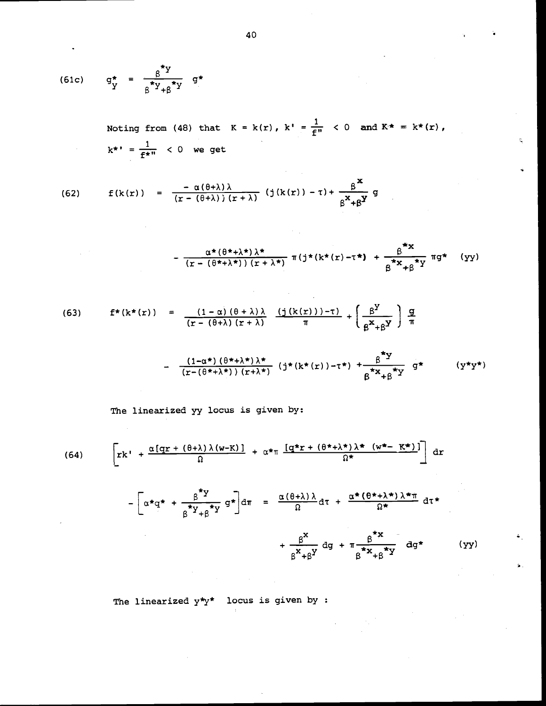$$
(61c) \qquad g^*_{\mathbf{y}} = \frac{g^* \mathbf{y}}{g^* \mathbf{y} + g^* \mathbf{y}} \quad g^*
$$

Noting from (48) that  $K = k(r)$ ,  $k' = \frac{1}{f''} < 0$  and  $K^* = k^*(r)$ ,  $k^* = \frac{1}{f^{*n}} < 0$  we get

(62) 
$$
f(k(r)) = \frac{-\alpha(\theta+\lambda)\lambda}{(r-(\theta+\lambda))(r+\lambda)} (j(k(r)) - \tau) + \frac{\beta^{x}}{\beta^{x}+\beta^{y}}g
$$

$$
-\frac{\alpha^{\star}(\theta^{\star}+\lambda^{\star})\lambda^{\star}}{(r-(\theta^{\star}+\lambda^{\star}))(r+\lambda^{\star})}\pi(j^{\star}(k^{\star}(r)-\tau^{\star})+\frac{\beta^{\star}x}{\beta^{\star}x_{+\beta}^{\star}y}\pi g^{\star} (yy)
$$

(63) 
$$
f^*(k^*(r)) = \frac{(1-\alpha)(\theta+\lambda)\lambda}{(r-(\theta+\lambda)(r+\lambda))} \frac{(j(k(r)))-\tau)}{\pi} + \left(\frac{\beta^Y}{\beta^X+\beta^Y}\right) \frac{g}{\pi}
$$

$$
- \frac{(1-\alpha^*)(\theta^*+\lambda^*))}{(r-(\theta^*+\lambda^*)) (r+\lambda^*)} (j^*(k^*(r))-\tau^*) + \frac{\beta^*y}{\beta^*x+\beta^*y} g^* \qquad (y^*y^*)
$$

The linearized yy locus is given by:

(64) 
$$
\left[ \mathbf{r} \mathbf{k}^{\dagger} + \frac{\alpha [\mathbf{q} \mathbf{r} + (\theta + \lambda) \lambda (\mathbf{w} - \mathbf{K})]}{\Omega} + \alpha \star_{\pi} \frac{[\mathbf{q} \star \mathbf{r} + (\theta \star + \lambda \star) \lambda \star (\mathbf{w} \star - \mathbf{K} \star)]}{\Omega \star} \right] d\mathbf{r}
$$

$$
-\left[\alpha \star q^* + \frac{\beta^* Y}{\beta^* Y + \beta^* Y} g^* \right] d\pi = \frac{\alpha (\theta + \lambda) \lambda}{\Omega} d\tau + \frac{\alpha^* (\theta^* + \lambda^*) \lambda^* \pi}{\Omega^*} d\tau^* + \frac{\beta^*}{\beta^* + \beta^* Y} d\theta^* + \pi \frac{\beta^* \pi}{\beta^* X + \beta^* Y} d\theta^* \qquad (yy)
$$

 $\sim$   $\mu$  .

The linearized  $y^*y^*$  locus is given by :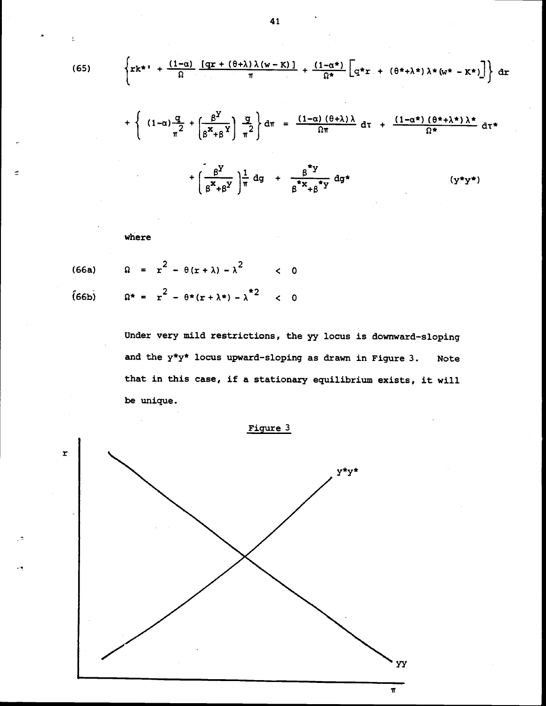(65) 
$$
\left\{ \mathbf{r} \mathbf{k}^* + \frac{(1-\alpha)}{\Omega} \frac{[\mathbf{q} \mathbf{r} + (\theta + \lambda) \lambda (\mathbf{w} - \mathbf{K})]}{\pi} + \frac{(1-\alpha^*)}{\Omega^*} \left[ \mathbf{q}^* \mathbf{r} + (\theta^* + \lambda^*) \lambda^* (\mathbf{w}^* - \mathbf{K}^*) \right] \right\} d\mathbf{r} + \left\{ (1-\alpha) \frac{\mathbf{q}}{\pi^2} + \left[ \frac{\beta^Y}{\beta^* + \beta^Y} \right] \frac{\mathbf{q}}{\pi^2} \right\} d\pi = \frac{(1-\alpha) (\theta + \lambda) \lambda}{\Omega \pi} d\tau + \frac{(1-\alpha^*) (\theta^* + \lambda^*) \lambda^*}{\Omega^*} d\tau^* + \left[ \frac{\beta^Y}{\beta^* + \beta^Y} \right] \frac{1}{\pi} d\mathbf{q} + \frac{\beta^* \mathbf{y}}{\beta^* \mathbf{x} + \beta^* \mathbf{y}} d\mathbf{q}^* \qquad (y^* y^*)
$$

where

ź.

 $\vec{z}$ 

್ಲಿನ

(66a) 
$$
\Omega = r^2 - \theta(r + \lambda) - \lambda^2 < 0
$$
  
(66b) 
$$
\Omega^* = r^2 - \theta^*(r + \lambda^*) - \lambda^{*2} < 0
$$

Under very mild restrictions, the yy locus is downward—sloping and the  $y*y*$  locus upward-sloping as drawn in Figure 3. Note that in this case, if a stationary equilibrium exists, it will be unique.



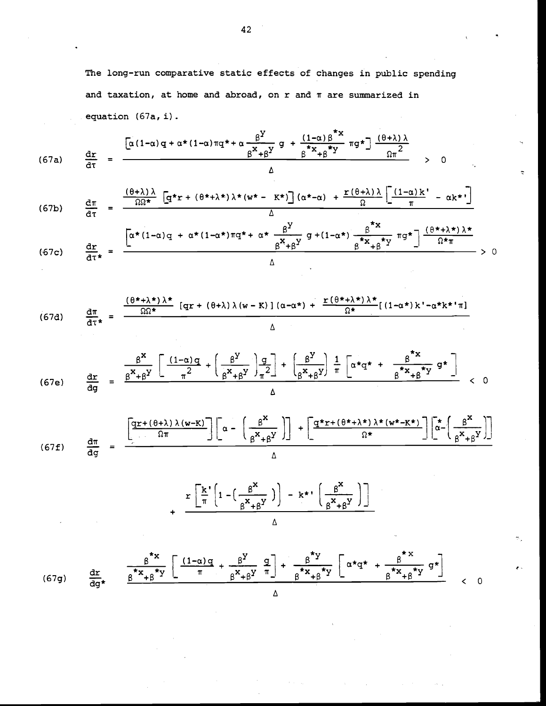The long-run comparative static effects of changes in public spending and taxation, at home and abroad, on  $r$  and  $\pi$  are summarized in equation (67a, i).

$$
(67a) \quad \frac{d\mathbf{r}}{d\tau} = \frac{\left[\alpha(1-\alpha)q + \alpha*(1-\alpha)\pi q + \alpha\frac{\beta^Y}{\beta^X+\beta^Y}g + \frac{(1-\alpha)\beta^*x}{\beta^*x+\beta^*y}g + \frac{(\theta+\lambda)\lambda}{\beta^*x}\right]g + \frac{(\theta+\lambda)\lambda}{\beta^*x}}{\Delta} \quad > 0
$$

(67b) 
$$
\frac{d\pi}{d\tau} = \frac{\frac{(\theta+\lambda)\lambda}{\Omega\Omega^*} \left[ q^*r + (\theta^*+\lambda^*)\lambda^*(w^* - K^*) \right] (\alpha^*-\alpha) + \frac{r(\theta+\lambda)\lambda}{\Omega} \left[ \frac{(1-\alpha)k}{\pi} - \alpha k^* \right]}{\Delta}
$$

$$
(67c) \frac{d\mathbf{r}}{d\tau^*} = \frac{\left[\alpha^*(1-\alpha)q + \alpha^*(1-\alpha^*)\pi q^* + \alpha^* \frac{\beta^Y}{\beta^*+\beta^Y} q^*(1-\alpha^*) \frac{\beta^*x}{\beta^*x+\beta^*y} \pi q^*\right] \frac{(\theta^*+\lambda^*)\lambda^*}{\Omega^* \pi}}{\Delta} > 0
$$

$$
(67d) \frac{d\pi}{d\tau^*} = \frac{\frac{(\theta^* + \lambda^*)\lambda^*}{\Omega\Omega^*} \left[qr + (\theta + \lambda)\lambda(w - K)\right](\alpha - \alpha^*) + \frac{r(\theta^* + \lambda^*)\lambda^*}{\Omega^*} \left[(1 - \alpha^*)k' - \alpha^*k^*\right]\pi}{\Delta}
$$

$$
(67e) \frac{dx}{dg} = \frac{\frac{\beta^{x}}{\beta^{x}+\beta^{y}} \left[ \frac{(1-\alpha)q}{\pi^{2}} + \left(\frac{\beta^{y}}{\beta^{x}+\beta^{y}}\right)\frac{q}{\pi^{2}} \right] + \left[\frac{\beta^{y}}{\beta^{x}+\beta^{y}}\right] \frac{1}{\pi} \left[ \alpha^{*}q^{*} + \frac{\beta^{*}x}{\beta^{*}x+\beta^{*}y} q^{*} \right]}{\beta^{*}x+\beta^{*}y} < 0
$$

$$
(67f) \quad \frac{d\pi}{dg} = \frac{\left[\frac{qr + (\theta + \lambda)\lambda(w - K)}{\Omega\pi}\right]\left[\alpha - \left(\frac{\beta^{X}}{\beta^{X} + \beta^{Y}}\right)\right] + \left[\frac{q^{*}r + (\theta^{*} + \lambda^{*})\lambda^{*}(w^{*} - K^{*})}{\Omega^{*}}\right]\left[\frac{1}{\alpha} - \left(\frac{\beta^{X}}{\beta^{X} + \beta^{Y}}\right)\right]}{\Delta}
$$

$$
+\frac{r\left[\frac{k}{\pi}\left(1-\left(\frac{\beta^{X}}{\beta^{X}+\beta^{Y}}\right)\right)-k^{\star}\left(\frac{\beta^{X}}{\beta^{X}+\beta^{Y}}\right)\right]}{\Delta}
$$

$$
(67g) \quad \frac{d\mathbf{r}}{d\mathbf{g}^*} \quad \frac{\frac{\beta^* \mathbf{x}}{\beta^* \mathbf{x} + \beta^* \mathbf{y}} \left[ \frac{(1-\alpha)q}{\pi} + \frac{\beta^{\mathbf{y}}}{\beta^{\mathbf{x}} + \beta^{\mathbf{y}}}\frac{q}{\pi} \right] + \frac{\beta^* \mathbf{y}}{\beta^* \mathbf{x} + \beta^{\mathbf{y}} \mathbf{y}} \left[ \alpha^* \mathbf{q}^* + \frac{\beta^* \mathbf{x}}{\beta^* \mathbf{x} + \beta^{\mathbf{y}}}\frac{q}{\beta^{\mathbf{x}}}\right] \quad < 0
$$

 $\alpha_{\rm{max}} = \gamma_{\rm{max}}$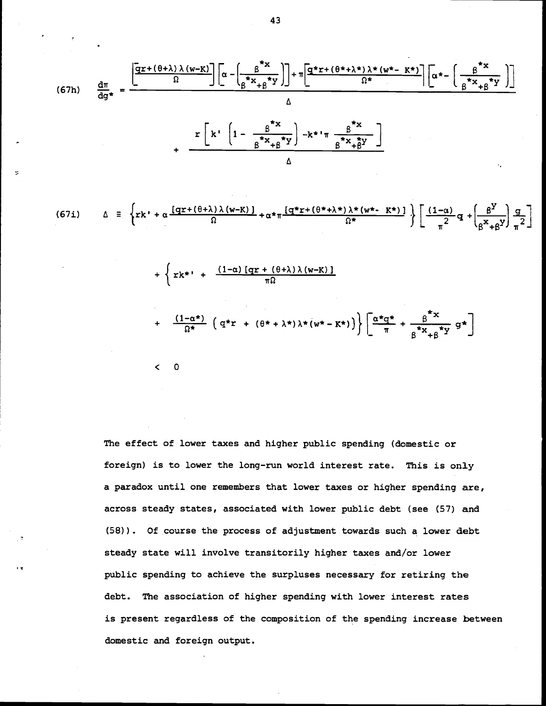$$
(67h) \frac{d\pi}{dg*} = \frac{\left[\frac{qr + (\theta + \lambda)\lambda(w-K)}{\Omega}\right]\left[\alpha - \left(\frac{\beta^{*}x}{\beta^{*}x + \beta^{*}y}\right)\right] + \pi\left[\frac{q^{*}r + (\theta^{*} + \lambda^{*})\lambda^{*}(w^{*} - K^{*})}{\Omega^{*}}\right]\left[\alpha^{*} - \left(\frac{\beta^{*}x}{\beta^{*}x + \beta^{*}y}\right)\right]}{\Delta}
$$
\n
$$
+ \frac{r\left[k'\left(1 - \frac{\beta^{*}x}{\beta^{*}x + \beta^{*}y}\right) - k^{*}\pi\frac{\beta^{*}x}{\beta^{*}x + \beta^{*}}\right]}{\Delta}
$$

Δ

$$
(67i) \qquad \Delta \equiv \left\{ \n \begin{array}{l} \Delta \equiv \left\{ \n \begin{array}{c} \Delta \equiv \frac{[\n \alpha + (\theta + \lambda) \lambda (\mathbf{w} - \mathbf{K})]}{\Omega} + \alpha \star \pi \frac{[\n \alpha \star \mathbf{r} + (\theta \star + \lambda \star) \lambda \star (\mathbf{w} \star - \mathbf{K} \star)]}{\Omega \star} \end{array} \n \right\} \n \begin{array}{l} \left[ \frac{(1 - \alpha)}{\pi^2} \mathbf{q} + \left( \frac{\beta^2}{\beta^2 + \beta^2} \right) \frac{\mathbf{q}}{\pi^2} \right] \n \end{array} \n \end{array} \n \end{array} \right\}
$$

 $\begin{pmatrix} 0 & 0 \\ 0 & 0 \end{pmatrix}$ 

+ 
$$
\left\{ \mathbf{r} \mathbf{k}^* + \frac{(1-\alpha) [\mathbf{q} \mathbf{r} + (\theta + \lambda) \lambda (\mathbf{w} - \mathbf{K})]}{\pi \Omega} \right\}
$$
  
+  $\frac{(1-\alpha^*)}{\Omega^*} \left( \mathbf{q}^* \mathbf{r} + (\theta^* + \lambda^*) \lambda^* (\mathbf{w}^* - \mathbf{K}^*) \right) \right\} \left[ \frac{\alpha^* \mathbf{q}^*}{\pi} + \frac{\beta^* \mathbf{x}}{\beta^* \mathbf{x} + \beta^* \mathbf{y}} \mathbf{g}^* \right]$ 

The effect of lower taxes and higher public spending (domestic or foreign) is to lower the long-run world interest rate. This is only a paradox until one remembers that lower taxes or higher spending are, across steady states, associated with lower public debt (see (57) and (58)). Of course the process of adjustment towards such a lower debt steady state will involve transitorily higher taxes and/or lower public spending to achieve the surpluses necessary for retiring the debt. The association of higher spending with lower interest rates is present regardless of the composition of the spending increase between domestic and foreign output.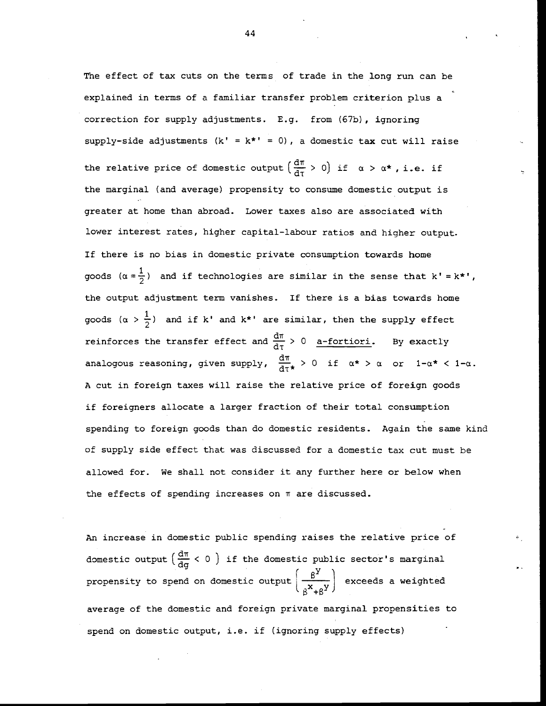The effect of tax cuts on the terms of trade in the long run can be explained in terms of a familiar transfer problem criterion plus a correction for supply adjustments. E.g. from (67b), ignoring supply-side adjustments  $(k' = k^* = 0)$ , a domestic tax cut will raise the relative price of domestic output  $\left(\frac{d\pi}{d\tau} > 0\right)$  if  $\alpha > \alpha^*$ , i.e. if the marginal (and average) propensity to consume domestic output is greater at home than abroad. Lower taxes also are associated with lower interest rates, higher capital-labour ratios and higher output. If there is no bias in domestic private consumption towards home goods  $(\alpha = \frac{1}{2})$  and if technologies are similar in the sense that k' = k\*', the output adjustment term vanishes. If there is a bias towards home goods  $(\alpha > \frac{1}{2})$  and if k' and k\*' are similar, then the supply effect reinforces the transfer effect and  $\frac{d\pi}{d\tau} > 0$  a-fortiori. By exactly analogous reasoning, given supply,  $\frac{d\pi}{d\tau\star}$  > 0 if  $\alpha\star$  >  $\alpha$  or  $1-\alpha\star$  <  $1-\alpha$ . A cut in foreign taxes will raise the relative price of foreign goods if foreigners allocate a larger fraction of their total consumption spending to foreign goods than do domestic residents. Again the same kind of supply side effect that was discussed for a domestic tax cut must be allowed for. We shall not consider it any further here or below when the effects of spending increases on  $\pi$  are discussed.

An increase in domestic public spending raises the relative price of domestic output  $\left(\frac{d\pi}{d\sigma} < 0\right)$  if the domestic public sector's marginal propensity to spend on domestic output  $\frac{\beta^2}{x-y}$  exceeds a weighted  $+$  $\beta$ <sup>Y</sup>  $\rightarrow$ average of the domestic and foreign private marginal propensities to spend on domestic output, i.e. if (ignoring supply effects)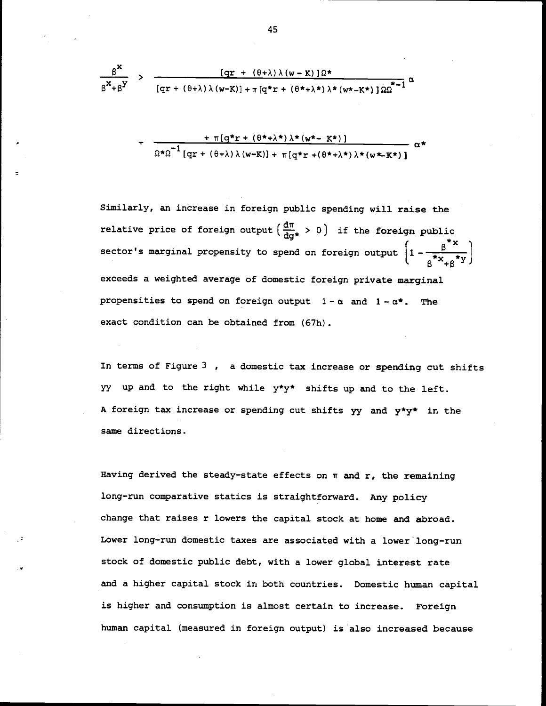$$
\frac{\beta^{X}}{\beta^{X}+\beta^{Y}} > \frac{[qr + (\theta + \lambda)\lambda(w-K)]\Omega^{*}}{[qr + (\theta + \lambda)\lambda(w-K)] + \pi[q^{*}r + (\theta^{*}+\lambda^{*})\lambda^{*}(w^{*}-K^{*})]\Omega\Omega^{*}} \alpha
$$

+ 
$$
\frac{\pi [q^*r + (\theta^*+\lambda^*)\lambda^*(w^*-K^*)]}{\Omega^*\Omega^{-1}[qr + (\theta+\lambda)\lambda(w-K)] + \pi [q^*r + (\theta^*+\lambda^*)\lambda^*(w+K^*)]}
$$
  $\alpha^*$ 

Similarly, an increase in foreign public spending will raise the relative price of foreign output  $\left(\frac{d\pi}{d\alpha^\star} > 0\right)$  if the foreign public sector's marginal propensity to spend on foreign output  $\left(1-\frac{\beta}{\beta^*x_{+\beta}^*y}\right)$ exceeds a weighted average of domestic foreign private marginal propensities to spend on foreign output  $1 - \alpha$  and  $1 - \alpha^*$ . The exact condition can be obtained from (67h).

In terms of Figure  $3$ , a domestic tax increase or spending cut shifts yy up and to the right while  $y*y*$  shifts up and to the left. A foreign tax increase or spending cut shifts  $yy$  and  $y*y*$  in the same directions.

Having derived the steady-state effects on  $\pi$  and  $r$ , the remaining long-run comparative statics is straightforward. Any policy change that raises r lowers the capital stock at home and abroad. Lower long—run domestic taxes are associated with a lower long—run stock of domestic public debt, with a lower global interest rate and a higher capital stock in both countries. Domestic human capital is higher and consumption is almost certain to increase. Foreign human capital (measured in foreign output) is also increased because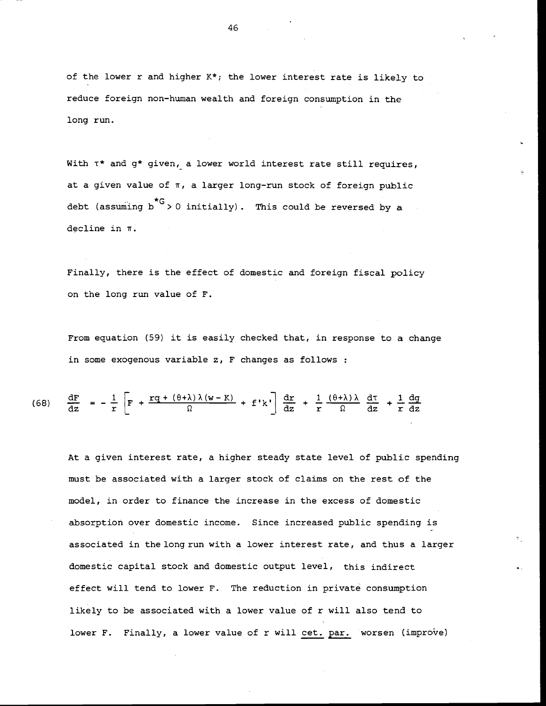of the lower r and higher K\*; the lower interest rate is likely to reduce foreign non-human wealth and foreign consumption in the long run.

With  $\tau^*$  and  $g^*$  given, a lower world interest rate still requires, at a given value of  $\pi$ , a larger long-run stock of foreign public debt (assuming  $b^{*G} > 0$  initially). This could be reversed by a decline in r.

Finally, there is the effect of domestic and foreign fiscal policy on the long run value of F.

From equation (59) it is easily checked that, in response to a change in some exogenous variable z, F changes as follows :

(68) 
$$
\frac{dF}{dz} = -\frac{1}{r} \left[ F + \frac{rq + (\theta + \lambda)\lambda(w - K)}{\Omega} + f'k' \right] \frac{dr}{dz} + \frac{1}{r} \frac{(\theta + \lambda)\lambda}{\Omega} \frac{dT}{dz} + \frac{1}{r} \frac{dg}{dz}
$$

At a given interest rate, a higher steady state level of public spending must be associated with a larger stock of claims on the rest of the model, in order to finance the increase in the excess of domestic absorption over domestic income. Since increased public spending is associated in the long run with a lower interest rate, and thus a larger domestic capital stock and domestic output level, this indirect effect will tend to lower F. The reduction in private consumption likely to be associated with a lower value of r will also tend to lower F. Finally, a lower value of r will cet. par. worsen (improve)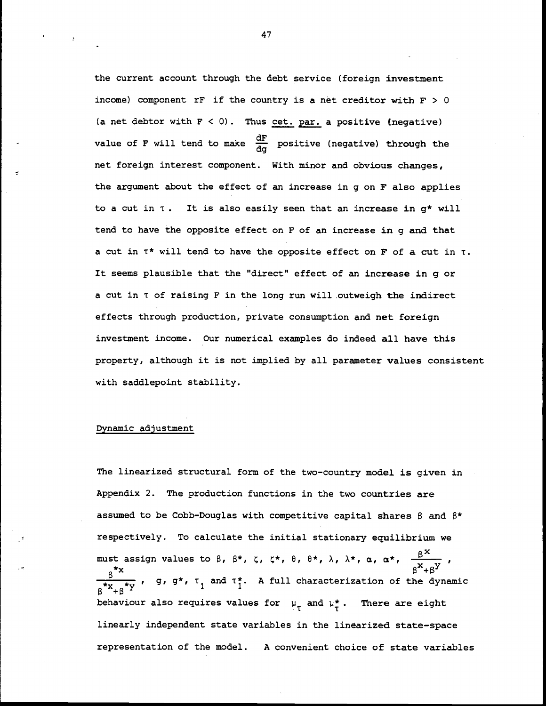the current account through the debt service (foreign investment income) component rF if the country is a net creditor with  $F > 0$ (a net debtor with  $F < 0$ ). Thus cet. par. a positive (negative) value of F will tend to make  $\frac{dF}{dq}$  positive (negative) through the net foreign interest component. With minor and obvious changes, the argument about the effect of an increase in g on F also applies to a cut in  $\tau$ . It is also easily seen that an increase in  $g^*$  will tend to have the opposite effect on F of an increase in g and that a cut in  $\tau^*$  will tend to have the opposite effect on F of a cut in  $\tau$ . It seems plausible that the "direct" effect of an increase in g or a cut in T of raising F in the long run will outweigh the indirect effects through production, private consumption and net foreign investment income. Our numerical examples do indeed all have this property, although it is not implied by all parameter values consistent with saddlepoint stability.

## Dynamic adjustment

The linearized structural form of the two-country model is given in Appendix 2. The production functions in the two countries are assumed to be Cobb-Douglas with competitive capital shares  $\beta$  and  $\beta^*$ respectively. To calculate the initial stationary equilibrium we must assign values to  $\beta$ ,  $\beta^*$ ,  $\zeta$ ,  $\zeta^*$ ,  $\theta$ ,  $\theta^*$ ,  $\lambda$ ,  $\lambda^*$ ,  $\alpha$ ,  $\alpha^*$ ,  $\frac{\beta^X}{\beta^X+\beta^Y}$ ,  $\frac{\beta^{*x}}{x_{+\beta}^{*y}}$ , g, g\*,  $\tau_1$  and  $\tau_1^{*}$ . A full characterization of the dynamic behaviour also requires values for  $\mu_{\tau}$  and  $\mu_{\tau}^*$ . There are eight linearly independent state variables in the linearized state—space representation of the model. A convenient choice of state variables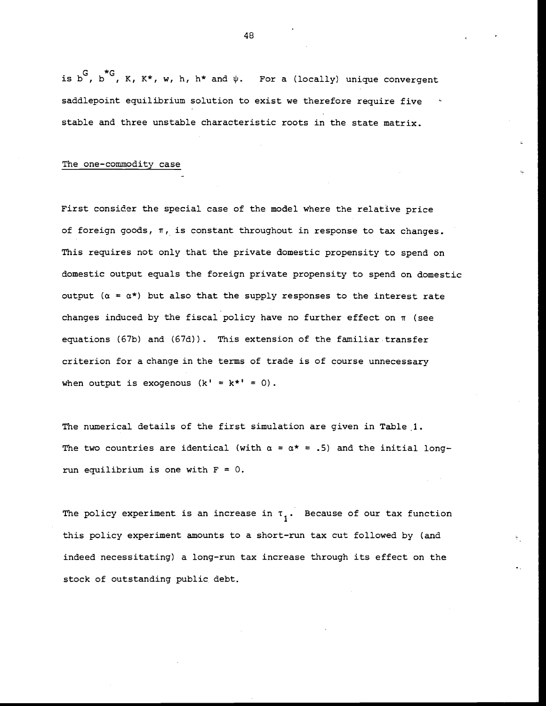is b<sup>c</sup>, b<sup>\*</sup>G, K, K\*, w, h, h\* and  $\psi$ . For a (locally) unique convergent saddlepoint equilibrium solution to exist we therefore require five stable and three unstable characteristic roots in the state matrix.

#### The one—commodity case

First consider the special case of the model where the relative price of foreign goods,  $\pi$ , is constant throughout in response to tax changes. This requires not only that the private domestic propensity to spend on domestic output equals the foreign private propensity to spend on domestic output ( $\alpha = \alpha^*$ ) but also that the supply responses to the interest rate changes induced by the fiscal policy have no further effect on  $\pi$  (see equations (67b) and (67d)). This extension of the familiar transfer criterion for a change in the terms of trade is of course unnecessary when output is exogenous  $(k' = k^* = 0)$ .

The numerical details of the first simulation are given in Table 1. The two countries are identical (with  $\alpha = \alpha^* = .5$ ) and the initial longrun equilibrium is one with  $F = 0$ .

The policy experiment is an increase in  $\tau$ <sub>1</sub>. Because of our tax function this policy experiment amounts to a short-run tax cut followed by (and indeed necessitating) a long—run tax increase through its effect on the stock of outstanding public debt.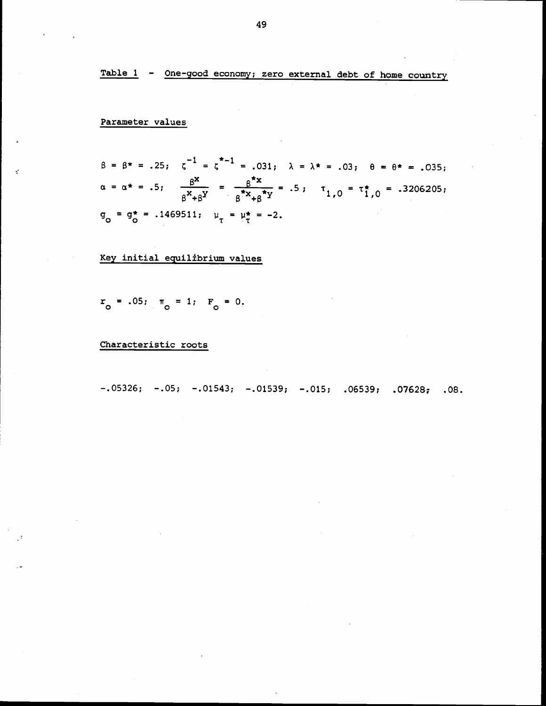Table 1 - One-good economy; zero external debt of home country

# Parameter values

 $\vec{z}$ 

$$
\beta = \beta^* = .25; \quad \zeta^{-1} = \zeta^{*-1} = .031; \quad \lambda = \lambda^* = .03; \quad \theta = \theta^* = .035; \n\alpha = \alpha^* = .5; \quad \frac{\beta^x}{\beta^x + \beta^y} = \frac{\beta^x}{\beta^x + \beta^y} = .5; \quad \tau_{1,0} = \tau_{1,0}^* = .3206205; \n\sigma_0 = \sigma_0^* = .1469511; \quad \mu_\tau = \mu_\tau^* = -2.
$$

# Key initial equilibrium values

$$
r_o
$$
 = .05;  $\pi_o$  = 1;  $F_o$  = 0.

# Characteristic roots

 $-.05326; -.05; -.01543; -.01539; -.015; .06539; .07628; .08.$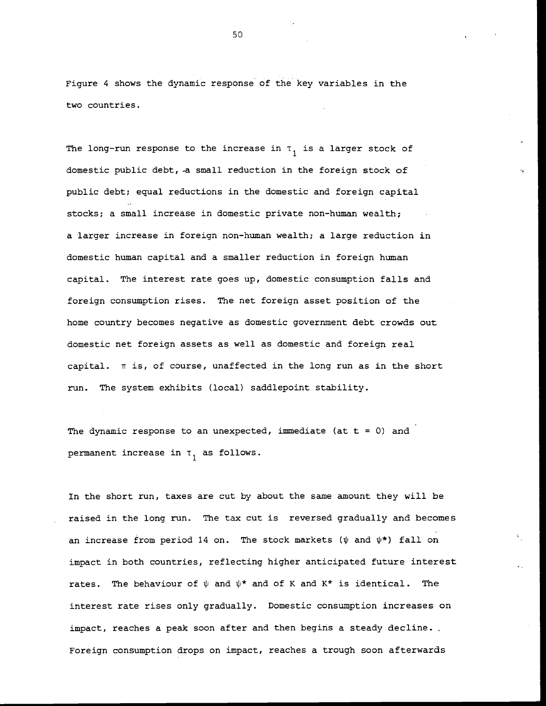Figure 4 shows the dynamic response of the key variables in the two countries.

The long-run response to the increase in  $\tau$ <sub>1</sub> is a larger stock of domestic public debt, -a small reduction in the foreign stock of public debt; equal reductions in the domestic and foreign capital stocks; a small increase in domestic private non-human wealth; a larger increase in foreign non-human wealth; a large reduction in domestic human capital and a smaller reduction in foreign human capital. The interest rate goes up, domestic consumption falls and foreign consumption rises. The net foreign asset position of the home country becomes negative as domestic government debt crowds out domestic net foreign assets as well as domestic and foreign real capital.  $\pi$  is, of course, unaffected in the long run as in the short run. The system exhibits (local) saddlepoint stability.

The dynamic response to an unexpected, immediate (at  $t = 0$ ) and permanent increase in  $\tau_1$  as follows.

In the short run, taxes are cut by about the same amount they will be raised in the long run. The tax cut is reversed gradually and becomes an increase from period 14 on. The stock markets ( $\psi$  and  $\psi^*$ ) fall on impact in both countries, reflecting higher anticipated future interest rates. The behaviour of  $\psi$  and  $\psi^*$  and of K and K\* is identical. The interest rate rises only gradually. Domestic consumption increases on impact, reaches a peak soon after and then begins a steady decline.. Foreign consumption drops on impact, reaches a trough soon afterwards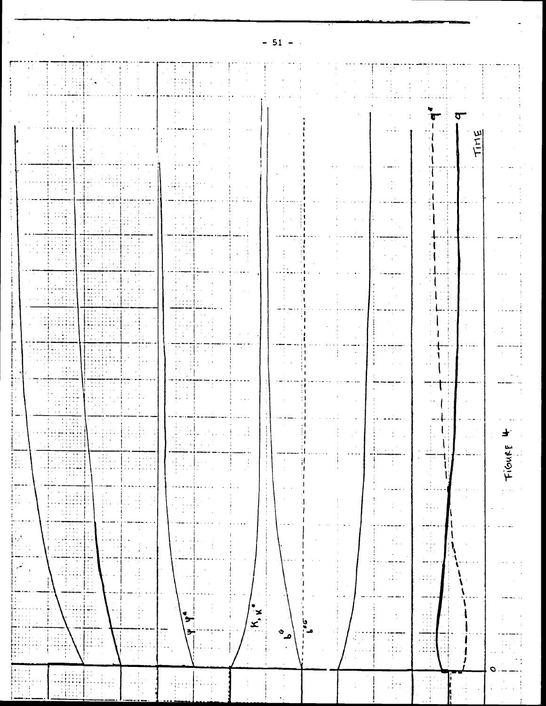|                                                           | $\mathbb{Z}^n$ , $\mathbb{Z}^n$ ,                                                                                                                                                                                                                                                                       |                                                                                                        |                                                                                                 |                           |                    |               |                                             |                                                  |                                                                 |               |       |
|-----------------------------------------------------------|---------------------------------------------------------------------------------------------------------------------------------------------------------------------------------------------------------------------------------------------------------------------------------------------------------|--------------------------------------------------------------------------------------------------------|-------------------------------------------------------------------------------------------------|---------------------------|--------------------|---------------|---------------------------------------------|--------------------------------------------------|-----------------------------------------------------------------|---------------|-------|
|                                                           | FI H                                                                                                                                                                                                                                                                                                    |                                                                                                        | untarat                                                                                         |                           |                    |               |                                             |                                                  |                                                                 |               |       |
|                                                           |                                                                                                                                                                                                                                                                                                         |                                                                                                        |                                                                                                 |                           |                    |               |                                             |                                                  |                                                                 |               |       |
|                                                           |                                                                                                                                                                                                                                                                                                         |                                                                                                        |                                                                                                 |                           |                    |               |                                             | $\sim 10^{-1}$                                   |                                                                 |               |       |
|                                                           | $\cdots$                                                                                                                                                                                                                                                                                                |                                                                                                        |                                                                                                 |                           |                    |               |                                             |                                                  |                                                                 |               |       |
|                                                           | $\mathbf{r}$                                                                                                                                                                                                                                                                                            |                                                                                                        |                                                                                                 |                           |                    |               |                                             |                                                  |                                                                 |               |       |
|                                                           | $\mathbf{1}$ .                                                                                                                                                                                                                                                                                          |                                                                                                        |                                                                                                 |                           |                    |               |                                             |                                                  |                                                                 |               |       |
|                                                           | $\sim 1\frac{1}{3}$                                                                                                                                                                                                                                                                                     |                                                                                                        | $\mathcal{F}(\mathcal{A})$ , $\mathcal{F}(\mathcal{A})$                                         |                           |                    |               |                                             | $\sim$<br>$\alpha$ , $\alpha$                    |                                                                 |               |       |
|                                                           | ij.                                                                                                                                                                                                                                                                                                     |                                                                                                        | the state of                                                                                    |                           |                    |               |                                             |                                                  | 1                                                               |               |       |
|                                                           | $\mathcal{L}_{\text{eff}}$<br>$\mathcal{L}^{\text{max}}$                                                                                                                                                                                                                                                |                                                                                                        | 经工业间                                                                                            |                           |                    |               | $\mathbf{r} = \mathbf{r} \times \mathbf{r}$ | $\sim$                                           |                                                                 |               |       |
|                                                           | HH                                                                                                                                                                                                                                                                                                      |                                                                                                        | $\sim 1000$<br><b>All Contracts</b><br>$\epsilon \rightarrow -\epsilon \rightarrow$             | $\sim 10^{-1}$            |                    |               |                                             |                                                  |                                                                 |               |       |
|                                                           | $\sim 10^6$<br>$\cdots$                                                                                                                                                                                                                                                                                 | ----                                                                                                   |                                                                                                 |                           |                    |               |                                             |                                                  |                                                                 |               |       |
|                                                           | 西                                                                                                                                                                                                                                                                                                       | $\left\lceil \frac{1}{2} \right\rceil$<br><b>FILL</b>                                                  | $10\%$<br><b>State State</b>                                                                    |                           |                    |               |                                             |                                                  |                                                                 |               |       |
|                                                           | $\sim$ 100 $\sim$ 100 $\sim$                                                                                                                                                                                                                                                                            | <b>Hilling</b>                                                                                         |                                                                                                 |                           |                    |               |                                             |                                                  |                                                                 |               |       |
|                                                           | $\mathcal{H}_{\text{eff}}$<br>특별                                                                                                                                                                                                                                                                        |                                                                                                        | $\mathbf{r} = \mathbf{r}$<br>an ni                                                              |                           |                    |               |                                             |                                                  |                                                                 |               |       |
|                                                           | $\alpha$ , $\alpha$ , $\alpha$<br>$\mathbf{a}$ , $\mathbf{a}$ , $\mathbf{a}$                                                                                                                                                                                                                            | <b>Contract</b>                                                                                        | $1000$<br>सम्ब                                                                                  |                           |                    |               |                                             |                                                  |                                                                 |               |       |
|                                                           | <b>THE</b><br>الأعطاء                                                                                                                                                                                                                                                                                   | HILL.<br>ولمسترق فالمتمام والمترو<br>HHEFF                                                             | $\sim 1$                                                                                        |                           |                    |               |                                             | e a a a le<br><b>Contract</b>                    | $\sim$                                                          |               |       |
|                                                           | $\sim 100$                                                                                                                                                                                                                                                                                              | state of the con-                                                                                      |                                                                                                 |                           |                    |               |                                             |                                                  |                                                                 |               |       |
|                                                           | 西田<br>$\alpha$ , and $\alpha$ , and $\alpha$                                                                                                                                                                                                                                                            |                                                                                                        | a sa sa<br><b>Contractor</b>                                                                    |                           |                    |               |                                             |                                                  |                                                                 |               |       |
|                                                           | तक                                                                                                                                                                                                                                                                                                      |                                                                                                        |                                                                                                 |                           |                    |               |                                             |                                                  |                                                                 |               |       |
|                                                           |                                                                                                                                                                                                                                                                                                         |                                                                                                        |                                                                                                 |                           |                    |               |                                             |                                                  |                                                                 |               |       |
|                                                           | $\sim$ 1.<br>Eanna<br>$\hat{\boldsymbol{\beta}}$                                                                                                                                                                                                                                                        |                                                                                                        | $\pm$ :                                                                                         |                           |                    |               |                                             | i -<br>$\alpha$ , $\alpha$ , $\alpha$<br>$\cdot$ | $\sim 3$<br>$\ddot{\phantom{1}}$<br>P                           |               |       |
| $\bullet$                                                 | انسبب<br>A.                                                                                                                                                                                                                                                                                             | EL<br>III.<br><b>HEEE</b><br>$\left\langle \frac{1}{2},\frac{1}{2},\frac{1}{2}\right\rangle$<br>$\sim$ | $\begin{pmatrix} 1 & 1 \\ 1 & 1 \end{pmatrix}$<br>$\frac{1}{2}$ , $\frac{1}{2}$<br>$\sim$<br>Ι. | $\vdots$<br>$\bar{\nu}$ ) | $\frac{1}{2}$      |               |                                             |                                                  | $\cdot$                                                         |               | Fiour |
| ÷.<br>iT.                                                 | $\mathcal{I} \subset \mathcal{I}$ .<br>The                                                                                                                                                                                                                                                              |                                                                                                        |                                                                                                 |                           | $\cdot$            |               |                                             |                                                  |                                                                 |               |       |
| $\mathbb{R}$                                              | $\cdot$<br>stariji.<br>Starija<br>$\frac{1}{2}$ .<br>$\frac{1}{2}$ .                                                                                                                                                                                                                                    | $\mathbb{N}$ .<br>$\sim$<br>$\sim$<br><b>The Contract</b>                                              | $\frac{m}{2}$<br>$\sim$                                                                         |                           | ÷<br>$\frac{1}{2}$ |               |                                             | ţ,<br>$\overline{\phantom{a}}$                   | $\frac{1}{2} \frac{1}{2} \frac{1}{2}$ .                         |               |       |
| $\frac{1}{2}$<br>ł.                                       | T<br>$\bullet$<br>j.                                                                                                                                                                                                                                                                                    | ÷                                                                                                      |                                                                                                 |                           |                    |               |                                             | $\sim 10^{-11}$<br>$\mathcal{A}^{\mathcal{A}}$   | $\sim$<br>----<br>$\alpha$ , $\beta$ ,<br>$\cdot$               |               |       |
| $\begin{bmatrix} 1 & 0 \\ 0 & 1 \end{bmatrix}$<br>$\cdot$ | İ.<br>$\blacksquare$<br>$\sim$                                                                                                                                                                                                                                                                          | M.<br>ţ,<br>$\mathcal{L}_{\text{max}}$<br>$\sim$<br>$\bullet$<br>$\sim$<br>$\sim$                      | $\sim 10^{-11}$ m                                                                               |                           |                    |               |                                             | $\mathbb{N}_{\mathbb{Z}}$ .<br>$\cdot$           | $\lambda$<br>$\sim$<br>$\frac{1}{2}$                            |               |       |
| $\mathcal{A}$                                             | $\begin{tabular}{ c c } \hline \quad \quad & \quad \quad & \quad \quad \\ \hline \quad \quad & \quad \quad & \quad \quad \\ \hline \quad \quad & \quad \quad & \quad \quad \\ \hline \quad \quad & \quad \quad & \quad \quad \\ \hline \quad \quad & \quad \quad & \quad \quad \\ \hline \end{tabular}$ | $\sim$                                                                                                 |                                                                                                 |                           |                    |               |                                             | -----<br>Ŧ                                       | ÷÷:~<br>$\sim$                                                  |               |       |
| <br> <br> -                                               | $\bar{z}$<br><b>ALC</b>                                                                                                                                                                                                                                                                                 | $\cdot$<br>$\frac{1}{2}$ .<br>$\sim$                                                                   |                                                                                                 |                           |                    | $\frac{1}{4}$ |                                             | $\mathbb{R}^2$                                   | $\left\langle \mathcal{L}^{(1)}_{\text{max}}\right\rangle$<br>÷ |               |       |
|                                                           | P.<br><b>King Corp.</b>                                                                                                                                                                                                                                                                                 | $\sim$<br>$\sim$ $\sim$                                                                                |                                                                                                 | ۰                         |                    |               |                                             |                                                  | $\sim$<br>$\ddot{\phantom{a}}$<br>$\mathbf{r}$<br>$\cdot$       |               |       |
| and the state                                             | $\frac{d}{dt}$<br>車<br>idae<br>Vidae<br>土口<br>$\left\langle \frac{1}{2}\right\rangle$                                                                                                                                                                                                                   | P<br>$\cdot$                                                                                           | ٠<br>э                                                                                          | $K_{\bullet}$             |                    | يا            |                                             | $\ddot{\cdot}$                                   | Ħ<br>$\sim$ $\sim$<br>$\alpha$ , $\alpha$ , $\beta$             |               |       |
| <b>The State State</b>                                    | $\sqrt{\frac{1}{2}}$<br>$\alpha$ , $\alpha$ , $\alpha$                                                                                                                                                                                                                                                  | İ                                                                                                      | Ţ<br>÷,<br>$\cdot$<br>4.111114                                                                  |                           | ৩<br>م             |               | $\bar{\mathcal{A}}$<br>٠.                   |                                                  | Ξi<br>$+1$<br>$\sim$ $\sim$                                     |               |       |
|                                                           | $\bullet$                                                                                                                                                                                                                                                                                               |                                                                                                        | $\mathbf{r}$                                                                                    |                           |                    |               |                                             |                                                  | . . i                                                           |               |       |
| $\mathcal{A}$                                             | $\sim$ $\sim$<br>T                                                                                                                                                                                                                                                                                      | $\left\{\frac{1}{2},\frac{1}{2}\right\}$<br>$\sim$                                                     | 불리 조금                                                                                           | $\cdot$                   |                    |               | ÷                                           | $\frac{1}{2} \frac{1}{2}$                        | $\cdot$                                                         |               |       |
|                                                           | l.<br>$\frac{1}{2}$                                                                                                                                                                                                                                                                                     | ÷<br>$\lambda$                                                                                         |                                                                                                 |                           |                    |               |                                             |                                                  |                                                                 | $\frac{1}{2}$ |       |

 $\begin{array}{c} \mathcal{L}_{\text{max}} \\ \mathcal{L}_{\text{max}} \end{array}$ 

 $-51$ 

 $\langle \cdot \rangle$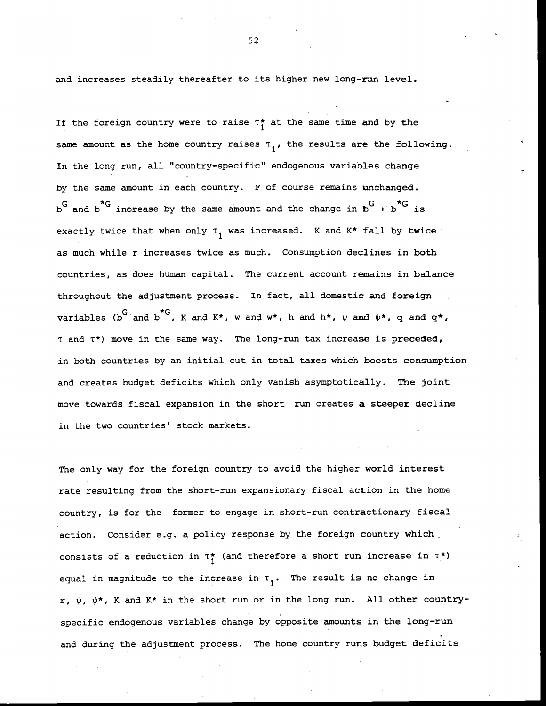and increases steadily thereafter to its higher new long-run level.

If the foreign country were to raise  $\tau_1^*$  at the same time and by the same amount as the home country raises  $\tau_1$ , the results are the following. In the long run, all "country—specific" endogenous variables change by the same amount in each country. F of course remains unchanged.  $b^G$  and  $b^{\star G}$  increase by the same amount and the change in  $b^G$  +  $b^{\star G}$  is exactly twice that when only  $\tau_1$  was increased. K and K\* fall by twice as much while r increases twice as much. Consumption declines in both countries, as does human capital. The current account remains in balance throughout the adjustment process. In fact, all domestic and foreign variables (b<sup>G</sup> and b<sup>\*G</sup>, K and K\*, w and w\*, h and h\*,  $\psi$  and  $\psi^*$ , q and  $q^*$ , <sup>t</sup> and T\*) move in the same way. The long—run tax increase is preceded, in both countries by an initial cut in total taxes which boosts consumption and creates budget deficits which only vanish asymptotically. The joint move towards fiscal expansion in the short run creates a steeper decline in the two countries' stock markets.

The only way for the foreign country to avoid the higher world interest rate resulting from the short-run expansionary fiscal action in the home country, is for the former to engage in short-run contractionary fiscal action. Consider e.g. a policy response by the foreign country which consists of a reduction in  $\tau_1^*$  (and therefore a short run increase in  $\tau^*$ ) equal in magnitude to the increase in  $\tau_1$ . The result is no change in r,  $\psi$ ,  $\psi^*$ , K and K\* in the short run or in the long run. All other countryspecific endogenous variables change by opposite amounts in the long—run and during the adjustment process. The home country runs budget deficits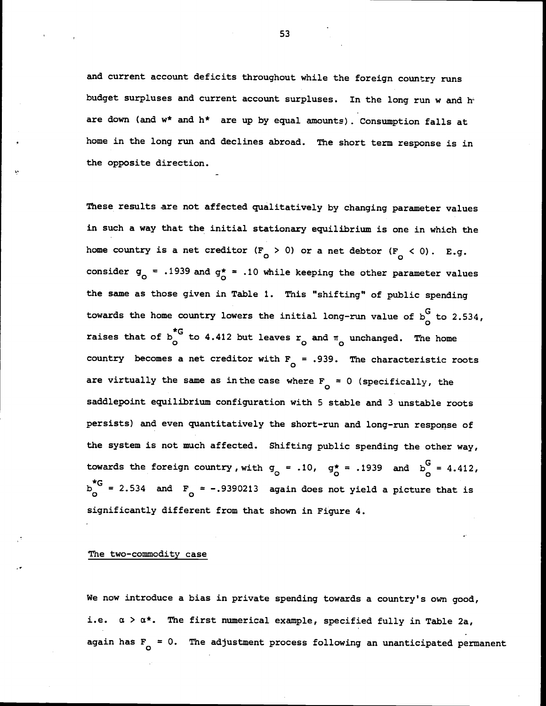and current account deficits throughout while the foreign country runs budget surpluses and current account surpluses. In the long run w and hare down (and  $w^*$  and  $h^*$  are up by equal amounts). Consumption falls at home in the long run and declines abroad. The short term response is in the opposite direction.

These results are not affected qualitatively by changing parameter values in such a way that the initial stationary equilibrium is one in which the home country is a net creditor  $(F_{\textrm{o}} > 0)$  or a net debtor  $(F_{\textrm{o}} < 0)$ . E.g. consider  $g_0 = .1939$  and  $g_0^* = .10$  while keeping the other parameter values the same as those given in Table 1. This "shifting" of public spending towards the home country lowers the initial long-run value of  $b<sub>A</sub><sup>G</sup>$  to 2.534, raises that of  $b_n^{\star G}$  to 4.412 but leaves  $r_o$  and  $\pi_o$  unchanged. The home country becomes a net creditor with  $F_{0} = .939$ . The characteristic roots are virtually the same as in the case where  $F_{\alpha} = 0$  (specifically, the saddlepoint equilibrium configuration with 5 stable and <sup>3</sup> unstable roots persists) and even quantitatively the short—run and long-run response of the system is not much affected. Shifting public spending the other way, towards the foreign country, with  $g_0 = .10$ ,  $g_0^* = .1939$  and  $b_0^G = 4.412$ ,  $b_{0}^{*G}$  = 2.534 and  $F_{0}$  = -.9390213 again does not yield a picture that is significantly different from that shown in Figure 4.

#### The two-commodity case

We now introduce a bias in private spending towards a country's own good, i.e.  $\alpha > \alpha^*$ . The first numerical example, specified fully in Table 2a, again has  $F_{0} = 0$ . The adjustment process following an unanticipated permanent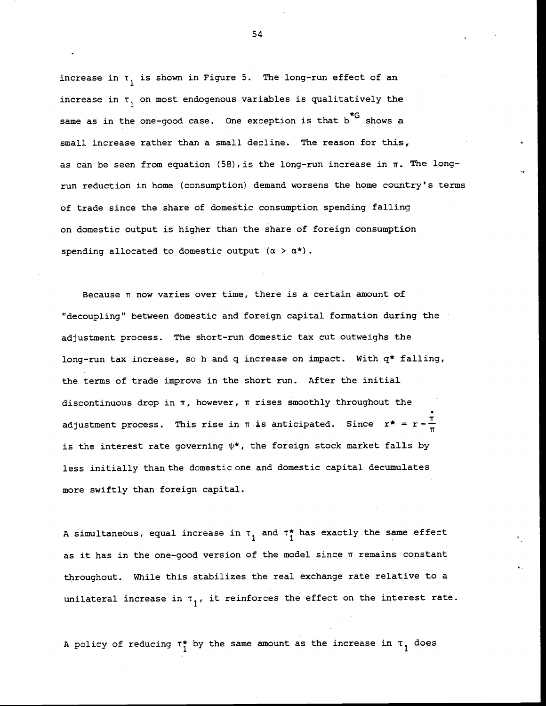increase in  $\tau_1$  is shown in Figure 5. The long-run effect of an increase in  $\tau$ , on most endogenous variables is qualitatively the same as in the one-good case. One exception is that b<sup>\*G</sup> shows a small increase rather than a small decline. The reason for this, as can be seen from equation (58), is the long-run increase in  $\pi$ . The longrun reduction in home (consumption) demand worsens the home country's terms of trade since the share of domestic consumption spending falling on domestic output is higher than the share of foreign consumption spending allocated to domestic output  $(\alpha > \alpha^*)$ .

Because  $\pi$  now varies over time, there is a certain amount of "decoupling" between domestic and foreign capital formation during the adjustment process. The short—run domestic tax cut outweighs the long-run tax increase, so h and q increase on impact. With q\* falling, the terms of trade improve in the short run. After the initial discontinuous drop in  $\pi$ , however,  $\pi$  rises smoothly throughout the adjustment process. This rise in  $\pi$  is anticipated. Since  $r^* = r - \frac{\pi}{r}$ is the interest rate governing  $\psi^*$ , the foreign stock market falls by less initially than the domestic one and domestic capital decumulates more swiftly than foreign capital.

A simultaneous, equal increase in  $\tau_1$  and  $\tau_1^\star$  has exactly the same effect as it has in the one-good version of the model since  $\pi$  remains constant throughout. While this stabilizes the real exchange rate relative to a unilateral increase in  $\tau_1$ , it reinforces the effect on the interest rate.

A policy of reducing  $\tau_i^*$  by the same amount as the increase in  $\tau_1$  does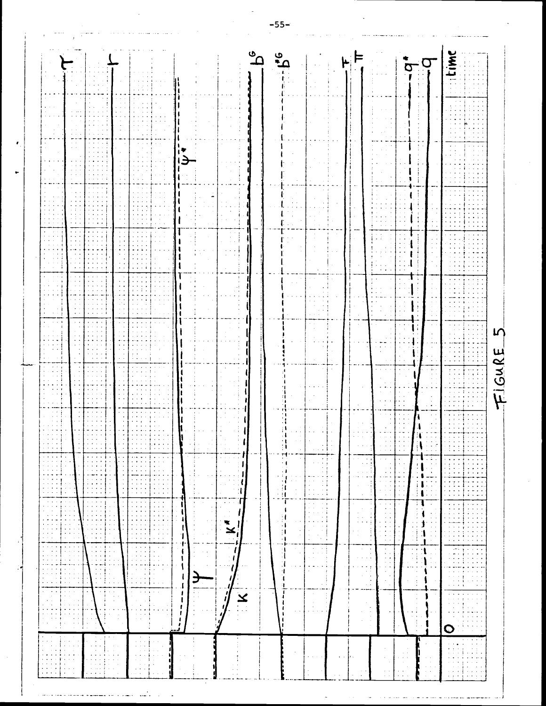|                                                                                                                                                                                                                                                                                                                                                                                                                                                                                                              |                                                                                                                                                               |                                                                                                                                          | ັດ<br>Ő                                                                                                                                                                                                                                                                                                                                      | <b>NAIT</b>                                                                                                                                                                                                                                                       |
|--------------------------------------------------------------------------------------------------------------------------------------------------------------------------------------------------------------------------------------------------------------------------------------------------------------------------------------------------------------------------------------------------------------------------------------------------------------------------------------------------------------|---------------------------------------------------------------------------------------------------------------------------------------------------------------|------------------------------------------------------------------------------------------------------------------------------------------|----------------------------------------------------------------------------------------------------------------------------------------------------------------------------------------------------------------------------------------------------------------------------------------------------------------------------------------------|-------------------------------------------------------------------------------------------------------------------------------------------------------------------------------------------------------------------------------------------------------------------|
|                                                                                                                                                                                                                                                                                                                                                                                                                                                                                                              |                                                                                                                                                               |                                                                                                                                          |                                                                                                                                                                                                                                                                                                                                              |                                                                                                                                                                                                                                                                   |
|                                                                                                                                                                                                                                                                                                                                                                                                                                                                                                              |                                                                                                                                                               |                                                                                                                                          |                                                                                                                                                                                                                                                                                                                                              |                                                                                                                                                                                                                                                                   |
|                                                                                                                                                                                                                                                                                                                                                                                                                                                                                                              |                                                                                                                                                               |                                                                                                                                          |                                                                                                                                                                                                                                                                                                                                              |                                                                                                                                                                                                                                                                   |
|                                                                                                                                                                                                                                                                                                                                                                                                                                                                                                              |                                                                                                                                                               |                                                                                                                                          |                                                                                                                                                                                                                                                                                                                                              |                                                                                                                                                                                                                                                                   |
|                                                                                                                                                                                                                                                                                                                                                                                                                                                                                                              |                                                                                                                                                               |                                                                                                                                          |                                                                                                                                                                                                                                                                                                                                              |                                                                                                                                                                                                                                                                   |
|                                                                                                                                                                                                                                                                                                                                                                                                                                                                                                              |                                                                                                                                                               |                                                                                                                                          |                                                                                                                                                                                                                                                                                                                                              |                                                                                                                                                                                                                                                                   |
|                                                                                                                                                                                                                                                                                                                                                                                                                                                                                                              |                                                                                                                                                               |                                                                                                                                          |                                                                                                                                                                                                                                                                                                                                              |                                                                                                                                                                                                                                                                   |
|                                                                                                                                                                                                                                                                                                                                                                                                                                                                                                              |                                                                                                                                                               |                                                                                                                                          |                                                                                                                                                                                                                                                                                                                                              |                                                                                                                                                                                                                                                                   |
|                                                                                                                                                                                                                                                                                                                                                                                                                                                                                                              |                                                                                                                                                               |                                                                                                                                          |                                                                                                                                                                                                                                                                                                                                              |                                                                                                                                                                                                                                                                   |
|                                                                                                                                                                                                                                                                                                                                                                                                                                                                                                              |                                                                                                                                                               |                                                                                                                                          |                                                                                                                                                                                                                                                                                                                                              |                                                                                                                                                                                                                                                                   |
|                                                                                                                                                                                                                                                                                                                                                                                                                                                                                                              |                                                                                                                                                               |                                                                                                                                          |                                                                                                                                                                                                                                                                                                                                              |                                                                                                                                                                                                                                                                   |
|                                                                                                                                                                                                                                                                                                                                                                                                                                                                                                              |                                                                                                                                                               |                                                                                                                                          |                                                                                                                                                                                                                                                                                                                                              |                                                                                                                                                                                                                                                                   |
|                                                                                                                                                                                                                                                                                                                                                                                                                                                                                                              |                                                                                                                                                               |                                                                                                                                          |                                                                                                                                                                                                                                                                                                                                              |                                                                                                                                                                                                                                                                   |
|                                                                                                                                                                                                                                                                                                                                                                                                                                                                                                              |                                                                                                                                                               |                                                                                                                                          |                                                                                                                                                                                                                                                                                                                                              |                                                                                                                                                                                                                                                                   |
|                                                                                                                                                                                                                                                                                                                                                                                                                                                                                                              |                                                                                                                                                               |                                                                                                                                          |                                                                                                                                                                                                                                                                                                                                              |                                                                                                                                                                                                                                                                   |
|                                                                                                                                                                                                                                                                                                                                                                                                                                                                                                              |                                                                                                                                                               |                                                                                                                                          |                                                                                                                                                                                                                                                                                                                                              |                                                                                                                                                                                                                                                                   |
|                                                                                                                                                                                                                                                                                                                                                                                                                                                                                                              |                                                                                                                                                               |                                                                                                                                          |                                                                                                                                                                                                                                                                                                                                              | L                                                                                                                                                                                                                                                                 |
|                                                                                                                                                                                                                                                                                                                                                                                                                                                                                                              |                                                                                                                                                               |                                                                                                                                          |                                                                                                                                                                                                                                                                                                                                              |                                                                                                                                                                                                                                                                   |
|                                                                                                                                                                                                                                                                                                                                                                                                                                                                                                              |                                                                                                                                                               |                                                                                                                                          |                                                                                                                                                                                                                                                                                                                                              | FIGURE                                                                                                                                                                                                                                                            |
|                                                                                                                                                                                                                                                                                                                                                                                                                                                                                                              |                                                                                                                                                               |                                                                                                                                          |                                                                                                                                                                                                                                                                                                                                              |                                                                                                                                                                                                                                                                   |
|                                                                                                                                                                                                                                                                                                                                                                                                                                                                                                              |                                                                                                                                                               |                                                                                                                                          |                                                                                                                                                                                                                                                                                                                                              |                                                                                                                                                                                                                                                                   |
|                                                                                                                                                                                                                                                                                                                                                                                                                                                                                                              |                                                                                                                                                               |                                                                                                                                          |                                                                                                                                                                                                                                                                                                                                              |                                                                                                                                                                                                                                                                   |
|                                                                                                                                                                                                                                                                                                                                                                                                                                                                                                              |                                                                                                                                                               |                                                                                                                                          |                                                                                                                                                                                                                                                                                                                                              |                                                                                                                                                                                                                                                                   |
| $\cdot$ $\cdot$<br>$- - - -$<br>$\sim$ 100 $\sim$ 100 $\sim$<br>$\sim$<br>$\alpha$ , $\alpha$ , $\alpha$ , $\frac{1}{2}$<br>$\mathcal{A}=\mathcal{A}=\mathcal{A}=\mathcal{A}$<br>$\cdot$<br><b>1999</b><br>لجامعه والمعارض<br>بالمستهلة والمستحدث<br>$\alpha$ , $\alpha$ , $\alpha$ , $\alpha$ , $\alpha$<br>$\ddotsc$<br>$\blacksquare$<br>$\mathbf{r}$<br><br>$\sim$ $\sim$ $\sim$ $\sim$                                                                                                                  | $\ddot{\bullet}$<br>$\sim$ 10 $\sim$                                                                                                                          | - 1<br>$+$ 4<br>÷Ì.<br>$\sim$                                                                                                            | $\alpha = \alpha \alpha = \alpha$ .<br>$\sim$ $\sim$<br>и,<br>$\alpha\rightarrow\infty$<br>$\mathcal{A}=\mathcal{A}=\mathcal{A}$<br>$\mathbf{R}$<br>$\alpha = 1, \ldots, n$<br>$\alpha$ , $\alpha$ , $\alpha$                                                                                                                                | ディステート<br>$\sim$ $\sim$ $\sim$<br>$\alpha$ , $\alpha$ , $\alpha$ , $\alpha$<br>113<br>$\left\{ \begin{array}{c} 1 & 0 \\ 0 & 1 \end{array} \right\}$<br>$\mathbf{a}$ , $\mathbf{a}$ , $\mathbf{a}$ , $\mathbf{a}$<br>$\mathbf{a}=\mathbf{a}+\mathbf{a}\mathbf{a}$ |
| $\cdot$<br>$\cdots$<br>$\bullet$ . $\bullet$ . $\bullet$<br>الأرام المرابا<br>$\sim$<br>$\mathbf{r} = \mathbf{r} + \mathbf{r} + \mathbf{r}$<br>$\mathbf{a} = \mathbf{a} + \mathbf{a}$ .                                                                                                                                                                                                                                                                                                                      | $\alpha$ , $\alpha$ , $\beta$ , $\alpha$ , $\beta$<br>$\sim$<br><b>Contract</b><br>$\frac{1}{2}$ $\frac{1}{2}$ $\frac{1}{2}$ $\frac{1}{2}$ $\frac{1}{2}$<br>. | and a kin<br>$\alpha$<br>$\sim$ $\sim$<br>$\left\langle \cdot \right\rangle$ )<br>$\sim$<br>$\cdot$ 1<br>$\alpha \rightarrow -\alpha -1$ | $\alpha$ , $\alpha$<br>$\alpha$ , $\alpha$ , $\alpha$ , $\alpha$<br>$\omega = \omega$ .<br>$\sim$<br>All Annual Arts<br>$\sim$ $\sim$<br>$\sim$<br>$\mathcal{A}=\mathcal{A}$                                                                                                                                                                 | $\alpha$ , $\alpha$ , $\alpha$<br>القانون كالماء<br>$\sim$ $\sim$ $\sim$ $\sim$<br>a dia<br>$-1 - 1 - 1$<br>$\sim$<br>$\sim$ $\sim$<br>$\epsilon_{\rm eff} \sim 10$<br>$\sim$ $\sim$                                                                              |
| التعبد<br>$\sim$<br>$\mathbf{a}$ , $\mathbf{a}$ , $\mathbf{a}$ , $\mathbf{a}$<br>$\mathbf{r} \rightarrow \mathbf{r}$<br>$- - - - - - 1$<br>$\alpha$ , $\alpha$ , $\alpha$ , $\alpha$<br>$\alpha = 1, \ldots, n$<br>.<br>$\sim$ $\sim$ $\sim$ $\sim$ $\sim$<br>$\cdots$ . $\cdots$<br>$\sim$<br>$\sim$<br>$\alpha$ , $\alpha$ , $\alpha$ , $\alpha$                                                                                                                                                           | $\sim 11$<br>ं।<br>$\mathbf{v}=\mathbf{v}+\mathbf{v}$<br>- - 1                                                                                                | $\sim$ $+$ $+$<br>Ŵ<br>$\epsilon$<br>Ħ<br>$\tau \rightarrow \tau \rightarrow$<br>$\alpha = 1$ .                                          | $^{\circ}$<br>$\alpha$ , $\alpha$<br>$\sim$ $\sim$<br>$\sim$<br>$\cdot$ $\cdot$<br>in a state<br>$\sim$ $\sim$<br>$\sim$<br>$\mathcal{L}^{\mathcal{A}}\left( \mathcal{A}\right) =\mathcal{L}^{\mathcal{A}}\left( \mathcal{A}\right) =\mathcal{L}^{\mathcal{A}}\left( \mathcal{A}\right)$<br>$\mathbf{r}$ . The set of $\mathbf{r}$<br>$\sim$ | <b>College</b><br>$\frac{1}{2}$ , $\frac{1}{2}$ , $\frac{1}{2}$<br>$\mathcal{A}$ .<br>$\ddotsc$<br>÷                                                                                                                                                              |
| $\sim$ $\sim$ $\sim$<br>بالمنتهاء فالحاف<br>$\alpha$ , $\alpha$ , $\alpha$<br>$\sigma$ , $\sigma$ , $\sigma$<br>$\alpha$ , $\alpha$ , $\alpha$<br>$\mathbf{r}$ , $\mathbf{r}$ , $\mathbf{r}$ , $\mathbf{r}$ ,<br>$\sigma$ , $\sigma$ , $\sigma$ , $\sigma$<br>$\sigma$ , $\sigma$ , $\sigma$ , $\sigma$                                                                                                                                                                                                      | $\left\{ \right\}$<br>$\sim$ 10 $\sim$<br>$\ddot{ }$                                                                                                          | $\mathbb{N}$<br>$\sim$ $\sim$<br>$\epsilon$<br>Ħ<br>$\sim$ $\,$ $\,$<br>- 91<br>$\sim$<br>a sera seri                                    | $\alpha = 1$ , and<br>$\sim$ $\sim$<br>$\mathbf{R}^{(1)}$ and $\mathbf{R}^{(2)}$<br>$\mathbf{1}$<br>$\sim$ $\sim$<br>$\sim$ $\sim$<br>$\alpha = \alpha = \alpha$<br>$\sim$ $\sim$<br>$\mathbf{C}$<br>$\sim$ $\sim$<br>$\sim$                                                                                                                 | a a ba<br>ما دارد.<br>مستق                                                                                                                                                                                                                                        |
| $\alpha$<br>$\alpha$ , $\alpha$ , $\alpha$<br>$\alpha$ , $\alpha$ , $\alpha$ , $\alpha$<br>$\alpha = \alpha$ .<br>$\mathbf{r} \rightarrow \mathbf{r} \rightarrow \mathbf{r}$<br>.<br>$\alpha$ , $\alpha$ , $\alpha$<br>$\alpha = 1, \ldots, n$<br>$\blacksquare$<br>$\mathbf{r}$ , and $\mathbf{r}$ , and<br>أتباحث<br>$\sim$ $\sim$ $\sim$<br>$\alpha$ , and $\alpha$ , and $\alpha$<br>$\alpha$ , $\alpha$ , $\alpha$<br>$\sim$<br>$\sim$                                                                  | $\bullet$ .<br>$\sim$<br>$\mathbf{r}$ .<br>$\sim 10^{-1}$<br>$\alpha$ , $\alpha$ , $\alpha$<br>$\mathbf{I}$<br>4I                                             | ï<br>$\sim$ $\sim$<br>$\sim 1$<br>$\sim$ $-$ 3.<br>4                                                                                     | $\sim$ 10 $\pm$<br>$\frac{1}{2}$ ,                                                                                                                                                                                                                                                                                                           | $\cdots$<br>$\sim$<br>$\sigma_{\rm{c}} \sim 100$<br>$\mathbf{1} \times \mathbf{1} \times \mathbf{1} \times \mathbf{1}$                                                                                                                                            |
| and the con-<br>$\alpha$ , $\beta$ , $\alpha$ , $\beta$<br>$\sim$ $\sim$<br>$\sigma$ , $\sigma$ , $\sigma$ , $\sigma$<br>$\sim$ $\sim$<br>$\bullet$ , $\bullet$ , $\bullet$<br>$\mathbf{r}$ , and $\mathbf{r}$ , and<br>$\alpha$ , $\alpha$ , $\alpha$<br>$\sim 100$<br>$\epsilon \rightarrow -\epsilon \rightarrow \epsilon$<br>$\alpha$ , $\alpha$<br>$\sigma$ , $\sigma$ , $\sigma$ , $\sigma$<br>All Artists<br>$\cdot$<br>$\frac{1}{2}$ , $\frac{1}{2}$ , $\frac{1}{2}$ , $\frac{1}{2}$ , $\frac{1}{2}$ | L<br>- II<br>$\sim 10^{-11}$<br>$\sim$ $\sim$<br>$\mathcal{A}$<br>t                                                                                           | 医头痛<br>11<br>the control of<br>$\sim$ $\pm$<br>$\sim 100$                                                                                | $\frac{1}{2}$<br>$\sim 0.01$<br>$\alpha$ , $\alpha$ , $\alpha$<br>$\sim$ $\sim$<br>Ł<br>$\sim$ 100 $\sim$ 100 $\sim$<br>$\mathcal{A}=\mathcal{A}+\mathcal{A}$ .<br>$\mathcal{A}=\mathcal{B}$<br>$\sim$ 10 $\sim$<br>$\alpha$<br>$\sim$ $\sim$                                                                                                | $\mathbf{r} \rightarrow \mathbf{r}$<br>$\sim$ $\sim$<br>$\sim$ 100 $\sim$ 100 $\sim$<br>$\mathbf{A}$<br>.<br>$\sim$ $\sim$                                                                                                                                        |
| $\sim$ $\sim$<br>المناجات<br>$\epsilon$ , $\epsilon$<br>$\mathbf{r} \rightarrow \mathbf{r} + \mathbf{r}$<br>$\alpha = \alpha = \alpha$<br>$\epsilon$ . $\epsilon$<br>$\alpha$ , $\alpha$ , $\alpha$<br>$\mathbf{z}=\mathbf{z}+\mathbf{z}+\mathbf{z}$ .<br><b>Contractor</b><br>$\sim 10^{-10}$<br>$\sim$ 100 $\pm$ 100<br>والمتعاملة<br>$\alpha = \alpha - \alpha$                                                                                                                                           | $\lambda$ . $\lambda$<br>1<br>$\cdots$ $-$                                                                                                                    | ٠.<br>$\mathcal{H}=\mathcal{L}$<br>$\sim$                                                                                                | $\mathbf{1}$<br>$\mathbf{a}=\mathbf{a}$<br>$\sim$<br>$\sim$<br>$\sim$<br>$\sim$<br>$\epsilon \rightarrow$                                                                                                                                                                                                                                    | $\sim$ $\alpha$<br>$\sim$ $\sim$                                                                                                                                                                                                                                  |
| $\alpha$ , $\alpha$ , $\alpha$ , $\alpha$<br>and a kind<br>.<br>$\sim$ $\sim$ $\sim$<br>医单元素<br>$\alpha$ , $\alpha$ , $\alpha$ , $\alpha$<br>$\sim 100$ km s $^{-1}$<br>$\alpha = \alpha$<br>$\epsilon$<br>$\cdots$<br>$\sim 10^{-1}$ and $\sim 10^{-1}$<br>$\mathbf{A} \in \mathbb{R}^{n \times n}$<br>$\alpha$ , $\alpha$ , $\alpha$<br>$\sim$ $\sim$<br>لانت با                                                                                                                                           | ÷<br>ŧ<br>$\sim 10$<br>$\mathbf{I}$                                                                                                                           | . til<br><b>ALCOHOL</b><br>$\sim$<br>$\mathcal{L} = \mathcal{L}$<br>÷.                                                                   | $\cdot$ A<br>$\ddot{\phantom{1}}$<br>$\cdot$<br>$\sim$<br>$\sim$ $\sim$                                                                                                                                                                                                                                                                      | $\sim$<br>$\sim$ $\sim$<br>$\Delta \sim 10^{-1}$                                                                                                                                                                                                                  |
| بمنافذة والمحاورة<br>بأبديك والمناور<br>$\alpha \rightarrow \alpha \rightarrow \alpha$<br>$\alpha = \alpha$ .<br>$\mathbf{z} \in \mathcal{X} \times \mathcal{X}$<br>$\sim$ $\sim$ $\sim$ $\sim$ $\sim$<br>$\cdots$<br>$\cdots$<br>$\sim$<br>$\alpha$ , $\alpha$ , $\beta$<br>$\sim$ $\sim$<br>$\mathbf{a}=\mathbf{a}+\mathbf{a}$<br>$\epsilon$<br>$\sim$ $\sim$ $\sim$<br>$\sim$                                                                                                                             | $\mathbf{I}$                                                                                                                                                  |                                                                                                                                          | $\lambda = \lambda$<br>$\ddotsc$<br>a.<br>$\sim$                                                                                                                                                                                                                                                                                             |                                                                                                                                                                                                                                                                   |
| $\alpha$ , $\alpha$ , $\alpha$ , $\alpha$<br>$\alpha$ , $\alpha$ ,<br>$\alpha = \alpha$<br>$\sim$ 1<br>$\sim$<br>$\alpha = \alpha - \alpha$                                                                                                                                                                                                                                                                                                                                                                  |                                                                                                                                                               | $\sim$                                                                                                                                   | $\alpha$<br>$\sim$<br>$\epsilon$<br>$\cdot$<br>$\sim$ $\sim$<br>$\sim$                                                                                                                                                                                                                                                                       | $\sim$ $-$                                                                                                                                                                                                                                                        |
| $\sim 4$<br>$\alpha$ , $\alpha$ , $\alpha$ , $\alpha$<br>$\mathcal{N}=\mathcal{N}$ .<br>$\bullet$<br>$\alpha \rightarrow -\infty$<br>÷.<br>$\alpha$ , $\beta$<br>$\sim 100$ $\mu$<br>$\sim$ 100 $\mu$<br>÷.<br><b>College</b><br>All Controllers<br>$\sim$<br>$\alpha = \alpha = \alpha$<br>$\sim$                                                                                                                                                                                                           | -1<br>$\tilde{\textbf{x}}$<br>$\sim$<br>T.                                                                                                                    |                                                                                                                                          | $\alpha$<br>$\sim$                                                                                                                                                                                                                                                                                                                           |                                                                                                                                                                                                                                                                   |
| $\hat{\mathcal{L}}$ .<br>$\sim$ $\sim$<br>$\sim$ $\sim$<br>$\sim 10^7$<br><b>Service I</b><br>$\sim$<br>$\sim$<br>$\alpha$ .<br>$\sim$<br>$\sim$ $\sim$<br>$\sim$<br>$\alpha = 4$                                                                                                                                                                                                                                                                                                                            |                                                                                                                                                               |                                                                                                                                          | $\sim$<br>$\sim$<br>$\epsilon$                                                                                                                                                                                                                                                                                                               | $\sim$                                                                                                                                                                                                                                                            |
| $\epsilon \rightarrow$<br>$\sim$                                                                                                                                                                                                                                                                                                                                                                                                                                                                             |                                                                                                                                                               |                                                                                                                                          |                                                                                                                                                                                                                                                                                                                                              | O<br>$\sim$                                                                                                                                                                                                                                                       |
| $\sim$<br>$\star$<br>$\mathbf{r} = \mathbf{r} - \mathbf{r}$ .<br>$\sim$<br>$\mathbf{a}$<br>$\sim$ $\sim$ $\sim$                                                                                                                                                                                                                                                                                                                                                                                              |                                                                                                                                                               |                                                                                                                                          |                                                                                                                                                                                                                                                                                                                                              |                                                                                                                                                                                                                                                                   |
| $\sim$ $\sim$<br>$\mathbf{r} = \mathbf{r} \cdot \mathbf{r}$ , $\mathbf{r}$<br>$\sim$ 100 $\sim$                                                                                                                                                                                                                                                                                                                                                                                                              |                                                                                                                                                               | and a con-                                                                                                                               |                                                                                                                                                                                                                                                                                                                                              | $\sim$<br>$\sim$ $\sim$                                                                                                                                                                                                                                           |
| $\sim$<br>$\sim$                                                                                                                                                                                                                                                                                                                                                                                                                                                                                             |                                                                                                                                                               |                                                                                                                                          |                                                                                                                                                                                                                                                                                                                                              |                                                                                                                                                                                                                                                                   |

 $-55 -$ 

 $\cdot$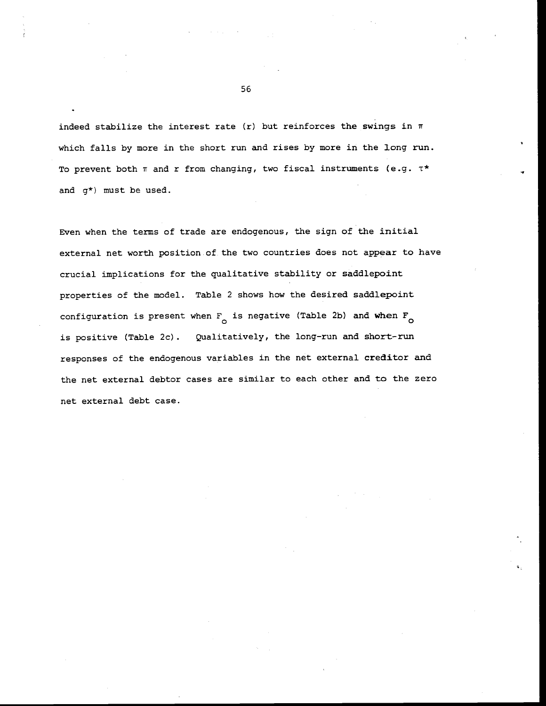indeed stabilize the interest rate (r) but reinforces the swings in  $\pi$ which falls by more in the short run and rises by more in the long run. To prevent both  $\pi$  and r from changing, two fiscal instruments (e.g.  $\tau^*$ and g\*) must be used.

Even when the terms of trade are endogenous, the sign of the initial external net worth position of the two countries does not appear to have crucial implications for the qualitative stability or saddlepoint properties of the model. Table 2 shows how the desired saddlepoint configuration is present when  $F_{\alpha}$  is negative (Table 2b) and when  $F_{\alpha}$ is positive (Table 2c). Qualitatively, the long-run and short-run responses of the endogenous variables in the net external creditor and the net external debtor cases are similar to each other and to the zero net external debt case.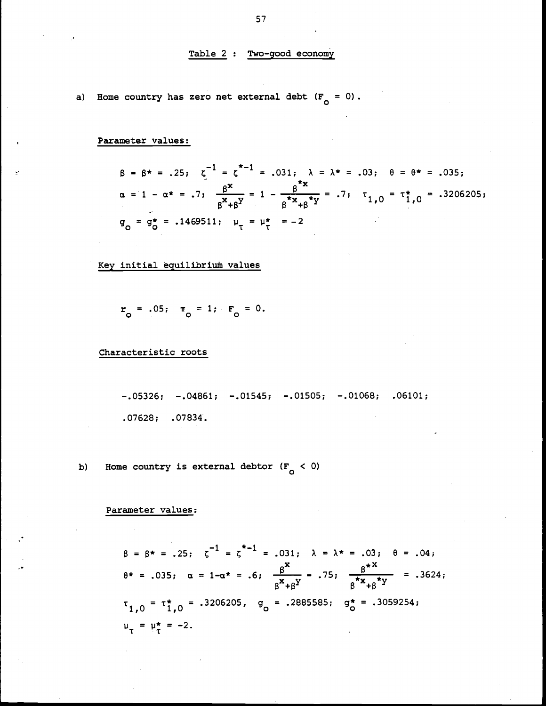### Table 2 : Two-good economy

a) Home country has zero net external debt  $(F_{\Omega} = 0)$ .

Parameter values:

$$
\beta = \beta^* = .25; \quad \zeta^{-1} = \zeta^{*-1} = .031; \quad \lambda = \lambda^* = .03; \quad \theta = \theta^* = .035; \n\alpha = 1 - \alpha^* = .7; \quad \frac{\beta^*}{\beta^* + \beta^*} = 1 - \frac{\beta^{*x}}{\beta^* + \beta^*} = .7; \quad \tau_{1,0} = \tau_{1,0}^* = .3206205; \n\sigma_0 = \sigma_0^* = .1469511; \quad \mu_{\tau} = \mu_{\tau}^* = -2
$$

Key initial eguilibriuñ values

$$
r_o
$$
 = .05;  $\pi_o$  = 1;  $F_o$  = 0.

Characteristic roots

—.05326; —.04861; —.01545; —.01505; —.01068; .06101; .07628; .07834.

b) Home country is external debtor  $(F_{\textrm{o}} < 0)$ 

## Parameter values:

 $\beta = \beta^* = .25; \zeta^{-1} = \zeta^{*-1} = .031; \lambda = \lambda^* = .03; \theta = .04;$  $\theta^* = .035; \quad \alpha = 1-\alpha^* = .6; \quad \frac{\beta^*}{\beta^* + \beta^Y} = .75; \quad \frac{\beta^{*x}}{\beta^* x_{+} \beta^* Y} = .3624;$  $1,0 = \tau_{1,0}^* = .3206205$ ,  $g_0^* = .2885585$ ;  $g_0^* = .3059254$ ;  $\mu_{\tau} = \mu_{\tau}^{*} = -2.$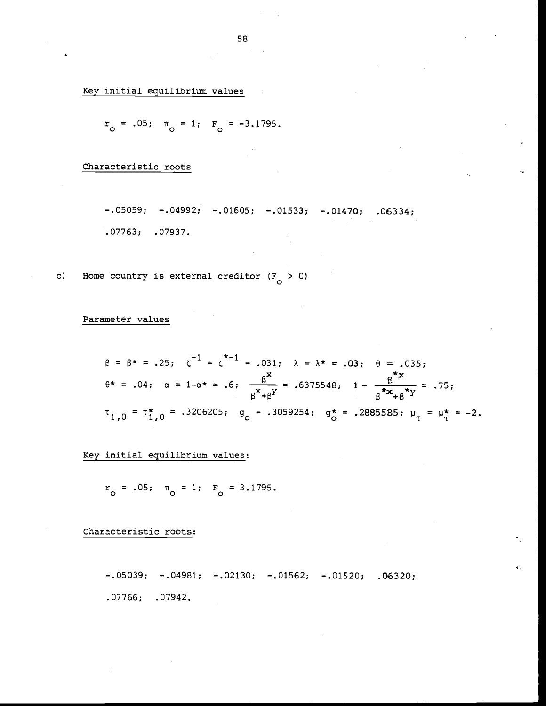Key initial equilibrium values

 $r_o = .05;$   $\pi_o = 1;$   $F_o = -3.1795.$ 

Characteristic roots

.07763; .07937.

 $-.05059; -.04992; -.01605; -.01533; -.01470; .06334;$ 

c) Home country is external creditor  $(F_0 > 0)$ 

Parameter values

$$
\beta = \beta^* = .25; \quad \zeta^{-1} = \zeta^{*-1} = .031; \quad \lambda = \lambda^* = .03; \quad \theta = .035;
$$
  

$$
\theta^* = .04; \quad \alpha = 1 - \alpha^* = .6; \quad \frac{\beta^*}{\beta^* + \beta^*} = .6375548; \quad 1 - \frac{\beta^*}{\beta^* x + \beta^* y} = .75;
$$
  

$$
\tau_{1,0} = \tau_{1,0}^* = .3206205; \quad g_0 = .3059254; \quad g_0^* = .2885585; \quad \mu_{\tau} = \mu_{\tau}^* = -2.
$$

Key initial equilibrium values:

 $r_{\circ}$  = .05;  $\pi_{\circ}$  = 1;  $F_{\circ}$  = 3.1795.

Characteristic roots:

—.05039; —.04981; —.02130; —.01562; —.01520; .06320; .07766; .07942.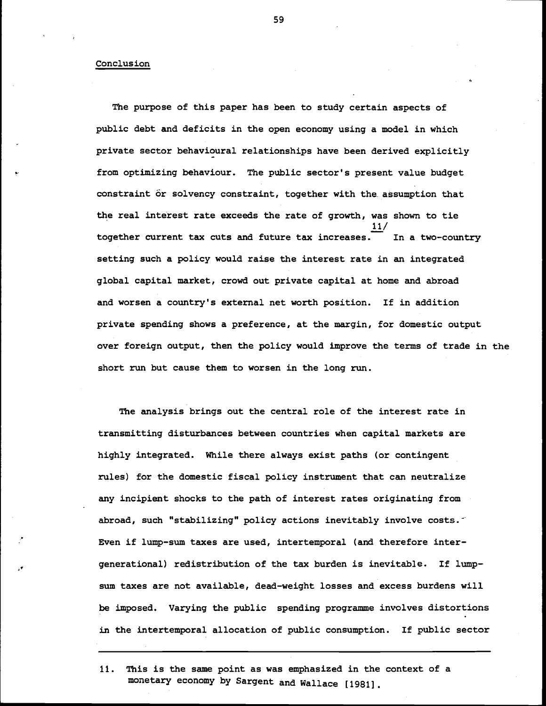#### Conclusion

The purpose of this paper has been to study certain aspects of public debt and deficits in the open economy using a model in which private sector behavioural relationships have been derived explicitly from optimizing behaviour. The public sector's present value budget constraint or solvency constraint, together with the assumption that the real interest rate exceeds the rate of growth, was shown to tie 11/ together current tax cuts and future tax increases. In a two—country setting such a policy would raise the interest rate in an integrated global capital market, crowd out private capital at home and abroad and worsen a country's external net worth position. If in addition private spending shows a preference, at the margin, for domestic output over foreign output, then the policy would improve the terms of trade in the short run but cause them to worsen in the long run.

The analysis brings out the central role of the interest rate in transmitting disturbances between countries when capital markets are highly integrated. While there always exist paths (or contingent rules) for the domestic fiscal policy instrument that can neutralize any incipient shocks to the path of interest rates originating from abroad, such "stabilizing" policy actions inevitably involve costs. Even if lump—sum taxes are used, intertemporal (and therefore intergenerational) redistribution of the tax burden is inevitable. If lump sum taxes are not available, dead—weight losses and excess burdens will be imposed. Varying the public spending programme involves distortions in the intertemporal allocation of public consumption. If public sector

11. This is the same point as was emphasized in the context of a monetary economy by Sargent and Wallace (1981].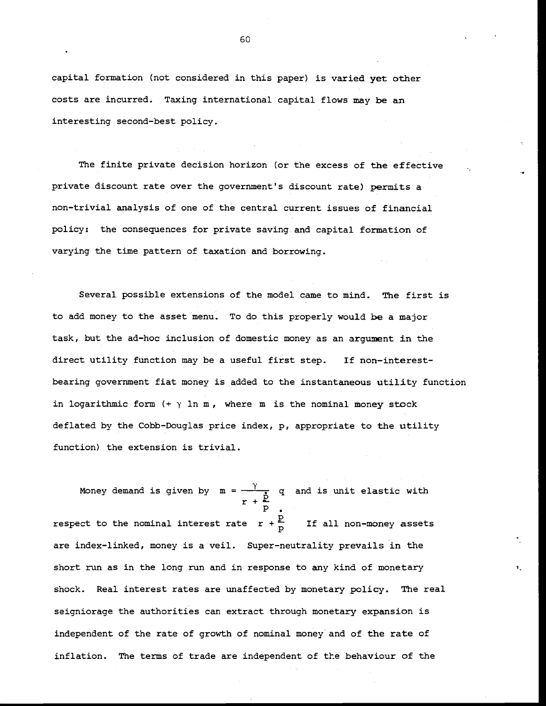capital formation (not considered in this paper) is varied yet other costs are incurred. Taxing international capital flows may be an interesting second-best policy.

The finite private decision horizon (or the excess of the effective private discount rate over the government's discount rate) permits a non—trivial analysis of one of the central current issues of financial policy: the consequences for private saving and capital formation of varying the time pattern of taxation and borrowing.

Several possible extensions of the model came to mind. The first is to add money to the asset menu. To do this properly would be a major task, but the ad—hoc inclusion of domestic money as an argument in the direct utility function may be a useful first step. If non—interestbearing government fiat money is added to the instantaneous utility function in logarithmic form  $(+) \gamma$  ln m, where m is the nominal money stock deflated by the Cobb-Douglas price index, p, appropriate to the utility function) the extension is trivial.

Money demand is given by  $m = \frac{y}{r+\frac{p}{n}}$  q and is unit elastic with respect to the nominal interest rate  $r+\frac{p}{p}$  If all non-money assets are index—linked, money is a veil. Super—neutrality prevails in the short run as in the long run and in response to any kind of monetary shock. Real interest rates are unaffected by monetary policy. The real seigniorage the authorities can extract through monetary expansion is independent of the rate of growth of nominal money and of the rate of inflation. The terms of trade are independent of the behaviour of the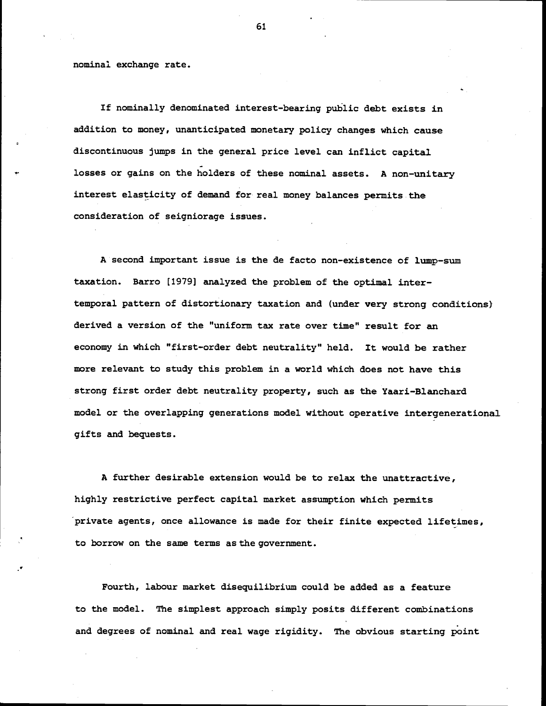nominal exchange rate.

If nominally denominated interest-bearing public debt exists in addition to money, unanticipated monetary policy changes which cause discontinuous jumps in the general price level can inflict capital losses or gains on the holders of these nominal assets. A non—unitary interest elasticity of demand for real money balances permits the consideration of seigniorage issues.

A second important issue is the de facto non-existence of lump—sum taxation. Barro [1979] analyzed the problem of the optimal inter temporal pattern of distortionary taxation and (under very strong conditions) derived a version of the "uniform tax rate over time" result for an economy in which "first—order debt neutrality" held. It would be rather more relevant to study this problem in a world which does not have this strong first order debt neutrality property, such as the Yaari—Blanchard model or the overlapping generations model without operative intergenerational gifts and bequests.

A further desirable extension would be to relax the unattractive, highly restrictive perfect capital market assumption which permits private agents, once allowance is made for their finite expected lifetimes, to borrow on the same terms as the government.

Fourth, labour market disequilibrium could be added as a feature to the model. The simplest approach simply posits different combinations and degrees of nominal and real wage rigidity. The obvious starting point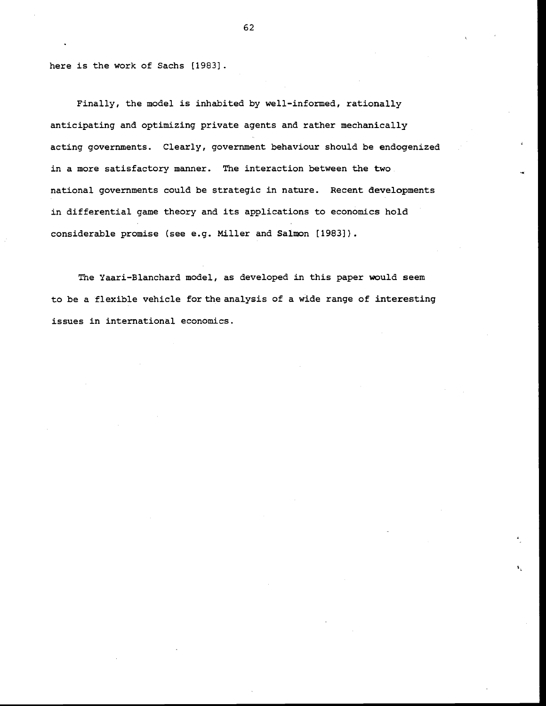here is the work of Sachs [1983].

Finally, the model is inhabited by well-informed, rationally anticipating and optimizing private agents and rather mechanically acting governments. Clearly, government behaviour should be endogenized in a more satisfactory manner. The interaction between the two national governments could be strategic in nature. Recent developments in differential game theory and its applications to economics hold considerable promise (see e.g. Miller and Salmon [1983]).

The Yaari—Blanchard model, as developed in this paper would seem to be a flexible vehicle forthe analysis of a wide range of interesting issues in international economics.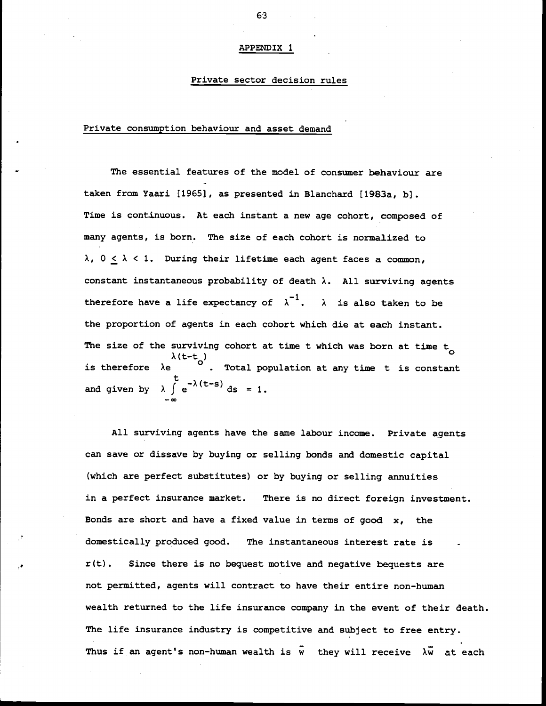#### APPENDIX <sup>1</sup>

### Private sector decision rules

### Private consumption behaviour and asset demand

The essential features of the model of consumer behaviour are taken from Yaari [1965], as presented in Blanchard (1983a, b]. Time is continuous. At each instant a new age cohort, composed of many agents, is born. The size of each cohort is normalized to  $\lambda$ ,  $0 \leq \lambda < 1$ . During their lifetime each agent faces a common, constant instantaneous probability of death  $\lambda$ . All surviving agents therefore have a life expectancy of  $\lambda^{-1}$ .  $\lambda$  is also taken to be the proportion of agents in each cohort which die at each instant. The size of the surviving cohort at time t which was born at time  $t_{\alpha}$ surviving cohort at time t which was born at time t<sub>o</sub><br> $\lambda$ (t-t<sub>a</sub>)  $\lambda$ (t-t)<br>is therefore  $\lambda$ e  $\lambda$  . Total population at any time t is constant and given by  $\lambda \int e^{-\lambda(t-s)} ds = 1$ .

All surviving agents have the same labour income. Private agents can save or dissave by buying or selling bonds and domestic capital (which are perfect substitutes) or by buying or selling annuities in a perfect insurance market. There is no direct foreign investment. Bonds are short and have a fixed value in terms of good  $x$ , the domestically produced good. The instantaneous interest rate is r(t). Since there is no bequest motive and negative bequests are not permitted, agents will contract to have their entire non—human wealth returned to the life insurance company in the event of their death. The life insurance industry is competitive and subject to free entry. Thus if an agent's non-human wealth is  $\bar{w}$  they will receive  $\lambda \bar{w}$  at each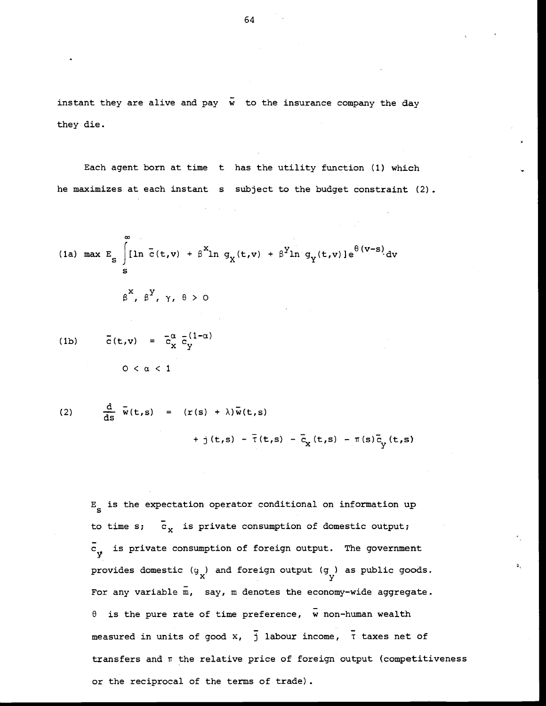instant they are alive and pay  $\bar{w}$  to the insurance company the day they die.

Each agent born at time t has the utility function (1) which he maximizes at each instant s subject to the budget constraint (2).

(1a) max E<sub>s</sub> 
$$
\int_{s}^{\infty}
$$
 [ln  $\bar{c}(t,v) + \beta^{X}$ ln  $g_{\chi}(t,v) + \beta^{Y}$ ln  $g_{\chi}(t,v)$ ]  $e^{\theta(v-s)}$ dv  
\n $\beta^{X}, \beta^{Y}, \gamma, \theta > 0$   
\n(1b)  $\bar{c}(t,v) = \bar{c}_{x}^{\alpha} \bar{c}_{y}^{(1-\alpha)}$   
\n $0 < \alpha < 1$ 

(2) 
$$
\frac{d}{ds} \overline{w}(t,s) = (r(s) + \lambda)\overline{w}(t,s) + j(t,s) - \overline{r}(t,s) - \overline{c}_x(t,s) - \pi(s)\overline{c}_y(t,s)
$$

 $E<sub>g</sub>$  is the expectation operator conditional on information up to time s;  $\bar{c}_x$  is private consumption of domestic output;  $\overline{c}_{\mathbf{y}}$  is private consumption of foreign output. The government provides domestic  $(g_x)$  and foreign output  $(g_x)$  as public goods. For any variable  $\overline{m}$ , say,  $m$  denotes the economy-wide aggregate.  $\theta$  is the pure rate of time preference, w non-human wealth measured in units of good x,  $\overline{j}$  labour income,  $\overline{r}$  taxes net of transfers and  $\pi$  the relative price of foreign output (competitiveness or the reciprocal of the terms of trade).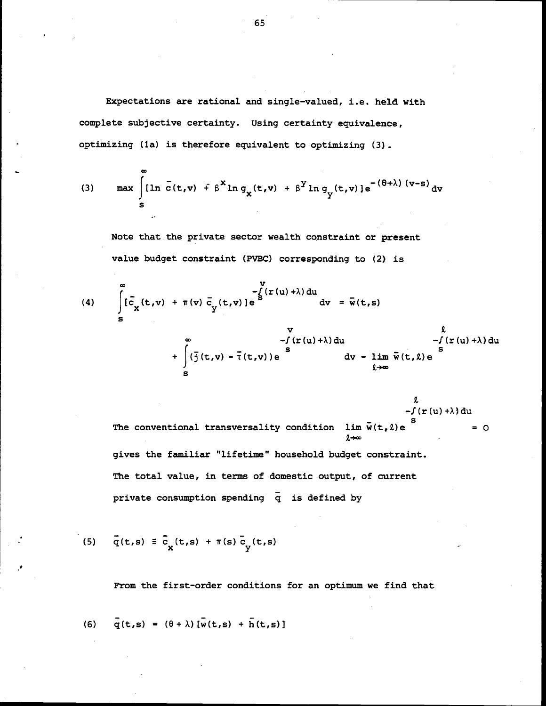Expectations are rational and single-valued, i.e. held with complete subjective certainty. Using certainty equivalence, optimizing (la) is therefore equivalent to optimizing (3).

(3) 
$$
\max_{s} \int \left[\ln \bar{c}(t,v) + \beta^{x} \ln g_{x}(t,v) + \beta^{y} \ln g_{y}(t,v)\right] e^{-(\theta + \lambda) (v-s)} dv
$$

Note that the private sector wealth constraint or present value budget constraint (PVBC) corresponding to (2) is

(4) 
$$
\int_{S}^{\infty} \vec{c}_{x}(t,v) + \pi(v) \vec{c}_{y}(t,v) \cdot e^{S(t,v)} \, dv = \vec{w}(t,s)
$$

 $\mathfrak{L}$ —f(r(u)+X)du The conventional transversality condition  $\lim_{n \to \infty} \bar{w}(t, \ell) e$  = 0  $l + \infty$ gives the familiar "lifetime" household budget constraint. The total value, in terms of domestic output, of current private consumption spending  $\bar{q}$  is defined by

(5) 
$$
\bar{q}(t,s) \equiv \bar{c}_x(t,s) + \pi(s) \bar{c}_y(t,s)
$$

 $\infty$ 

From the first-order conditions for an optimum we find that

(6) 
$$
\bar{q}(t,s) = (\theta + \lambda) [\bar{w}(t,s) + \bar{h}(t,s)]
$$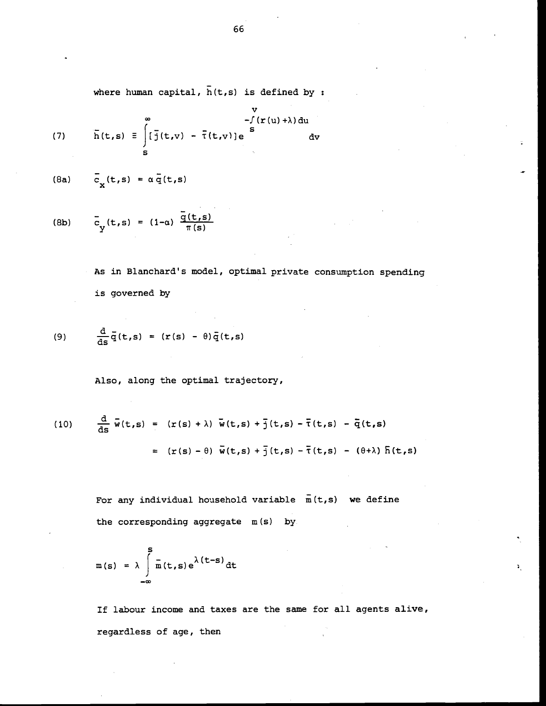where human capital,  $\overline{h}(t,s)$  is defined by :

(7) 
$$
\bar{h}(t,s) = \int_{s}^{w} [\bar{j}(t,v) - \bar{\tau}(t,v)]e^{\int_{s}^{w} dy}
$$

(8a) 
$$
\overline{c}_x(t,s) = \alpha \overline{q}(t,s)
$$

(8b) 
$$
\bar{c}_y(t,s) = (1-\alpha) \frac{\bar{q}(t,s)}{\pi(s)}
$$

As in Blanchard's model, optimal private consumption spending is governed by

(9) 
$$
\frac{d}{ds}\bar{q}(t,s) = (r(s) - \theta)\bar{q}(t,s)
$$

Also, along the optimal trajectory,

(10) 
$$
\frac{d}{ds}\overline{w}(t,s) = (r(s) + \lambda)\overline{w}(t,s) + \overline{j}(t,s) - \overline{r}(t,s) - \overline{q}(t,s)
$$

$$
= (r(s) - \theta)\overline{w}(t,s) + \overline{j}(t,s) - \overline{r}(t,s) - (\theta + \lambda)\overline{h}(t,s)
$$

For any individual household variable  $\bar{m}(t,s)$  we define the corresponding aggregate  $m(s)$  by

$$
m(s) = \lambda \int_{-\infty}^{s} \frac{1}{m(t,s)} e^{\lambda(t-s)} dt
$$

If labour income and taxes are the same for all agents alive, regardless of age, then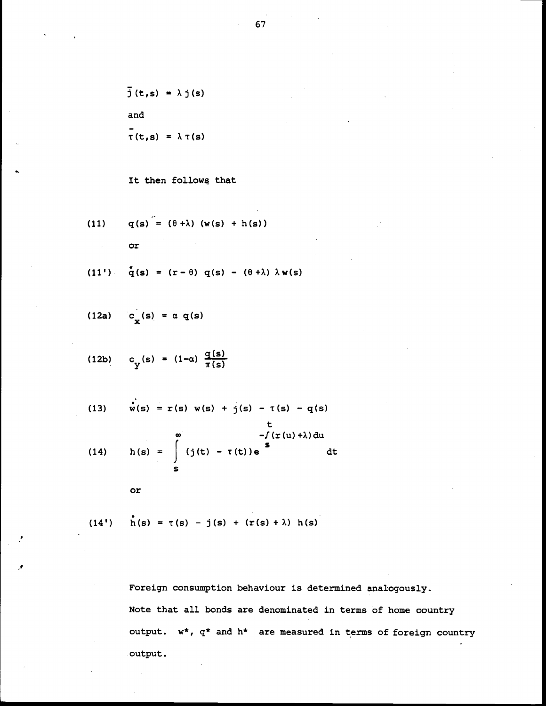$$
\bar{j}(t,s) = \lambda j(s)
$$
  
and  

$$
\bar{\tau}(t,s) = \lambda \tau(s)
$$

It then follows that

(11) 
$$
q(s) = (\theta + \lambda) (w(s) + h(s))
$$
  
or

$$
(11') \quad \tilde{q}(s) = (r - \theta) q(s) - (\theta + \lambda) \lambda w(s)
$$

$$
(12a) \quad c_x(s) = \alpha q(s)
$$

$$
(12b) \quad c_y(s) = (1-a) \frac{q(s)}{\pi(s)}
$$

(13) 
$$
\mathbf{w}(s) = r(s) \mathbf{w}(s) + j(s) - r(s) - q(s)
$$
  
\nt  
\n $\mathbf{w}(s) = \int_{s}^{\infty} (j(t) - r(t))e^{st} dt$ 

or

(14') 
$$
h(s) = \tau(s) - j(s) + (r(s) + \lambda) h(s)
$$

Foreign consumption behaviour is determined analogously. Note that all bonds are denominated in terms of home country output.  $w^*$ ,  $q^*$  and  $h^*$  are measured in terms of foreign country output.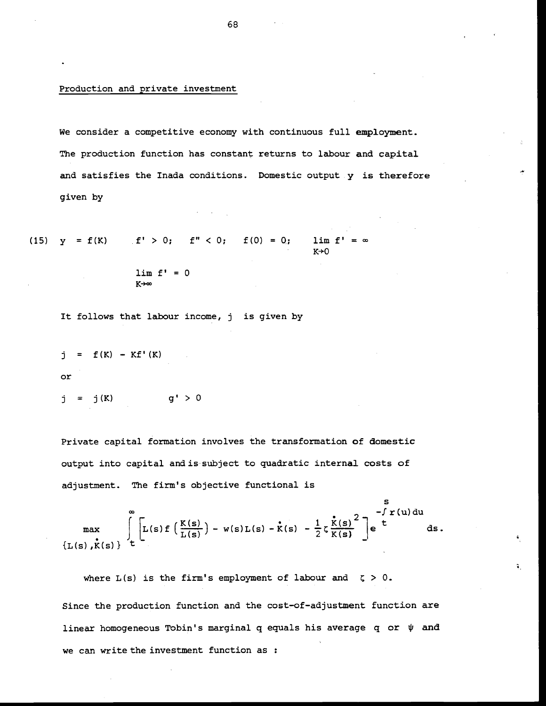#### Production and private investment

We consider a competitive economy with continuous full employment. The production function has constant returns to labour and capital and satisfies the Inada conditions. Domestic output y is therefore given by

(15)  $y = f(K)$  f' > 0;  $f'' < 0$ ;  $f(0) = 0$ ;  $\lim f'$  $K+0$ 

$$
\lim_{K \to \infty} f' = 0
$$

It follows that labour income, j is given by

$$
j = f(K) - Kf'(K)
$$
or

$$
j = j(K) \qquad \qquad g' > 0
$$

Private capital formation involves the transformation of domestic output into capital and is subject to quadratic internal costs of adjustment. The firm's objective functional is

S and the second second second second second second second second second second second second second second se  $-f r(u) du$  $max$   $|L|$ max  $\int_{L(s)}^{\infty} \left[ L(s) f\left(\frac{K(s)}{L(s)}\right) - w(s)L(s) - \kappa(s) - \frac{1}{2} \zeta \frac{\kappa(s)}{K(s)}^2 \right] e^{-\int r(u) du} ds.$ ds.

¥.

where  $L(s)$  is the firm's employment of labour and  $\zeta > 0$ . Since the production function and the cost—of-adjustment function are linear homogeneous Tobin's marginal q equals his average q or  $\psi$  and we can write the investment function as :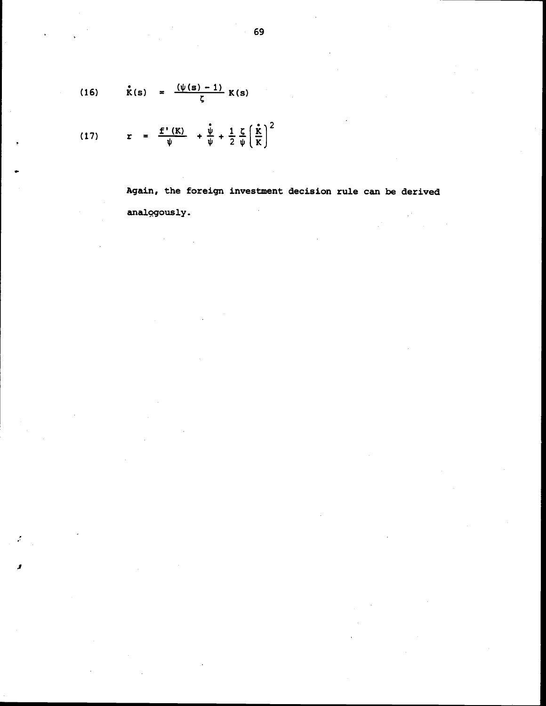(16) 
$$
\dot{K}(s) = \frac{(\psi(s) - 1)}{\zeta} K(s)
$$

 $\sim$ 

 $\mathcal{L}_{\mathbf{r}}$ 

 $\pmb{x}$ 

(17) 
$$
r = \frac{f'(K)}{\psi} + \frac{\dot{\psi}}{\psi} + \frac{1}{2} \frac{\zeta}{\psi} \left(\frac{\dot{\kappa}}{K}\right)^2
$$

Again, the foreign investment decision rule can be derived analogously.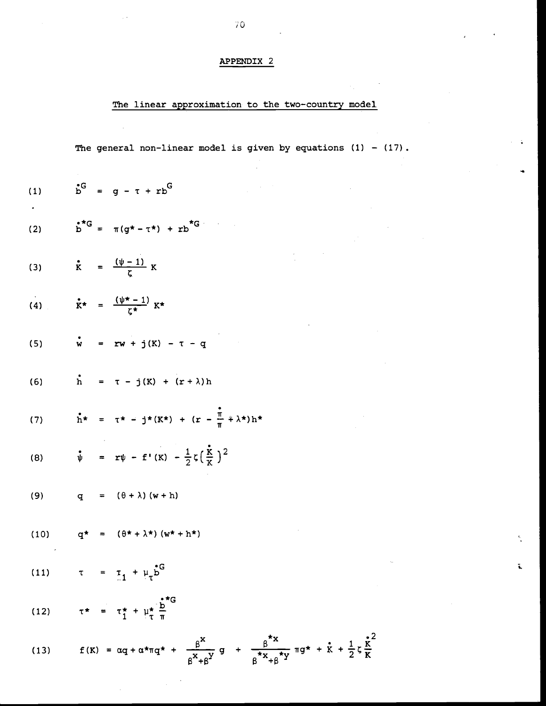# APPENDIX 2

# The linear approximation to the two-country model

The general non-linear model is given by equations  $(1) - (17)$ .

 $\bar{\mathbf{x}}$ 

(1) 
$$
b^G = g - \tau + rb^G
$$
  
\n(2)  $b^{\pi G} = \pi (g^{\pi} - \tau^{\pi}) + rb^{\pi G}$   
\n(3)  $\dot{x} = \frac{(\psi - 1)}{\zeta} K$   
\n(4)  $\dot{x}^{\pi} = \frac{(\psi^{\pi} - 1)}{\zeta^{\pi}} K^{\pi}$   
\n(5)  $\dot{w} = rw + j(K) - \tau - q$   
\n(6)  $\dot{h} = \tau - j(K) + (r + \lambda)h$   
\n(7)  $\dot{h}^{\pi} = \tau^{\pi} - j^{\pi}(K^{\pi}) + (r - \frac{\pi}{\pi} + \lambda^{\pi})h^{\pi}$   
\n(8)  $\dot{v} = x\psi - f'(K) - \frac{1}{2}\zeta(\frac{\dot{x}}{K})^2$   
\n(9)  $q = (\theta + \lambda)(w + h)$   
\n(10)  $q^{\pi} = (\theta^{\pi} + \lambda^{\pi})(w^{\pi} + h^{\pi})$   
\n(11)  $\tau = \tau_1 + \mu_{\tau} b^G$   
\n(12)  $\tau^{\pi} = \tau_1^{\pi} + \mu_{\tau}^{\pi} \frac{b^{\pi}G}{m}$ 

 $\sim$ 

(13) 
$$
f(K) = \alpha q + \alpha \star \pi q \star + \frac{\beta^{X}}{\beta^{X} + \beta^{Y}} q + \frac{\beta^{X}}{\beta^{X} + \beta^{X} y} \pi q \star + \dot{k} + \frac{1}{2} \zeta \frac{\dot{k}^{2}}{K}
$$

 $\mathcal{L}_{\mathcal{A}}$ 

 $\bar{\beta}$ 

ĩ.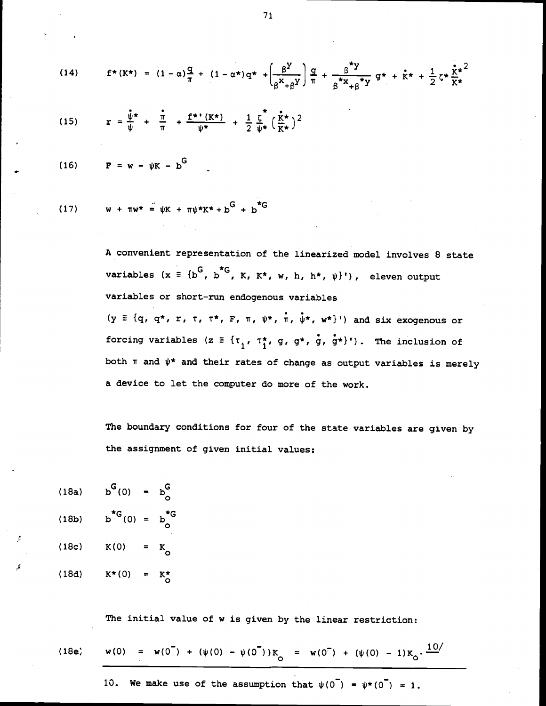(14) 
$$
f^*(K^*) = (1 - \alpha)\frac{q}{\pi} + (1 - \alpha^*)q^* + \left(\frac{\beta^Y}{\beta^X + \beta^Y}\right)\frac{q}{\pi} + \frac{\beta^*Y}{\beta^*x + \beta^*y}q^* + \dot{K}^* + \frac{1}{2}\zeta^*\frac{\dot{K}^*}{K^*}
$$

(15) 
$$
r = \frac{\hat{\psi}^{\star}}{\psi} + \frac{\hat{\pi}}{\pi} + \frac{f^{\star} (K^{\star})}{\psi^{\star}} + \frac{1}{2} \frac{\zeta}{\psi^{\star}} (\frac{\hat{\kappa}^{\star}}{K^{\star}})^2
$$

$$
(16) \qquad \mathbf{F} = \mathbf{w} - \psi \mathbf{K} - \mathbf{b}^{\mathbf{G}}
$$

(17) 
$$
w + \pi w^* = \psi K + \pi \psi^* K^* + b^G + b^{*G}
$$

A convenient representation of the linearized model involves 8 state variables (x  $\equiv$  {b<sup>G</sup>, b<sup>\*</sup>G, K, K\*, w, h, h\*,  $\psi$ }'), eleven output variables or short—run endogenous variables (y  $\equiv$  {q, q\*, r,  $\tau$ ,  $\tau^*$ ,  $F$ ,  $\pi$ ,  $\psi^*$ ,  $\pi$ ,  $\psi^*$ ,  $w^*$ }') and six exogenous or forcing variables (z  $\equiv$  { $\tau_1$ ,  $\tau_1^*$ , g, g\*, g, g\*}'). The inclusion of both  $\pi$  and  $\psi^*$  and their rates of change as output variables is merely a device to let the computer do more of the work.

The boundary conditions for four of the state variables are given by the assignment of given initial values:

(18a) 
$$
b^{G}(0) = b_{0}^{G}
$$
  
\n(18b)  $b^{*G}(0) = b_{0}^{*G}$   
\n(18c)  $K(0) = K_{0}$   
\n(18d)  $K^{*}(0) = K_{0}^{*}$ 

The initial value of w is given by the linear restriction:

(18e) 
$$
w(0) = w(0^{\top}) + (\psi(0) - \psi(0^{\top}))K_0 = w(0^{\top}) + (\psi(0) - 1)K_0 \cdot \frac{10}{}
$$

10. We make use of the assumption that  $\psi(0^-) = \psi^*(0^-) = 1$ .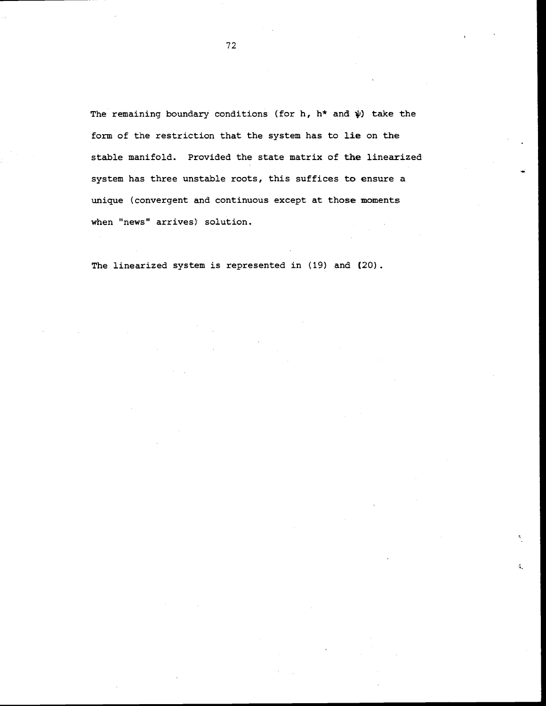The remaining boundary conditions (for h,  $h^*$  and  $\psi$ ) take the form of the restriction that the system has to lie on the stable manifold. Provided the state matrix of the linearized system has three unstable roots, this suffices to ensure a unique (convergent and continuous except at those moments when "news" arrives) solution.

š.

The linearized system is represented in (19) and (20).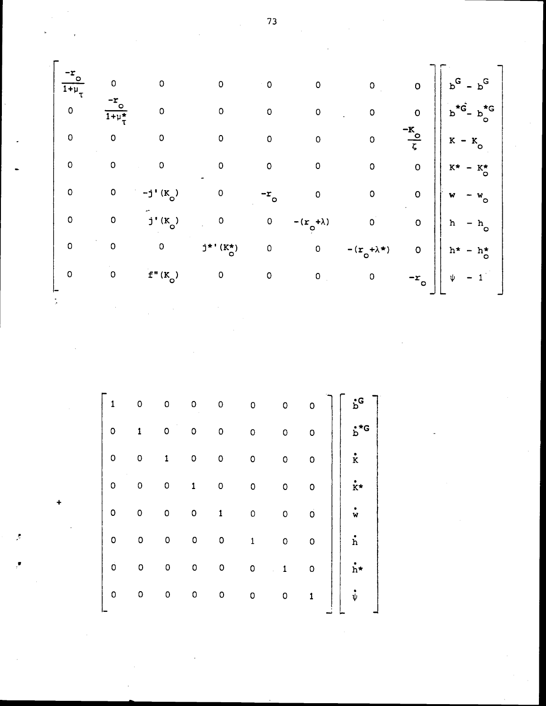$rac{-r_0}{1+r_0}$ <br>0<br>0<br>0  $\overline{0}$  $\circ$  $\overline{0}$  $\mathsf{o}$  $\circ$  $\ddot{\phantom{0}}$  0  $\frac{-r_{\circ}}{1+\mu_{\tau}^{\star}}$  $\circ$  $\circ$  $\circ$  $\circ$  $\overline{O}$  $\overline{0}$  $\overline{0}$  $\mathsf{o}$  $\overline{O}$  $\overline{O}$  $\circ$  $\overline{\mathbf{0}}$  $\overline{\mathbf{0}}$  $\circ$  $\mathsf{o}$  $\mathsf{o}$  $\overline{O}$  $\bullet$ 0 0  $-j'(K_0)$ <br>0 0  $j'(K_0)$ <br>0 0 0  $j'(K_0)$  $\circ$  $\begin{bmatrix} 0 \\ 0 \end{bmatrix}$  $\circ$  $-r_{\circ}$  $\mathsf{o}$  $\overline{0}$  $-(r_{\circ}+\lambda)$  $\circ$  $-(r_o + \lambda)$ <br>0  $j^{\star \, \prime}$  (K\*)  $_{\rm O}$  $\begin{matrix} 0 & 0 \\ 0 & 0 \end{matrix}$  $f''(K_0)$  $\begin{array}{ccc} 0 & \hspace{1.5cm} & 0 \end{array}$  $\mathbf 0$  $\mathbf 0$ 

 $\begin{bmatrix} 1 & 0 & 0 & 0 \ 0 & 1 & 0 & 0 \ 0 & 0 & 1 & 0 \ 0 & 0 & 0 & 1 \ 0 & 0 & 0 & 0 \ 0 & 0 & 0 & 0 \ 0 & 0 & 0 & 0 \ 0 & 0 & 0 & 0 \ 0 & 0 & 0 & 0 \end{bmatrix}$  $\circ$  $\circ$  $\mathsf{o}$  $\circ$  $\circ$ 0  $\circ$  $\begin{pmatrix} 1 & 1 \\ 1 & 1 \\ 1 & 1 \end{pmatrix}$  $\circ$  $\circ$  $\circ$  $\circ$  $\circ$  $\mathbf{o}$  $\overline{\mathbf{0}}$  $\overline{O}$  $\dot{\mathbf{k}}$ \*  $\mathsf{o}$  $\circ$  $\overline{\mathbf{o}}$  $\overline{O}$  $\dot{\tilde{w}}$  $\mathbf{1}$  $\circ$  $\circ$  $\overline{0}$  $\stackrel{\bullet}{\text{h}}$  $\mathsf{o}$  $\mathbf{1}$  $\mathsf{o}$  $\circ$  $\dot{h}$ \*  $\overline{\mathbf{0}}$  $\circ$  $\mathbf{1}$  $\mathsf{o}$  $\overline{0}$  $\circ$  $\mathsf{o}$  $\mathbf{1}$ 

73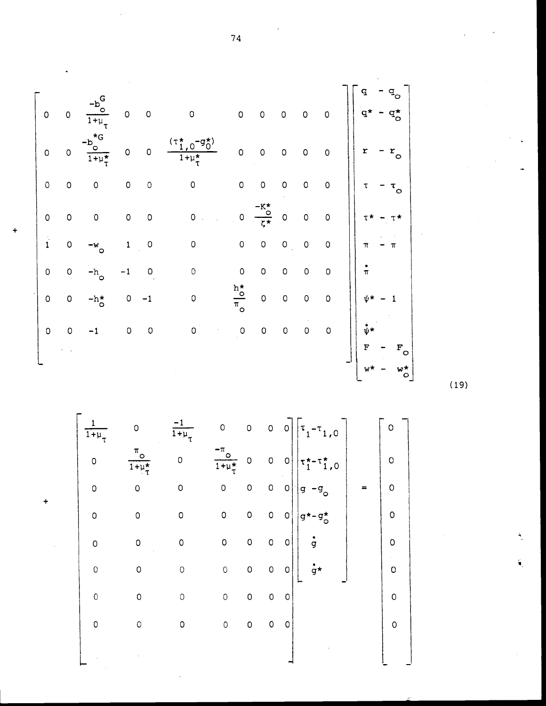|               |                     |                           |             |             |                          |                                           |                                            |             |             |                | q                                           |
|---------------|---------------------|---------------------------|-------------|-------------|--------------------------|-------------------------------------------|--------------------------------------------|-------------|-------------|----------------|---------------------------------------------|
| $\mathsf O$   | O                   | $\overline{1+\mu}_{\tau}$ | $\mathsf O$ | $\circ$     | $\circ$                  | $\overline{O}$                            | $\circ$                                    | O           | $\mathsf O$ | 0              | đ,                                          |
| $\mathsf O$   | $\mathsf O$         | $1 + \mu_{\tau}$          | $\circ$     | 0           | $1 + \mu_{\tau}^{\star}$ | $\circ$                                   | $\circ$                                    | $\mathsf O$ | $\circ$     | O              | r<br>$r_{\circ}$                            |
| $\circ$       | $\mathsf O$         | O                         | $\mathsf O$ | $\circ$     | 0                        | $\mathsf{O}\xspace$                       | $\circ$                                    | O           | O           | 0              | τ<br>$\mathfrak{r}_\mathsf{o}$              |
| $\circ$       | $\hbox{O}$          | $\mathsf O$               | $\mathsf O$ | $\mathsf O$ | 0                        | $\mathsf O$                               | $\frac{-K_{\circ}^{\star}}{\zeta^{\star}}$ | $\mathsf O$ | $\mathsf O$ | 0              |                                             |
| $\frac{1}{1}$ | $\mathsf{O}\xspace$ | $-w$<br>o                 | $\mathbf 1$ | $\circ$     | 0                        | $\mathsf O$                               | $\mathsf O$                                | $\mathsf O$ | 0           | O              | $\pi$<br>π                                  |
| $\circ$       | $\mathsf O$         | -hj<br>$\circ$            |             | 0           | $\circ$                  | $\mathsf O$                               | $\mathsf O$                                | 0           | $\mathsf O$ | $\circ$        | $\pi$                                       |
| $\mathsf O$   | $\mathsf O$         | $-h^{\star}_{\circ}$      | 0           | -1          | 0                        | $\frac{h^{\star}_{\bullet}}{\pi_{\circ}}$ | $\mathsf O$                                | 0           | $\mathsf O$ | $\overline{O}$ | ψ×                                          |
| $\circ$       | $\hbox{O}$          | $-1$                      | $\mathsf O$ | $\circ$     | 0                        | $\mathsf O$                               | $\mathsf O$                                | $\mathsf O$ | $\circ$     | $\circ$        | $\mathbf{v}^{\star}$                        |
|               |                     |                           |             |             |                          |                                           |                                            |             |             |                | F<br>$\mathbf{F}^{\mathbf{C}}_{\mathbf{C}}$ |
|               |                     |                           |             |             |                          |                                           |                                            |             |             |                | $\circ$                                     |

 $(19)$ 

 $\begin{bmatrix} \frac{1}{1+\mu_{\tau}} & 0 & \frac{-1}{1+\mu_{\tau}} & 0 & 0 & 0 & 0 \ 0 & \frac{\pi_{0}}{1+\mu_{\tau}^{*}} & 0 & \frac{-\pi_{0}}{1+\mu_{\tau}^{*}} & 0 & 0 & 0 \ 0 & 0 & 0 & 0 & 0 & 0 \ 0 & 0 & 0 & 0 & 0 & 0 & 0 \ 0 & 0 & 0 & 0 & 0 & 0 & 0 \ 0 & 0 & 0 & 0 & 0 & 0 & 0 \ 0 & 0 & 0 & 0 & 0 & 0 & 0 \ \end{bmatrix} \begin{bmatrix} \tau_{1} \frac{1}{2}$  $\begin{matrix} 0 \\ 0 \end{matrix}$  $\dot{g}$ \*  $\circ$  $\begin{bmatrix} 0 & 0 \end{bmatrix}$  $\overline{0}$  $\circ$  $\circ$  $\overline{0}$  $\circ$  $\circ$  $\circ$  $\circ$  $0$  0  $\circ$  $\circ$  $\circ$  $\overline{0}$  $0$  0  $\circ$  $\mathsf{o}$ 

 $\ddot{+}$ 

74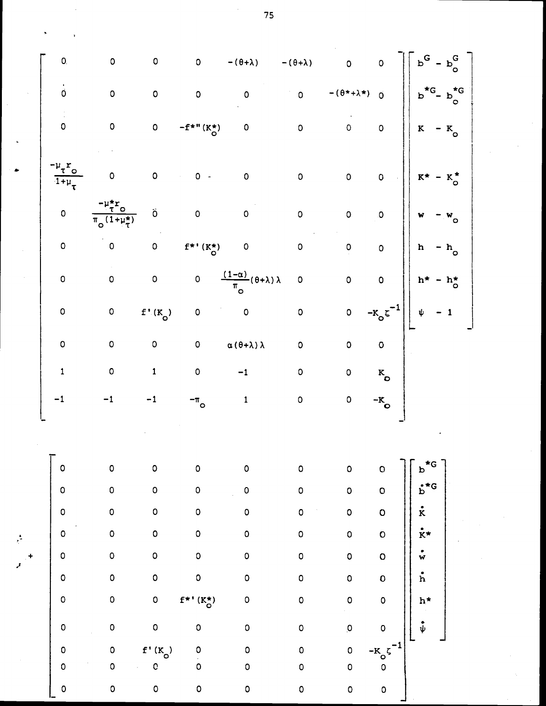| O.                                                                             | $\mathsf O$                                          | $\mathsf{o}$        | $\mathsf{o}$                           | $-(\theta + \lambda)$                                         | $-(\theta + \lambda)$ | $\overline{0}$                      | $\overline{O}$          | $\mathtt{b}^{\mathsf{G}}$<br>$p_{\nu}^{\mathbf{O}}$ |  |
|--------------------------------------------------------------------------------|------------------------------------------------------|---------------------|----------------------------------------|---------------------------------------------------------------|-----------------------|-------------------------------------|-------------------------|-----------------------------------------------------|--|
| $\dot{\mathbf{0}}$                                                             | $\mathsf{o}$                                         | $\mathsf{O}\xspace$ | $\circ$                                | $\mathsf{o}$                                                  | $\mathsf{o}$          | $-(\theta^{\star}+\lambda^{\star})$ | $\overline{0}$          | $b_{\circ}^{\star G}$<br>$b^{\star G}$              |  |
| $\mathsf{O}\xspace$                                                            | $\mathsf{o}$                                         | $\mathsf{O}\xspace$ | $-f^{*}$ " ( $K^{*}_{O}$ )             | $\mathsf{o}\xspace$                                           | $\mathsf{o}$          | $\overline{O}$                      | $\mathsf{o}$            | $\mathbf{K}$<br>$-$ K <sub>o</sub>                  |  |
| $\mathfrak{p}_{\tau}\mathfrak{r}_{_{\mathbf{O}}}$<br>$\overline{1+\mu}_{\tau}$ | $\circ$                                              | $\mathsf{O}\xspace$ | $0 -$                                  | $\mathsf{o}\xspace$                                           | $\mathsf{O}\xspace$   | $\mathsf{O}\xspace$                 | $\mathsf{O}\xspace$     | $\kappa_\circ^\star$<br>$K^{\star}$                 |  |
| $\mathsf{o}$                                                                   | $\frac{m_{\tau}^{2}}{\pi_{\circ}(1+\mu_{\tau}^{*})}$ | Ő                   | $\mathsf{o}$                           | $\mathsf{o}$                                                  | $\mathsf{o}$          | $\mathsf{o}$                        | o                       | $\pmb{\textbf{w}}$<br>$W$ <sub>O</sub>              |  |
| $\mathsf{O}\xspace$                                                            | $\mathsf{O}\xspace$                                  | $\mathsf{O}\xspace$ | $\mathtt{f}^{\star\,*}$ (K*)           | $\mathsf{o}$                                                  | $\mathsf{o}$          | $\overline{\mathbf{Q}}$             | $\mathsf{o}$            | $\mathbf{h}$<br>$- h$ <sub>o</sub>                  |  |
| $\mathsf{O}\xspace$                                                            | $\mathsf{o}$                                         | $\mathsf{O}\xspace$ | $\mathsf{o}\,$                         | $\frac{(1-\alpha)}{\pi_{\mathcal{O}}}(\theta+\lambda)\lambda$ | $\mathsf{O}\xspace$   | $\overline{O}$                      | $\mathbf{o}$            | $-h_{\circ}^{\star}$<br>$h^{\star}$                 |  |
| $\pmb{\mathsf{O}}$                                                             | $\mathsf{o}$                                         | $f'(K_0)$           | $\mathsf{o}$                           | $\mathsf{o}$                                                  | $\mathsf{o}\xspace$   | $\mathsf{O}\xspace$                 | $-k_{\circ}$ ζ          | $-1$<br>$\pmb{\psi}$                                |  |
| $\pmb{\mathsf{O}}$                                                             | $\mathsf{o}$                                         | $\mathsf{o}$        | $\mathsf{o}\xspace$                    | $\alpha$ ( $\theta + \lambda$ ) $\lambda$                     | $\mathsf{O}\xspace$   | $\mathsf{o}$                        | $\overline{\mathbf{o}}$ |                                                     |  |
| $\pmb{1}$                                                                      | $\mathsf{o}$                                         | $\mathbf 1$         | $\mathsf{o}\,$                         | $-1$                                                          | $\mathsf{o}$          | $\mathsf{o}\,$                      | $\kappa$ <sub>o</sub>   |                                                     |  |
| $-1$                                                                           | $-1$                                                 | $-1$                | $-\pi$ <sub>o</sub>                    | $\mathbf 1$                                                   | $\mathsf{O}\xspace$   | $\mathsf{O}\xspace$                 | $-K$ o                  |                                                     |  |
|                                                                                |                                                      |                     |                                        |                                                               |                       |                                     |                         |                                                     |  |
| $\mathsf{o}$                                                                   | $\mathsf{o}$                                         | $\mathsf{o}$        | $\mathsf{o}$                           | $\mathsf{o}$                                                  | $\mathsf{o}$          | $\mathsf{o}$                        | $\mathbf O$             |                                                     |  |
| $\mathsf{o}$                                                                   | $\mathsf{o}$                                         | $\mathsf{o}$        | $\mathsf{o}$                           | $\mathsf{o}$                                                  | $\mathsf{O}\xspace$   | $\circ$                             | $\mathsf{o}$            | $\stackrel{\bullet}{\mathtt{b}}^{\star\mathtt{G}}$  |  |
| $\mathsf{o}$                                                                   | $\mathsf{o}$                                         | $\mathsf{o}$        | $\mathsf{O}\xspace$                    | $\circ$                                                       | $\circ$               | $\circ$                             | $\mathbf O$             | $\dot{\mathbf{k}}$                                  |  |
| $\mathsf{o}$                                                                   | $\circ$                                              | $\mathsf{o}$        | $\circ$                                | $\circ$                                                       | $\mathsf{o}$          | $\mathsf{o}$                        | $\circ$                 | $\dot{\mathbf{r}}$ *                                |  |
| 0                                                                              | $\mathsf O$                                          | $\mathsf{o}$        | $\mathsf{o}$                           | $\mathsf{o}$                                                  | $\mathsf{o}\,$        | $\mathsf{o}$                        | $\circ$                 | $\stackrel{\bullet}{\mathsf{w}}$                    |  |
| O                                                                              | $\mathbf 0$                                          | $\mathsf{o}$        | $\mathsf{o}$                           | $\mathsf{o}$                                                  | $\mathsf{o}$          | $\mathsf{o}$                        | $\mathbf{o}$            | $\dot{h}$                                           |  |
| $\circ$                                                                        | $\circ$                                              | $\mathsf{o}$        | $\mathtt{f}^{\star \, \prime}$ (K*)    | $\mathsf{o}$                                                  | $\mathsf{o}$          | $\circ$                             | $\mathsf{o}$            | $h^{\star}$                                         |  |
| $\mathsf{o}$                                                                   | $\mathbf 0$                                          | $\mathsf{o}$        | $\circ$                                | $\mathsf{o}$                                                  | $\mathsf{o}$          | $\overline{\mathbf{0}}$             | $\mathsf{o}$            | $\overset{\bullet}{\boldsymbol{\psi}}$              |  |
| $\mathsf O$                                                                    | $\mathsf{o}$                                         | $f'(K_0)$           | $\begin{bmatrix} 0 \\ 0 \end{bmatrix}$ | $\mathsf O$                                                   | $\mathsf{O}\xspace$   | $\mathsf{o}$                        |                         |                                                     |  |
| $\circ$                                                                        | $\mathsf O$                                          | $\mathbf C$         |                                        | $\mathsf O$                                                   | $\mathsf{O}\xspace$   | $\mathsf O$                         | $-k$ <sup>c</sup>       |                                                     |  |
| $\mathsf{o}$                                                                   | $\mathsf{o}$                                         | $\mathsf{o}$        | $\mathsf{O}\xspace$                    | $\mathsf{O}\xspace$                                           | $\mathsf{O}\xspace$   | $\mathsf{o}$                        | $\mathsf{o}$            |                                                     |  |

75

 $\bar{\ell}$ 

 $\hat{\boldsymbol{\beta}}$ 

 $\ddot{\phantom{a}}$ 

 $\frac{1}{\sqrt{2}}$ 

 $\boldsymbol{\beta}$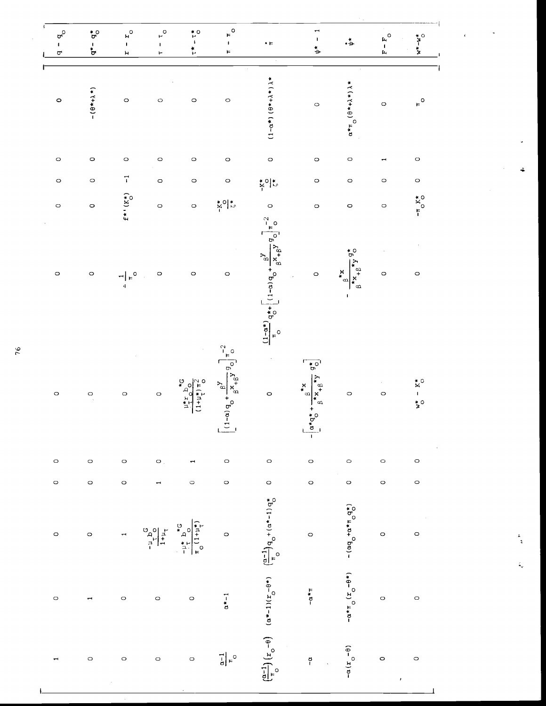| $\sigma^{\circ}$<br>$\mathbf I$<br>σ | $\mathbf{\hat{q}}_{\mathrm{o}}^{\star}$<br>$\frac{1}{\sigma^*}$ | $\mathbf{r}_o$<br>$\mathbf{I}$<br>Я          | $\mathsf{L}^{\circ}$<br>I.<br>۳   | $\ddot{r}$<br>$\ddot{\mathbf{r}}$                                            | $\mathbf{r}^{\mathsf{O}}$<br>$\mathbf{I}$<br>Þ                                                              | $\bullet$ $\ensuremath{\mathop{\vphantom{\rule{0pt}{1.5pt}}}}\nolimits$                                                                                                                                   | $\mathbf{\overline{1}}$<br>$\mathbf I$<br>≉'                                                                                               | $\cdot \stackrel{*}{\Rightarrow}$                                                                                                            | $\circ$<br>$F - F$ | $w^* - w^*$                                                       |
|--------------------------------------|-----------------------------------------------------------------|----------------------------------------------|-----------------------------------|------------------------------------------------------------------------------|-------------------------------------------------------------------------------------------------------------|-----------------------------------------------------------------------------------------------------------------------------------------------------------------------------------------------------------|--------------------------------------------------------------------------------------------------------------------------------------------|----------------------------------------------------------------------------------------------------------------------------------------------|--------------------|-------------------------------------------------------------------|
| $\circ$                              | $-(0*+1*)$                                                      | $\circ$                                      | $\circ$                           | $\circ$                                                                      | $\circ$                                                                                                     | $(1 - \alpha^*) (8 + \lambda + \lambda)$                                                                                                                                                                  | $\circ$                                                                                                                                    | $\alpha \star \pi$ ( $\theta \star + \lambda \star$ ) $\lambda \star$                                                                        | $\circ$            | $F^{\circ}$                                                       |
| $\circ$                              | $\circ$                                                         | $\circ$                                      | $\circ$                           | $\circ$                                                                      | $\circ$                                                                                                     | $\circ$                                                                                                                                                                                                   | $\circ$                                                                                                                                    | $\circ$                                                                                                                                      |                    | $\circ$                                                           |
| $\circ$                              | $\circ$                                                         | $\vec{r}$                                    | $\circ$                           | $\circ$                                                                      | $\circ$                                                                                                     | $\frac{1}{2}$ o $\frac{1}{2}$                                                                                                                                                                             | $\circ$                                                                                                                                    | $\circ$                                                                                                                                      | $\circ$            | $\circ$                                                           |
| $\circ$                              | $\circ$                                                         | $f^{\ast\, \prime}\,(\chi^\star_\mathrm{o})$ | $\circ$                           | $\circ$                                                                      | $K^{\circ}$                                                                                                 | $\circ$                                                                                                                                                                                                   | $\circ$                                                                                                                                    | $\circ$                                                                                                                                      | $\circ$            | $-\pi$ $X^*$                                                      |
| $\circ$                              | $\circ$                                                         | $\frac{1}{4} \mathbb{E}_{\mathcal{O}}$       | $\circ$                           | $\circ$                                                                      | $\circ$                                                                                                     | $\int_{0}^{\frac{1}{2}-\alpha + \frac{1}{2}} \frac{1}{\alpha} \, d\theta + \left[ (1-\alpha) \frac{1}{\alpha} + \frac{1}{\alpha} \frac{1}{\alpha} \frac{1}{\alpha} \right]_{0}^{\frac{1}{2}-\frac{1}{2}}$ | $\circ$                                                                                                                                    | $\begin{array}{cc} \mathbf{a} & \mathbf{a} + \mathbf{x} \\ \mathbf{b} & \mathbf{a} + \mathbf{b} \end{array}$<br>$*_{\infty}$<br>$\mathbf{I}$ | $\circ$            | $\circ$                                                           |
| $\circ$                              | $\circ$                                                         | $\circ$                                      | $\circ$                           | $5^{\circ}$ q <sup>21</sup> $\frac{1}{2}$<br>$(1+u^*_{\tau})\pi^2$<br>$\sim$ | $8\frac{1}{4}e^{9}$ $9\frac{1}{2}n^2$<br>$\frac{1}{2}$<br>$\begin{vmatrix} 1 & -a \\ -a & -1 \end{vmatrix}$ | $\circ$                                                                                                                                                                                                   | $\overline{5^{\circ}}$<br>$\frac{\beta_{\star}}{x_{\star}}\beta_{\star}}{\beta_{\star}}\beta_{\star}}$<br>$-\frac{a^{*}q^{*}}{q^{*}q^{*}}$ | $\circ$                                                                                                                                      | $\circ$            | $\tilde{\mathbf{x}}^{\circ}$<br>$\mathbf{\dot{z}}^{\,\mathrm{o}}$ |
| $\circ$                              | $\circ$                                                         | $\circ$                                      | $\bullet$ .                       |                                                                              | $\circ$                                                                                                     | $\circ$                                                                                                                                                                                                   | $\circ$                                                                                                                                    | $\circ$                                                                                                                                      | $\circ$            | $\circ$                                                           |
| $\circ$                              | $\circ$                                                         | $\circ$                                      |                                   | $\circ$                                                                      | $\circ$                                                                                                     | $\circ$                                                                                                                                                                                                   | $\circ$                                                                                                                                    | $\circ$                                                                                                                                      | $\circ$            | $\circ$                                                           |
| $\circ$                              | $\circ$                                                         |                                              | $\frac{1}{1+1} \frac{1}{1+1} C_1$ | $-\frac{14}{\pi} + \frac{16}{\pi}$<br>$-\frac{14}{\pi} + \frac{16}{\pi}$     | $\circ$                                                                                                     | $(a*-1)(r-0+)(\frac{(a-1)}{n})q_0+(a*-1)q_0^*$                                                                                                                                                            | $\circ$                                                                                                                                    | $-(\alpha q + \alpha * \pi q^*)$                                                                                                             | $\circ$            | $\circ$                                                           |
| $\circ$                              |                                                                 | $\circ$                                      | $\circ$                           | $\circ$                                                                      | $\alpha^* - 1$                                                                                              |                                                                                                                                                                                                           | $\mathbb{L} \star \mathbb{C}$                                                                                                              | $- \alpha * \pi$ $(r - \theta * )$                                                                                                           | $\circ$            | $\circ$                                                           |
|                                      | $\circ$                                                         | $\circ$                                      | $\circ$                           | $\circ$                                                                      | $\frac{1}{6}\Big _F$ o                                                                                      | $\left(\frac{\alpha-1}{\pi}\right) \left(x_{0} - \theta\right)$                                                                                                                                           | $\overline{a}$                                                                                                                             | $(x_{0} - 4)x -$                                                                                                                             | $\circ$            | $\circ$<br>ł                                                      |

76

i<br>A

÷

 $\bar{\bar{k}}$ 

 $\zeta_{\rm c}$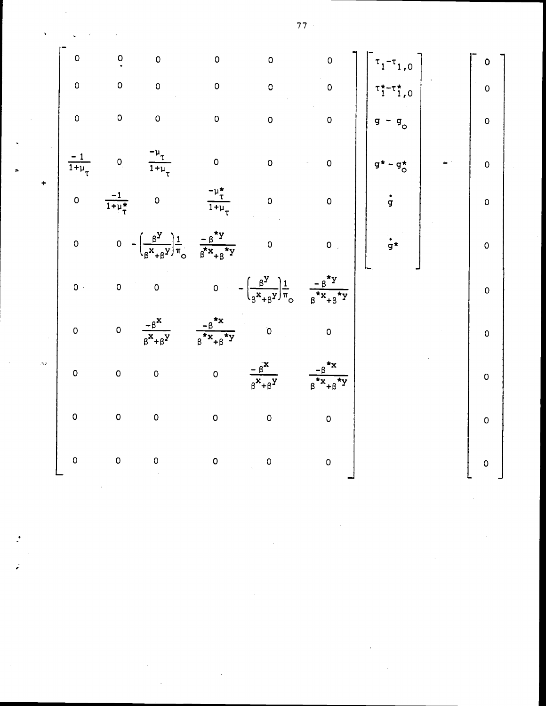$$
\begin{bmatrix}\n0 & 0 & 0 & 0 & 0 & 0 & 0 \\
0 & 0 & 0 & 0 & 0 & 0 & 0 \\
0 & 0 & 0 & 0 & 0 & 0 & 0 \\
0 & 0 & 0 & 0 & 0 & 0 & 0 \\
0 & 0 & 0 & 0 & 0 & 0 & 0\n\end{bmatrix}\n\begin{bmatrix}\n\tau_{1} - \tau_{1,0} \\
\tau_{1} - \tau_{1,0} \\
\tau_{1} - \tau_{1,0} \\
\tau_{1} - \tau_{1,0} \\
\tau_{1} - \tau_{1,0} \\
\tau_{1} - \tau_{1,0} \\
\tau_{1} - \tau_{1,0} \\
\tau_{1} - \tau_{1,0} \\
\tau_{1} - \tau_{1,0} \\
\tau_{1} - \tau_{1,0} \\
\tau_{1} - \tau_{1,0} \\
\tau_{1} - \tau_{1,0} \\
\tau_{1} - \tau_{1,0} \\
\tau_{1} - \tau_{1,0} \\
\tau_{1} - \tau_{1,0} \\
\tau_{1} - \tau_{1,0} \\
\tau_{1} - \tau_{1,0} \\
\tau_{1} - \tau_{1,0} \\
\tau_{1} - \tau_{1,0} \\
\tau_{1} - \tau_{1,0} \\
\tau_{1} - \tau_{1,0} \\
\tau_{1} - \tau_{1,0} \\
\tau_{1} - \tau_{1,0} \\
\tau_{1} - \tau_{1,0} \\
\tau_{1} - \tau_{1,0} \\
\tau_{1} - \tau_{1,0} \\
\tau_{1} - \tau_{1,0} \\
\tau_{1} - \tau_{1,0} \\
\tau_{1} - \tau_{1,0} \\
\tau_{1} - \tau_{1,0} \\
\tau_{1} - \tau_{1,0} \\
\tau_{1} - \tau_{1,0} \\
\tau_{1} - \tau_{1,0} \\
\tau_{1} - \tau_{1,0} \\
\tau_{1} - \tau_{1,0} \\
\tau_{1} - \tau_{1,0} \\
\tau_{1} - \tau_{1,0} \\
\tau_{1} - \tau_{1,0} \\
\tau_{1} - \tau_{1,0} \\
\tau_{1} - \tau_{1,0} \\
\tau_{1} - \tau_{1,0} \\
\tau_{1} - \tau_{1,0} \\
\tau_{1} - \tau_{1,0} \\
\tau_{1} - \tau_{1,0} \\
\tau_{1} - \tau_{1,0} \\
\tau_{1} - \tau_{
$$

ź

 $\sim$ 

 $77 -$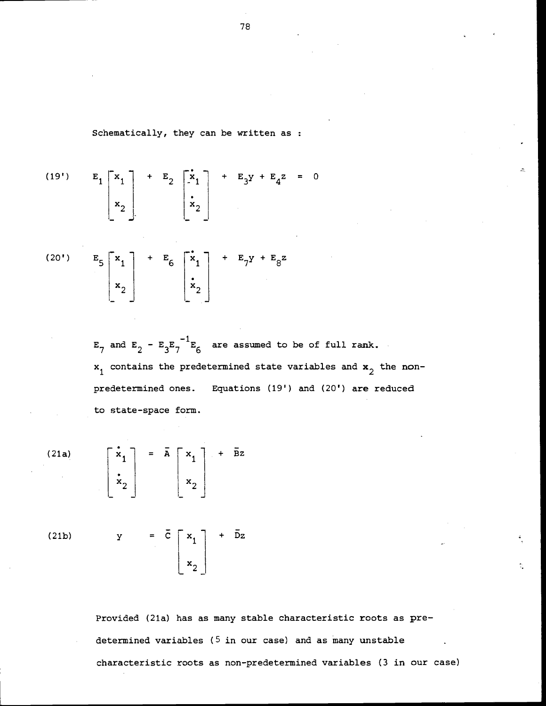Schematically, they can be written as :

(19') 
$$
E_1\begin{bmatrix} x_1 \\ x_2 \end{bmatrix} + E_2 \begin{bmatrix} x_1 \\ x_2 \end{bmatrix} + E_3y + E_4z = 0
$$

$$
\begin{bmatrix}\n\text{20'} & \text{E}_5 \\
\text{x}_1 \\
\text{x}_2\n\end{bmatrix} + \text{E}_6\n\begin{bmatrix}\n\text{x}_1 \\
\text{x}_2\n\end{bmatrix} + \text{E}_7\text{y} + \text{E}_8\text{z}
$$

 $E_7$  and  $E_2 - E_3E_7^{-1}E_6$  are assumed to be of full rank.  $x_1$  contains the predetermined state variables and  $x_2$  the nonpredetermined ones. Equations (19') and (20') are reduced to state-space form.

 $(21a)$ 

$$
\begin{bmatrix} \mathbf{\dot{x}}_1 \\ \mathbf{\dot{x}}_2 \end{bmatrix} = \mathbf{\bar{A}} \begin{bmatrix} \mathbf{x}_1 \\ \mathbf{x}_2 \end{bmatrix} + \mathbf{\bar{B}}\mathbf{z}
$$

(21b)  $y = C | x_1 | +$ rX +  $\bar{D}z$  $\begin{bmatrix} 2 & 1 \\ 1 & 2 \end{bmatrix}$ 

> Provided (21a) has as many stable characteristic roots as predetermined variables (5 in our case) and as many unstable characteristic roots as non-predetermined variables (3 in our case)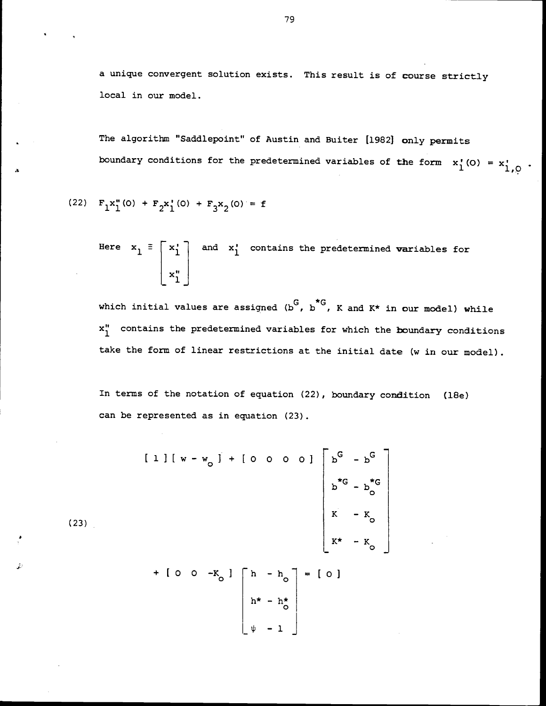a unique convergent solution exists. This result is of course strictly local in our model.

The algorithm "Saddlepoint" of Austin and Buiter [1982] only permits boundary conditions for the predetermined variables of the form  $x'_{1}(0) = x'_{1,0}$ .

(22) 
$$
F_1 x_1^{\prime\prime}(0) + F_2 x_1^{\prime}(0) + F_3 x_2(0) = f
$$

(23)

Here  $x_1 = \begin{bmatrix} x_1 \\ x_1 \\ x_1 \\ x_1 \end{bmatrix}$  and  $x_1'$  contains the predetermined variables for

which initial values are assigned  $(b^G, b^G, K$  and  $K^*$  in our model) while  $x_1$ " contains the predetermined variables for which the boundary conditions take the form of linear restrictions at the initial date (w in our model).

In terms of the notation of equation (22), boundary condition (iBe) can be represented as in equation (23).

$$
\begin{bmatrix} 1 & 1 & 1 & w - w_0 & 1 & + & 0 & 0 & 0 & 0 \end{bmatrix} \begin{bmatrix} b^G & -b^G \\ b^*G & -b^G \\ b^*G & -b^G \\ K & -K_0 \\ K & -K_0 \end{bmatrix}
$$

$$
+ [0 \ 0 \ -K_0] \left[\begin{array}{ccc} h & -h_0 \\ h^* & -h_0^* \\ h^* & -h_0^* \\ \psi & -1 \end{array}\right] = [0]
$$

79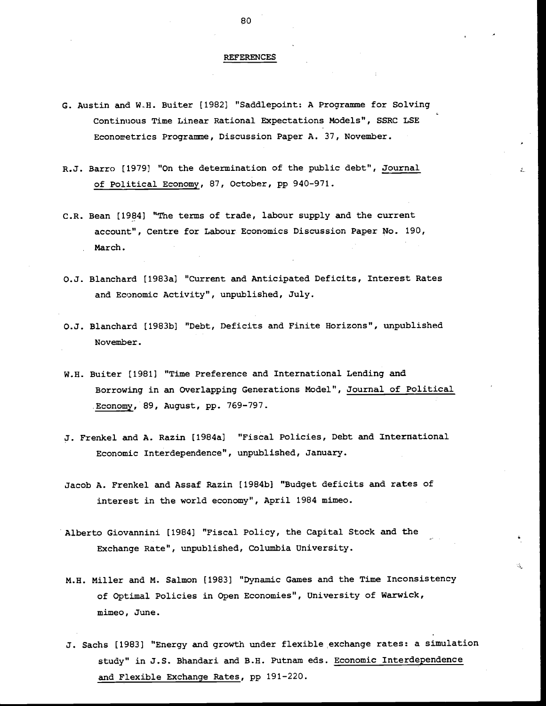## REFERENCES

- G. Austin and WH. Buiter [1982] "Saddlepoint: A Programme for Solving Continuous Time Linear Rational Expectations Models", SSRC LSE Econometrics Programme, Discussion Paper A. 37, November.
- R.J. Barro [1979) "On the determination of the public debt", Journal of Political Economy, 87, October, pp 940-971.
- C.R. Bean [1984] "The terms of trade, labour supply and the current account", Centre for Labour Economics Discussion Paper No. 190, March.
- O.J. Blanchard [1983a] "Current and Anticipated Deficits, Interest Rates and Economic Activity", unpublished, July.
- 0.J. Blanchard [1983b] "Debt, Deficits and Finite Horizons", unpublished November.
- W.H. Buiter [1981] "Time Preference and International Lending and Borrowing in an Overlapping Generations Model", Journal of Political Economy, 89, August, pp. 769-797.
- J. Frenkel and A. Razin [1984a] "Fiscal Policies, Debt and International Economic Interdependence", unpublished, January.
- Jacob A. Frenkel and Assaf Razin [1984b] "Budget deficits and rates of interest in the world economy", April 1984 mimeo.
- Alberto Giovannini [1984] "Fiscal Policy, the Capital Stock and the Exchange Rate", unpublished, Columbia University.
- M.H. Miller and M. Salmon [1983] "Dynamic Games and the Time Inconsistency of Optimal Policies in Open Economies", University of Warwick, mimeo, June.

Ġ,

J. Sachs [1983] "Energy and growth under flexible exchange rates: a simulation study" in J.S. Bhandari and B.H. Putnam eds. Economic Interdependence and Flexible Exchange Rates, pp 191-220.